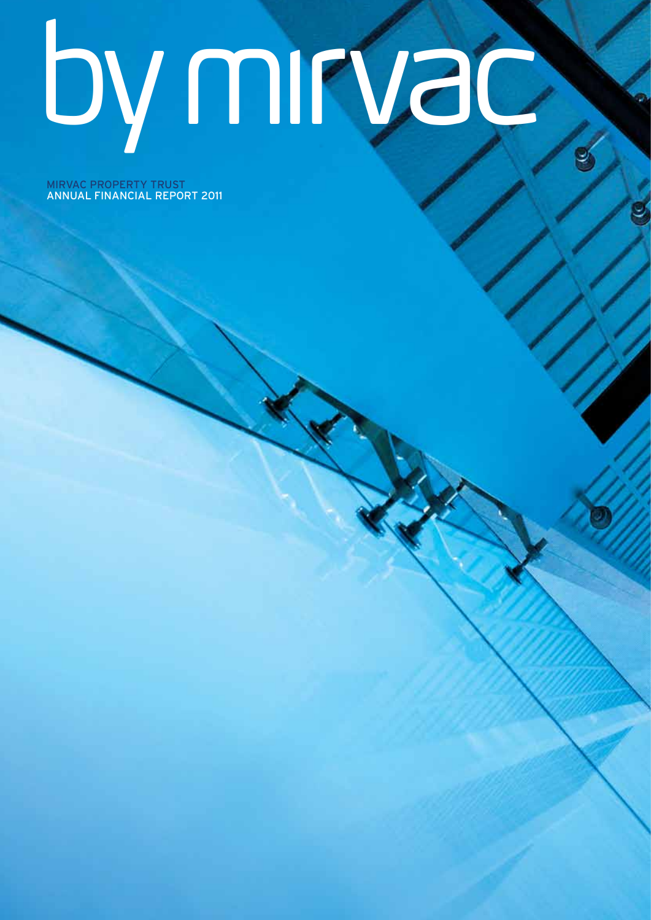# by mirvac

MIRVAC property trust annual financial report 2011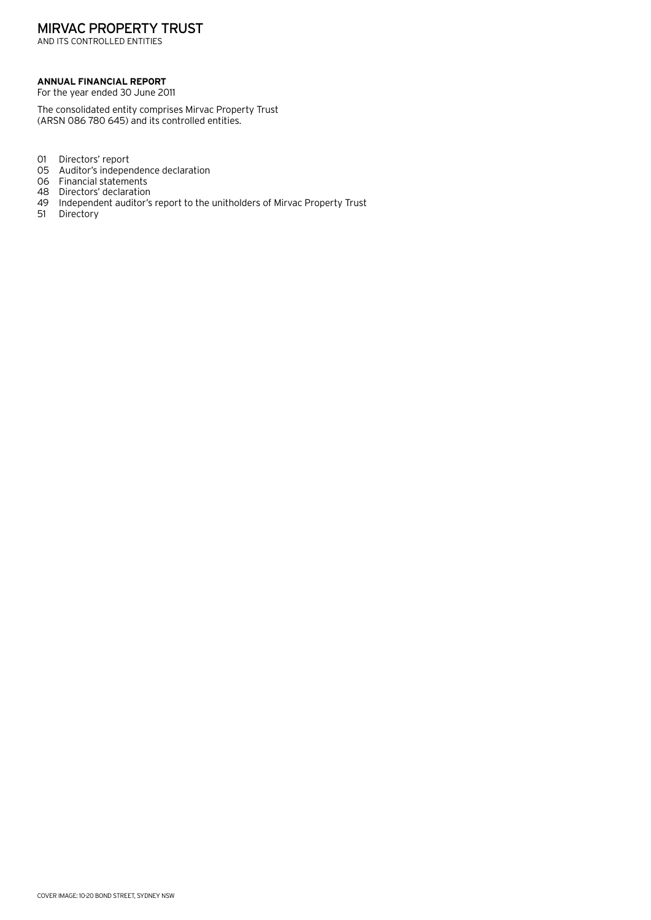## MIRVAC PROPERTY TRUST

AND ITS CONTROLLED ENTITIES

#### **Annual financial Report**

For the year ended 30 June 2011

The consolidated entity comprises Mirvac Property Trust (ARSN 086 780 645) and its controlled entities.

- 01 Directors' report
- 05 Auditor's independence declaration
- 06 Financial statements
- 48 Directors' declaration<br>49 Independent auditor's
- 49 Independent auditor's report to the unitholders of Mirvac Property Trust
- **Directory**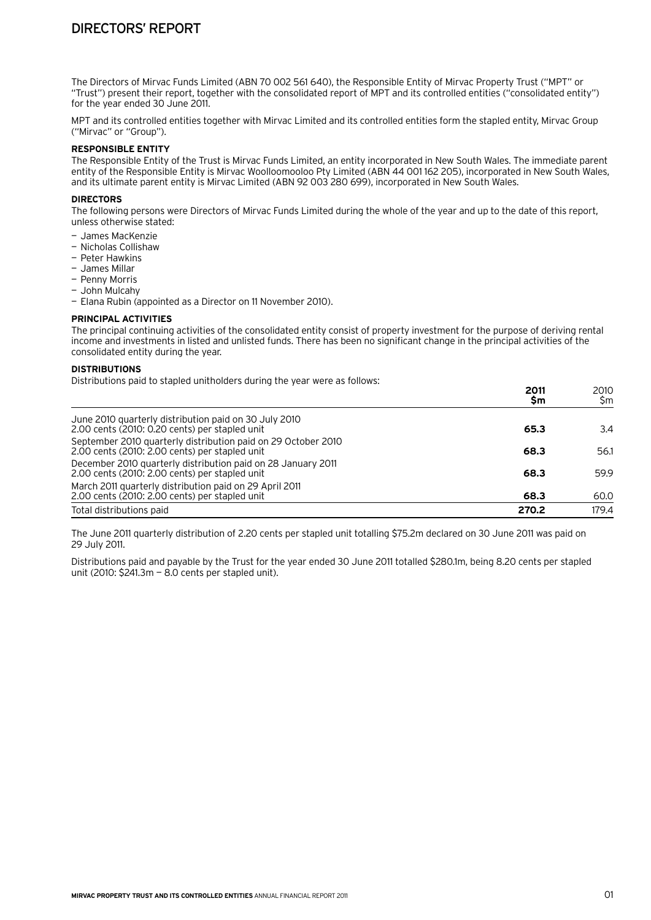The Directors of Mirvac Funds Limited (ABN 70 002 561 640), the Responsible Entity of Mirvac Property Trust ("MPT" or "Trust") present their report, together with the consolidated report of MPT and its controlled entities ("consolidated entity") for the year ended 30 June 2011.

MPT and its controlled entities together with Mirvac Limited and its controlled entities form the stapled entity, Mirvac Group ("Mirvac" or "Group").

#### **Responsible Entity**

The Responsible Entity of the Trust is Mirvac Funds Limited, an entity incorporated in New South Wales. The immediate parent entity of the Responsible Entity is Mirvac Woolloomooloo Pty Limited (ABN 44 001 162 205), incorporated in New South Wales, and its ultimate parent entity is Mirvac Limited (ABN 92 003 280 699), incorporated in New South Wales.

#### **Directors**

The following persons were Directors of Mirvac Funds Limited during the whole of the year and up to the date of this report, unless otherwise stated:

- James MacKenzie
- Nicholas Collishaw
- Peter Hawkins
- James Millar
- Penny Morris
- John Mulcahy
- Elana Rubin (appointed as a Director on 11 November 2010).

#### **Principal activities**

The principal continuing activities of the consolidated entity consist of property investment for the purpose of deriving rental income and investments in listed and unlisted funds. There has been no significant change in the principal activities of the consolidated entity during the year.

#### **Distributions**

Distributions paid to stapled unitholders during the year were as follows:

|                                                                                                                 | 2011<br>Sm | 2010<br>\$m |
|-----------------------------------------------------------------------------------------------------------------|------------|-------------|
| June 2010 quarterly distribution paid on 30 July 2010<br>2.00 cents (2010: 0.20 cents) per stapled unit         | 65.3       | 3.4         |
| September 2010 quarterly distribution paid on 29 October 2010<br>2.00 cents (2010: 2.00 cents) per stapled unit | 68.3       | 56.1        |
| December 2010 quarterly distribution paid on 28 January 2011<br>2.00 cents (2010: 2.00 cents) per stapled unit  | 68.3       | 59.9        |
| March 2011 quarterly distribution paid on 29 April 2011<br>2.00 cents (2010: 2.00 cents) per stapled unit       | 68.3       | 60.0        |
| Total distributions paid                                                                                        | 270.2      | 179.4       |

The June 2011 quarterly distribution of 2.20 cents per stapled unit totalling \$75.2m declared on 30 June 2011 was paid on 29 July 2011.

Distributions paid and payable by the Trust for the year ended 30 June 2011 totalled \$280.1m, being 8.20 cents per stapled unit (2010: \$241.3m — 8.0 cents per stapled unit).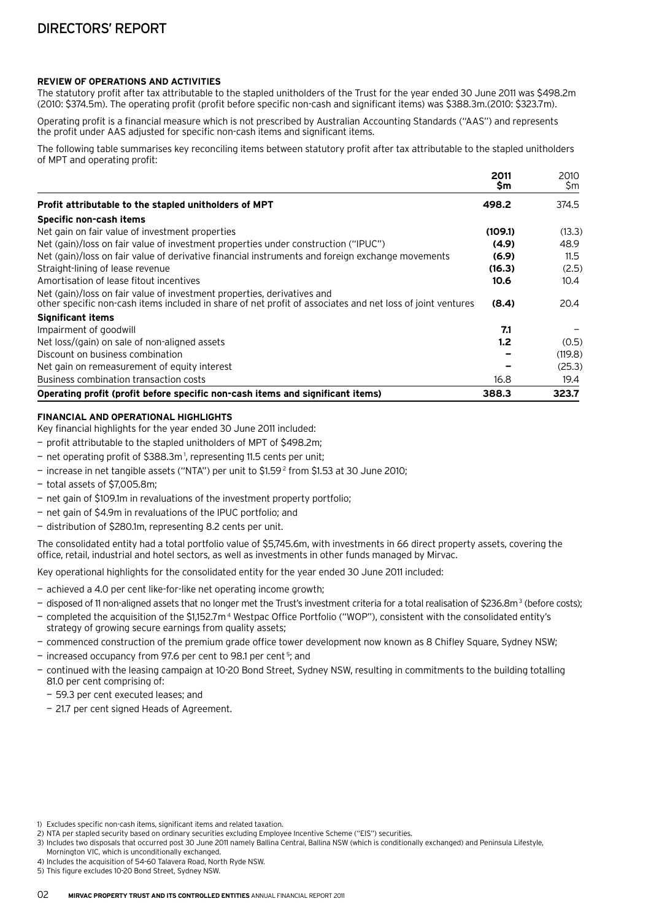#### **Review of operations and activities**

The statutory profit after tax attributable to the stapled unitholders of the Trust for the year ended 30 June 2011 was \$498.2m (2010: \$374.5m). The operating profit (profit before specific non-cash and significant items) was \$388.3m.(2010: \$323.7m).

Operating profit is a financial measure which is not prescribed by Australian Accounting Standards ("AAS") and represents the profit under AAS adjusted for specific non-cash items and significant items.

The following table summarises key reconciling items between statutory profit after tax attributable to the stapled unitholders of MPT and operating profit:

|                                                                                                                                                                                       | 2011<br>Sm | 2010<br>\$m |
|---------------------------------------------------------------------------------------------------------------------------------------------------------------------------------------|------------|-------------|
| Profit attributable to the stapled unitholders of MPT                                                                                                                                 | 498.2      | 374.5       |
| Specific non-cash items                                                                                                                                                               |            |             |
| Net gain on fair value of investment properties                                                                                                                                       | (109.1)    | (13.3)      |
| Net (gain)/loss on fair value of investment properties under construction ("IPUC")                                                                                                    | (4.9)      | 48.9        |
| Net (gain)/loss on fair value of derivative financial instruments and foreign exchange movements                                                                                      | (6.9)      | 11.5        |
| Straight-lining of lease revenue                                                                                                                                                      | (16.3)     | (2.5)       |
| Amortisation of lease fitout incentives                                                                                                                                               | 10.6       | 10.4        |
| Net (gain)/loss on fair value of investment properties, derivatives and<br>other specific non-cash items included in share of net profit of associates and net loss of joint ventures | (8.4)      | 20.4        |
| <b>Significant items</b>                                                                                                                                                              |            |             |
| Impairment of goodwill                                                                                                                                                                | 7.1        |             |
| Net loss/(gain) on sale of non-aligned assets                                                                                                                                         | 1.2        | (0.5)       |
| Discount on business combination                                                                                                                                                      |            | (119.8)     |
| Net gain on remeasurement of equity interest                                                                                                                                          |            | (25.3)      |
| Business combination transaction costs                                                                                                                                                | 16.8       | 19.4        |
| Operating profit (profit before specific non-cash items and significant items)                                                                                                        | 388.3      | 323.7       |

#### **Financial and operational highlights**

Key financial highlights for the year ended 30 June 2011 included:

- profit attributable to the stapled unitholders of MPT of \$498.2m;
- net operating profit of \$388.3m 1, representing 11.5 cents per unit;
- increase in net tangible assets ("NTA") per unit to \$1.59 2 from \$1.53 at 30 June 2010;
- total assets of \$7,005.8m;
- net gain of \$109.1m in revaluations of the investment property portfolio;
- net gain of \$4.9m in revaluations of the IPUC portfolio; and
- distribution of \$280.1m, representing 8.2 cents per unit.

The consolidated entity had a total portfolio value of \$5,745.6m, with investments in 66 direct property assets, covering the office, retail, industrial and hotel sectors, as well as investments in other funds managed by Mirvac.

Key operational highlights for the consolidated entity for the year ended 30 June 2011 included:

- achieved a 4.0 per cent like-for-like net operating income growth;
- disposed of 11 non-aligned assets that no longer met the Trust's investment criteria for a total realisation of \$236.8m<sup>3</sup> (before costs);
- completed the acquisition of the \$1,152.7m 4 Westpac Office Portfolio ("WOP"), consistent with the consolidated entity's strategy of growing secure earnings from quality assets;
- commenced construction of the premium grade office tower development now known as 8 Chifley Square, Sydney NSW;
- increased occupancy from 97.6 per cent to 98.1 per cent<sup>5</sup>; and
- continued with the leasing campaign at 10-20 Bond Street, Sydney NSW, resulting in commitments to the building totalling 81.0 per cent comprising of:
	- 59.3 per cent executed leases; and
	- 21.7 per cent signed Heads of Agreement.

<sup>1)</sup> Excludes specific non-cash items, significant items and related taxation.

<sup>2)</sup> NTA per stapled security based on ordinary securities excluding Employee Incentive Scheme ("EIS") securities.

<sup>3)</sup> Includes two disposals that occurred post 30 June 2011 namely Ballina Central, Ballina NSW (which is conditionally exchanged) and Peninsula Lifestyle, Mornington VIC, which is unconditionally exchanged.

<sup>4)</sup> Includes the acquisition of 54-60 Talavera Road, North Ryde NSW.

<sup>5)</sup> This figure excludes 10-20 Bond Street, Sydney NSW.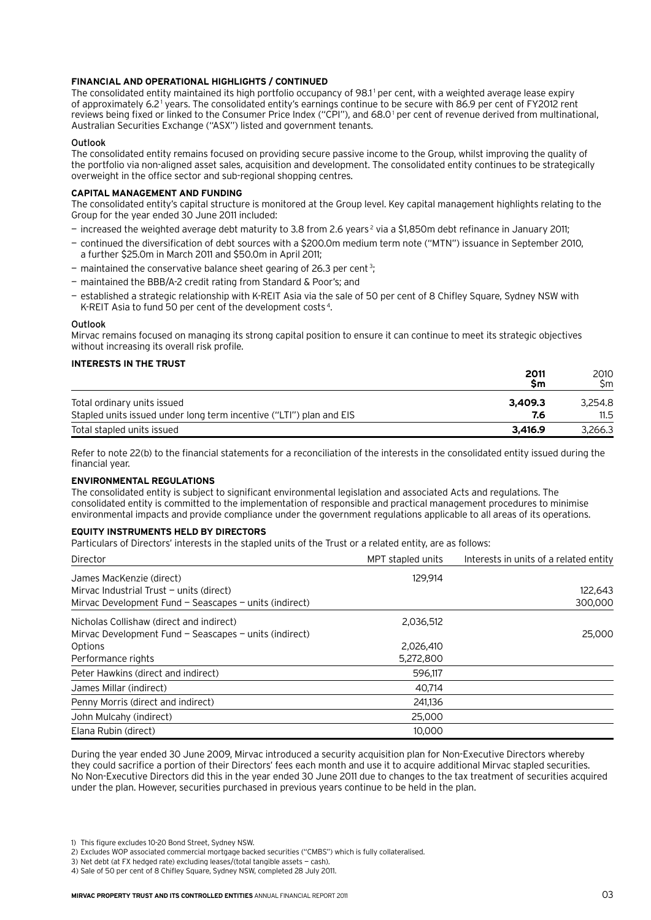#### **Financial and operational highlights / continued**

The consolidated entity maintained its high portfolio occupancy of 98.1<sup>1</sup> per cent, with a weighted average lease expiry of approximately 6.2 1 years. The consolidated entity's earnings continue to be secure with 86.9 per cent of FY2012 rent reviews being fixed or linked to the Consumer Price Index ("CPI"), and 68.0 1 per cent of revenue derived from multinational, Australian Securities Exchange ("ASX") listed and government tenants.

#### Outlook

The consolidated entity remains focused on providing secure passive income to the Group, whilst improving the quality of the portfolio via non-aligned asset sales, acquisition and development. The consolidated entity continues to be strategically overweight in the office sector and sub-regional shopping centres.

#### **Capital management and funding**

The consolidated entity's capital structure is monitored at the Group level. Key capital management highlights relating to the Group for the year ended 30 June 2011 included:

- increased the weighted average debt maturity to 3.8 from 2.6 years 2 via a \$1,850m debt refinance in January 2011;
- continued the diversification of debt sources with a \$200.0m medium term note ("MTN") issuance in September 2010, a further \$25.0m in March 2011 and \$50.0m in April 2011;
- $-$  maintained the conservative balance sheet gearing of 26.3 per cent<sup>3</sup>;
- maintained the BBB/A-2 credit rating from Standard & Poor's; and
- established a strategic relationship with K-REIT Asia via the sale of 50 per cent of 8 Chifley Square, Sydney NSW with K-REIT Asia to fund 50 per cent of the development costs 4.

#### **Outlook**

Mirvac remains focused on managing its strong capital position to ensure it can continue to meet its strategic objectives without increasing its overall risk profile.

#### **Interests in the Trust**

|                                                                     | 2011<br>Sm | 2010<br>Sm. |
|---------------------------------------------------------------------|------------|-------------|
| Total ordinary units issued                                         | 3,409.3    | 3.254.8     |
| Stapled units issued under long term incentive ("LTI") plan and EIS | 7.6        | 11.5        |
| Total stapled units issued                                          | 3.416.9    | 3.266.3     |

Refer to note 22(b) to the financial statements for a reconciliation of the interests in the consolidated entity issued during the financial year.

#### **Environmental regulations**

The consolidated entity is subject to significant environmental legislation and associated Acts and regulations. The consolidated entity is committed to the implementation of responsible and practical management procedures to minimise environmental impacts and provide compliance under the government regulations applicable to all areas of its operations.

#### **Equity instruments held by Directors**

Particulars of Directors' interests in the stapled units of the Trust or a related entity, are as follows:

| Director                                                   | MPT stapled units | Interests in units of a related entity |
|------------------------------------------------------------|-------------------|----------------------------------------|
| James MacKenzie (direct)                                   | 129.914           |                                        |
| Mirvac Industrial Trust $-$ units (direct)                 |                   | 122,643                                |
| Mirvac Development Fund $-$ Seascapes $-$ units (indirect) |                   | 300,000                                |
| Nicholas Collishaw (direct and indirect)                   | 2,036,512         |                                        |
| Mirvac Development Fund $-$ Seascapes $-$ units (indirect) |                   | 25,000                                 |
| Options                                                    | 2.026.410         |                                        |
| Performance rights                                         | 5,272,800         |                                        |
| Peter Hawkins (direct and indirect)                        | 596,117           |                                        |
| James Millar (indirect)                                    | 40,714            |                                        |
| Penny Morris (direct and indirect)                         | 241.136           |                                        |
| John Mulcahy (indirect)                                    | 25,000            |                                        |
| Elana Rubin (direct)                                       | 10,000            |                                        |

During the year ended 30 June 2009, Mirvac introduced a security acquisition plan for Non-Executive Directors whereby they could sacrifice a portion of their Directors' fees each month and use it to acquire additional Mirvac stapled securities. No Non-Executive Directors did this in the year ended 30 June 2011 due to changes to the tax treatment of securities acquired under the plan. However, securities purchased in previous years continue to be held in the plan.

- 3) Net debt (at FX hedged rate) excluding leases/(total tangible assets cash).
- 4) Sale of 50 per cent of 8 Chifley Square, Sydney NSW, completed 28 July 2011.

<sup>1)</sup> This figure excludes 10-20 Bond Street, Sydney NSW.

<sup>2)</sup> Excludes WOP associated commercial mortgage backed securities ("CMBS") which is fully collateralised.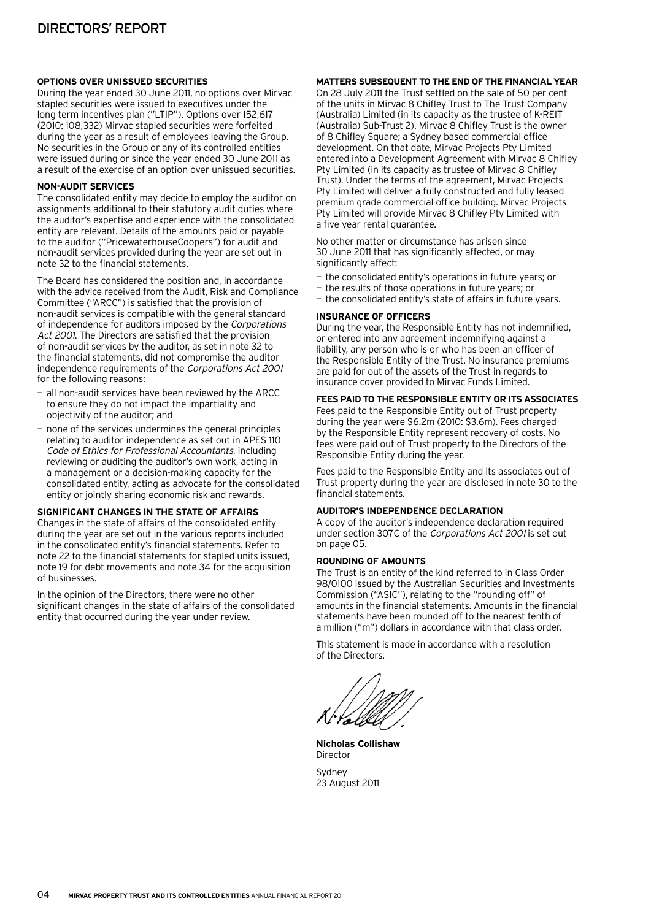#### **Options over unissued securities**

During the year ended 30 June 2011, no options over Mirvac stapled securities were issued to executives under the long term incentives plan ("LTIP"). Options over 152,617 (2010: 108,332) Mirvac stapled securities were forfeited during the year as a result of employees leaving the Group. No securities in the Group or any of its controlled entities were issued during or since the year ended 30 June 2011 as a result of the exercise of an option over unissued securities.

#### **Non-audit services**

The consolidated entity may decide to employ the auditor on assignments additional to their statutory audit duties where the auditor's expertise and experience with the consolidated entity are relevant. Details of the amounts paid or payable to the auditor ("PricewaterhouseCoopers") for audit and non-audit services provided during the year are set out in note 32 to the financial statements.

The Board has considered the position and, in accordance with the advice received from the Audit, Risk and Compliance Committee ("ARCC") is satisfied that the provision of non-audit services is compatible with the general standard of independence for auditors imposed by the Corporations Act 2001. The Directors are satisfied that the provision of non-audit services by the auditor, as set in note 32 to the financial statements, did not compromise the auditor independence requirements of the Corporations Act 2001 for the following reasons:

- all non-audit services have been reviewed by the ARCC to ensure they do not impact the impartiality and objectivity of the auditor; and
- none of the services undermines the general principles relating to auditor independence as set out in APES 110 Code of Ethics for Professional Accountants, including reviewing or auditing the auditor's own work, acting in a management or a decision-making capacity for the consolidated entity, acting as advocate for the consolidated entity or jointly sharing economic risk and rewards.

#### **Significant changes in the state of affairs**

Changes in the state of affairs of the consolidated entity during the year are set out in the various reports included in the consolidated entity's financial statements. Refer to note 22 to the financial statements for stapled units issued, note 19 for debt movements and note 34 for the acquisition of businesses.

In the opinion of the Directors, there were no other significant changes in the state of affairs of the consolidated entity that occurred during the year under review.

#### **Matters subsequent to the end of the financial year**

On 28 July 2011 the Trust settled on the sale of 50 per cent of the units in Mirvac 8 Chifley Trust to The Trust Company (Australia) Limited (in its capacity as the trustee of K-REIT (Australia) Sub-Trust 2). Mirvac 8 Chifley Trust is the owner of 8 Chifley Square; a Sydney based commercial office development. On that date, Mirvac Projects Pty Limited entered into a Development Agreement with Mirvac 8 Chifley Pty Limited (in its capacity as trustee of Mirvac 8 Chifley Trust). Under the terms of the agreement, Mirvac Projects Pty Limited will deliver a fully constructed and fully leased premium grade commercial office building. Mirvac Projects Pty Limited will provide Mirvac 8 Chifley Pty Limited with a five year rental guarantee.

No other matter or circumstance has arisen since 30 June 2011 that has significantly affected, or may significantly affect:

- the consolidated entity's operations in future years; or
- the results of those operations in future years; or
- the consolidated entity's state of affairs in future years.

#### **Insurance of officers**

During the year, the Responsible Entity has not indemnified, or entered into any agreement indemnifying against a liability, any person who is or who has been an officer of the Responsible Entity of the Trust. No insurance premiums are paid for out of the assets of the Trust in regards to insurance cover provided to Mirvac Funds Limited.

#### **Fees paid to the Responsible Entity or its associates**

Fees paid to the Responsible Entity out of Trust property during the year were \$6.2m (2010: \$3.6m). Fees charged by the Responsible Entity represent recovery of costs. No fees were paid out of Trust property to the Directors of the Responsible Entity during the year.

Fees paid to the Responsible Entity and its associates out of Trust property during the year are disclosed in note 30 to the financial statements.

#### **Auditor's independence declaration**

A copy of the auditor's independence declaration required under section 307C of the Corporations Act 2001 is set out on page 05.

#### **Rounding of amounts**

The Trust is an entity of the kind referred to in Class Order 98/0100 issued by the Australian Securities and Investments Commission ("ASIC"), relating to the "rounding off" of amounts in the financial statements. Amounts in the financial statements have been rounded off to the nearest tenth of a million ("m") dollars in accordance with that class order.

This statement is made in accordance with a resolution of the Directors.

**Nicholas Collishaw** Director Sydney

23 August 2011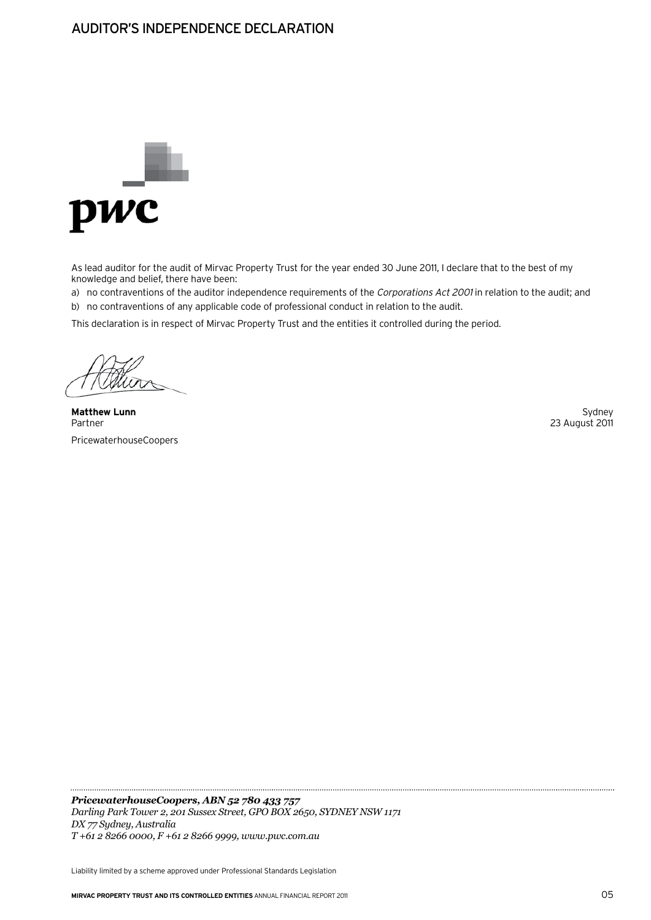## Auditor's Independence Declaration



As lead auditor for the audit of Mirvac Property Trust for the year ended 30 June 2011, I declare that to the best of my knowledge and belief, there have been:

a) no contraventions of the auditor independence requirements of the Corporations Act 2001 in relation to the audit; and b) no contraventions of any applicable code of professional conduct in relation to the audit.

This declaration is in respect of Mirvac Property Trust and the entities it controlled during the period.

**Matthew Lunn** Sydney Sydney (1999) and the set of the set of the set of the set of the set of the set of the set of the set of the set of the set of the set of the set of the set of the set of the set of the set of the se Partner 23 August 2011 PricewaterhouseCoopers

*PricewaterhouseCoopers, ABN 52 780 433 757 Darling Park Tower 2, 201 Sussex Street, GPO BOX 2650, SYDNEY NSW 1171 DX 77 Sydney, Australia T +61 2 8266 0000, F +61 2 8266 9999, www.pwc.com.au*

Liability limited by a scheme approved under Professional Standards Legislation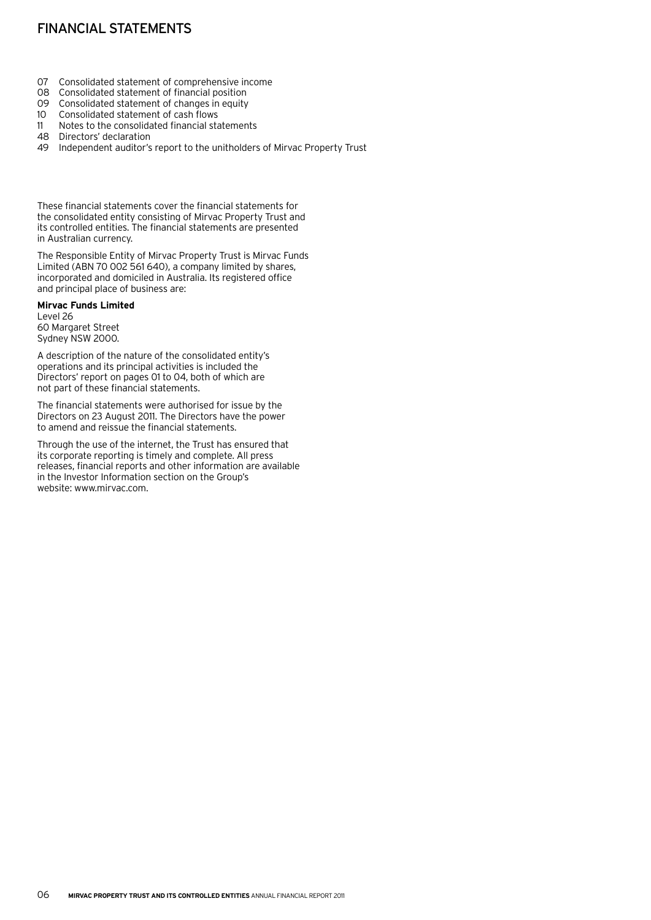# Financial statements

- 07 Consolidated statement of comprehensive income<br>08 Consolidated statement of financial position
- Consolidated statement of financial position
- 09 Consolidated statement of changes in equity<br>10 Consolidated statement of cash flows
- Consolidated statement of cash flows
- 11 Notes to the consolidated financial statements
- 48 Directors' declaration
- 49 Independent auditor's report to the unitholders of Mirvac Property Trust

These financial statements cover the financial statements for the consolidated entity consisting of Mirvac Property Trust and its controlled entities. The financial statements are presented in Australian currency.

The Responsible Entity of Mirvac Property Trust is Mirvac Funds Limited (ABN 70 002 561 640), a company limited by shares, incorporated and domiciled in Australia. Its registered office and principal place of business are:

**Mirvac Funds Limited** Level 26 60 Margaret Street

Sydney NSW 2000.

A description of the nature of the consolidated entity's operations and its principal activities is included the Directors' report on pages 01 to 04, both of which are not part of these financial statements.

The financial statements were authorised for issue by the Directors on 23 August 2011. The Directors have the power to amend and reissue the financial statements.

Through the use of the internet, the Trust has ensured that its corporate reporting is timely and complete. All press releases, financial reports and other information are available in the Investor Information section on the Group's website: www.mirvac.com.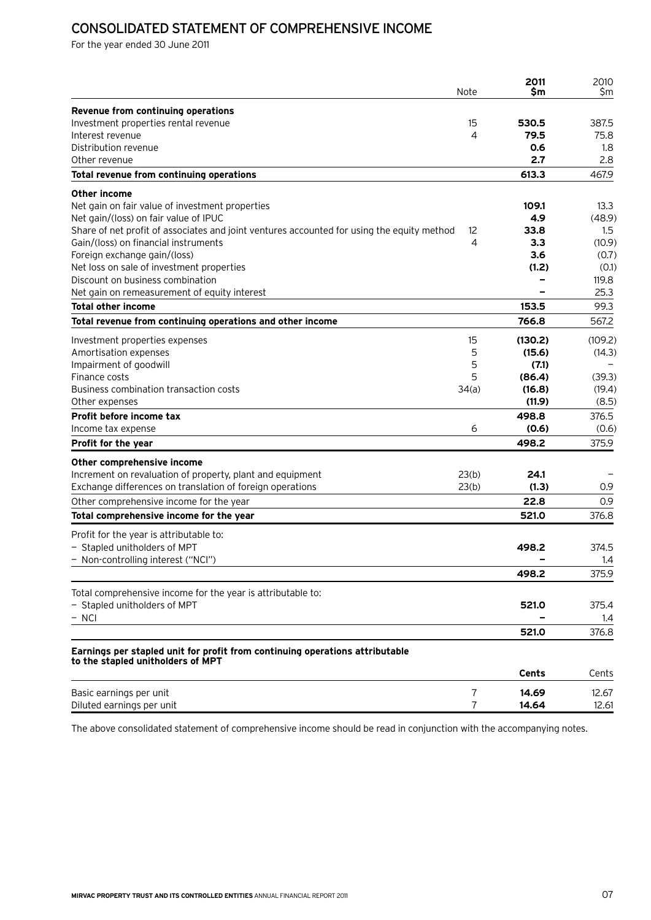# Consolidated statement of comprehensive income

For the year ended 30 June 2011

|                                                                                            | Note           | 2011<br>Sm   | 2010<br>Sm |
|--------------------------------------------------------------------------------------------|----------------|--------------|------------|
|                                                                                            |                |              |            |
| Revenue from continuing operations<br>Investment properties rental revenue                 | 15             | 530.5        | 387.5      |
| Interest revenue                                                                           | 4              | 79.5         | 75.8       |
| Distribution revenue                                                                       |                | 0.6          | 1.8        |
| Other revenue                                                                              |                | 2.7          | 2.8        |
| Total revenue from continuing operations                                                   |                | 613.3        | 467.9      |
| Other income                                                                               |                |              |            |
| Net gain on fair value of investment properties                                            |                | 109.1        | 13.3       |
| Net gain/(loss) on fair value of IPUC                                                      |                | 4.9          | (48.9)     |
| Share of net profit of associates and joint ventures accounted for using the equity method | 12             | 33.8         | 1.5        |
| Gain/(loss) on financial instruments                                                       | 4              | 3.3          | (10.9)     |
| Foreign exchange gain/(loss)                                                               |                | 3.6          | (0.7)      |
| Net loss on sale of investment properties                                                  |                | (1.2)        | (0.1)      |
| Discount on business combination                                                           |                |              | 119.8      |
| Net gain on remeasurement of equity interest                                               |                |              | 25.3       |
| Total other income                                                                         |                | 153.5        | 99.3       |
| Total revenue from continuing operations and other income                                  |                | 766.8        | 567.2      |
| Investment properties expenses                                                             | 15             | (130.2)      | (109.2)    |
| Amortisation expenses                                                                      | 5              | (15.6)       | (14.3)     |
| Impairment of goodwill                                                                     | 5              | (7.1)        |            |
| Finance costs                                                                              | 5              | (86.4)       | (39.3)     |
| Business combination transaction costs                                                     | 34(a)          | (16.8)       | (19.4)     |
| Other expenses                                                                             |                | (11.9)       | (8.5)      |
| Profit before income tax                                                                   |                | 498.8        | 376.5      |
| Income tax expense                                                                         | 6              | (0.6)        | (0.6)      |
| Profit for the year                                                                        |                | 498.2        | 375.9      |
| Other comprehensive income                                                                 |                |              |            |
| Increment on revaluation of property, plant and equipment                                  | 23(b)          | 24.1         |            |
| Exchange differences on translation of foreign operations                                  | 23(b)          | (1.3)        | 0.9        |
| Other comprehensive income for the year                                                    |                | 22.8         | 0.9        |
| Total comprehensive income for the year                                                    |                | 521.0        | 376.8      |
| Profit for the year is attributable to:                                                    |                |              |            |
| - Stapled unitholders of MPT                                                               |                | 498.2        | 374.5      |
| - Non-controlling interest ("NCI")                                                         |                |              | 1.4        |
|                                                                                            |                | 498.2        | 375.9      |
| Total comprehensive income for the year is attributable to:                                |                |              |            |
| - Stapled unitholders of MPT                                                               |                | 521.0        | 375.4      |
| $-$ NCI                                                                                    |                |              | 1.4        |
|                                                                                            |                | 521.0        | 376.8      |
| Earnings per stapled unit for profit from continuing operations attributable               |                |              |            |
| to the stapled unitholders of MPT                                                          |                | <b>Cents</b> | Cents      |
|                                                                                            |                |              |            |
| Basic earnings per unit                                                                    | $\overline{7}$ | 14.69        | 12.67      |
| Diluted earnings per unit                                                                  | $\overline{7}$ | 14.64        | 12.61      |

The above consolidated statement of comprehensive income should be read in conjunction with the accompanying notes.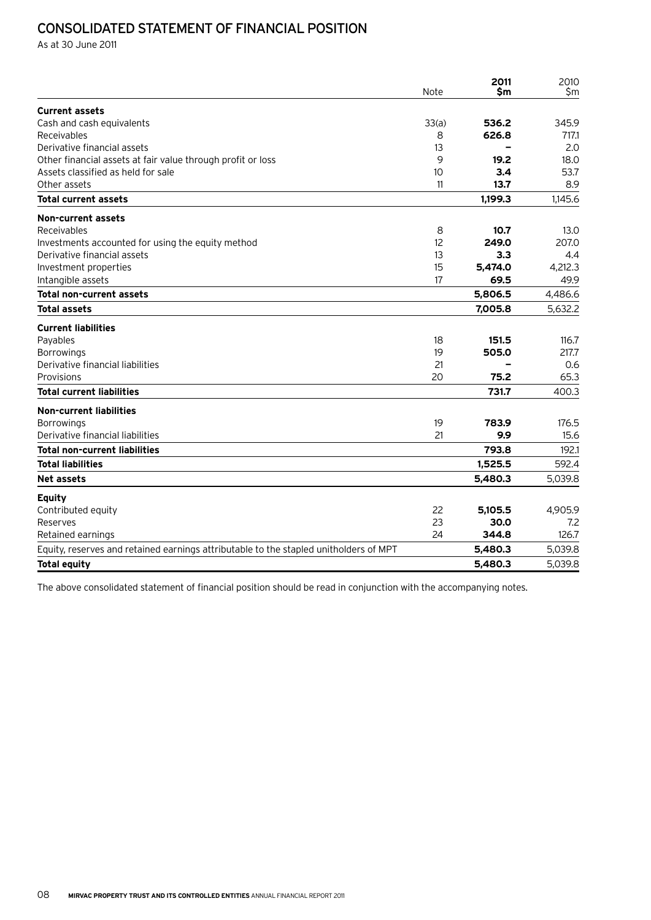# Consolidated statement of financial position

As at 30 June 2011

|                                                                                       | Note  | 2011<br>\$m | 2010<br>Sm |
|---------------------------------------------------------------------------------------|-------|-------------|------------|
| <b>Current assets</b>                                                                 |       |             |            |
| Cash and cash equivalents                                                             | 33(a) | 536.2       | 345.9      |
| Receivables                                                                           | 8     | 626.8       | 717.1      |
| Derivative financial assets                                                           | 13    |             | 2.0        |
| Other financial assets at fair value through profit or loss                           | 9     | 19.2        | 18.0       |
| Assets classified as held for sale                                                    | 10    | 3.4         | 53.7       |
| Other assets                                                                          | 11    | 13.7        | 8.9        |
| <b>Total current assets</b>                                                           |       | 1,199.3     | 1,145.6    |
| <b>Non-current assets</b>                                                             |       |             |            |
| Receivables                                                                           | 8     | 10.7        | 13.0       |
| Investments accounted for using the equity method                                     | 12    | 249.0       | 207.0      |
| Derivative financial assets                                                           | 13    | 3.3         | 4.4        |
| Investment properties                                                                 | 15    | 5.474.0     | 4.212.3    |
| Intangible assets                                                                     | 17    | 69.5        | 49.9       |
| <b>Total non-current assets</b>                                                       |       | 5,806.5     | 4,486.6    |
| <b>Total assets</b>                                                                   |       | 7,005.8     | 5,632.2    |
| <b>Current liabilities</b>                                                            |       |             |            |
| Payables                                                                              | 18    | 151.5       | 116.7      |
| Borrowings                                                                            | 19    | 505.0       | 217.7      |
| Derivative financial liabilities                                                      | 21    |             | 0.6        |
| Provisions                                                                            | 20    | 75.2        | 65.3       |
| <b>Total current liabilities</b>                                                      |       | 731.7       | 400.3      |
| <b>Non-current liabilities</b>                                                        |       |             |            |
| <b>Borrowings</b>                                                                     | 19    | 783.9       | 176.5      |
| Derivative financial liabilities                                                      | 21    | 9.9         | 15.6       |
| <b>Total non-current liabilities</b>                                                  |       | 793.8       | 192.1      |
| <b>Total liabilities</b>                                                              |       | 1,525.5     | 592.4      |
| Net assets                                                                            |       | 5,480.3     | 5,039.8    |
| <b>Equity</b>                                                                         |       |             |            |
| Contributed equity                                                                    | 22    | 5,105.5     | 4,905.9    |
| Reserves                                                                              | 23    | 30.0        | 7.2        |
| Retained earnings                                                                     | 24    | 344.8       | 126.7      |
| Equity, reserves and retained earnings attributable to the stapled unitholders of MPT |       | 5,480.3     | 5,039.8    |
| <b>Total equity</b>                                                                   |       | 5,480.3     | 5,039.8    |

The above consolidated statement of financial position should be read in conjunction with the accompanying notes.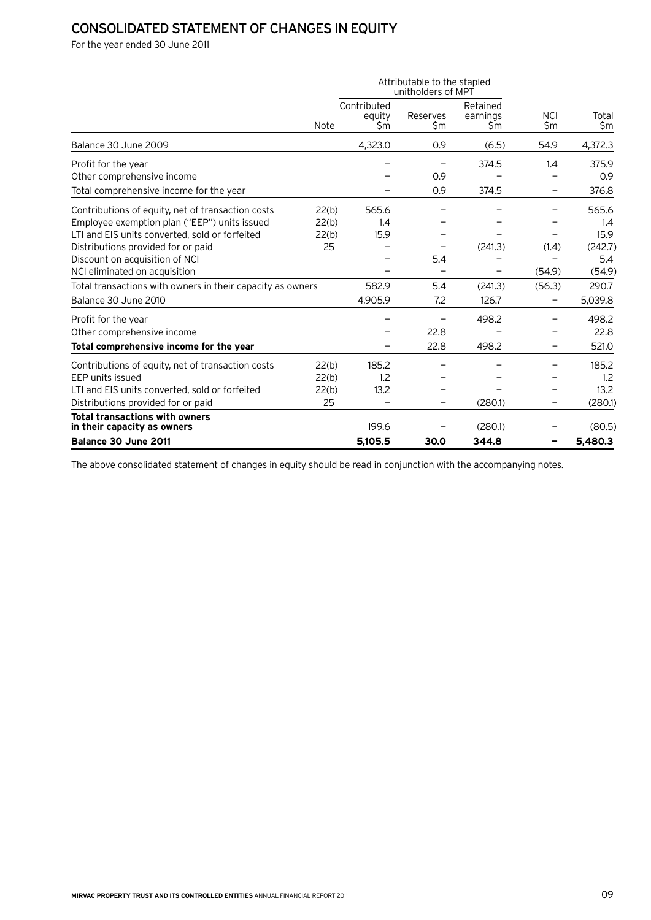# Consolidated statement of changes in equity

For the year ended 30 June 2011

|                                                                      |       |                              | Attributable to the stapled<br>unitholders of MPT |                             |                   |              |
|----------------------------------------------------------------------|-------|------------------------------|---------------------------------------------------|-----------------------------|-------------------|--------------|
|                                                                      | Note  | Contributed<br>equity<br>\$m | Reserves<br>\$m                                   | Retained<br>earnings<br>\$m | <b>NCI</b><br>\$m | Total<br>\$m |
| Balance 30 June 2009                                                 |       | 4,323.0                      | 0.9                                               | (6.5)                       | 54.9              | 4,372.3      |
| Profit for the year                                                  |       |                              |                                                   | 374.5                       | 1.4               | 375.9        |
| Other comprehensive income                                           |       |                              | 0.9                                               |                             |                   | 0.9          |
| Total comprehensive income for the year                              |       | $\qquad \qquad -$            | 0.9                                               | 374.5                       | $\qquad \qquad -$ | 376.8        |
| Contributions of equity, net of transaction costs                    | 22(b) | 565.6                        |                                                   |                             |                   | 565.6        |
| Employee exemption plan ("EEP") units issued                         | 22(b) | 1.4                          |                                                   |                             |                   | 1.4          |
| LTI and EIS units converted, sold or forfeited                       | 22(b) | 15.9                         |                                                   |                             |                   | 15.9         |
| Distributions provided for or paid                                   | 25    |                              | $\overline{\phantom{0}}$                          | (241.3)                     | (1.4)             | (242.7)      |
| Discount on acquisition of NCI                                       |       |                              | 5.4                                               |                             |                   | 5.4          |
| NCI eliminated on acquisition                                        |       |                              |                                                   |                             | (54.9)            | (54.9)       |
| Total transactions with owners in their capacity as owners           |       | 582.9                        | 5.4                                               | (241.3)                     | (56.3)            | 290.7        |
| Balance 30 June 2010                                                 |       | 4,905.9                      | 7.2                                               | 126.7                       | -                 | 5,039.8      |
| Profit for the year                                                  |       |                              |                                                   | 498.2                       |                   | 498.2        |
| Other comprehensive income                                           |       |                              | 22.8                                              |                             |                   | 22.8         |
| Total comprehensive income for the year                              |       |                              | 22.8                                              | 498.2                       |                   | 521.0        |
| Contributions of equity, net of transaction costs                    | 22(b) | 185.2                        |                                                   |                             |                   | 185.2        |
| EEP units issued                                                     | 22(b) | 1.2                          |                                                   |                             |                   | 1.2          |
| LTI and EIS units converted, sold or forfeited                       | 22(b) | 13.2                         |                                                   |                             |                   | 13.2         |
| Distributions provided for or paid                                   | 25    |                              |                                                   | (280.1)                     |                   | (280.1)      |
| <b>Total transactions with owners</b><br>in their capacity as owners |       | 199.6                        |                                                   | (280.1)                     |                   | (80.5)       |
| Balance 30 June 2011                                                 |       | 5,105.5                      | 30.0                                              | 344.8                       | -                 | 5,480.3      |

The above consolidated statement of changes in equity should be read in conjunction with the accompanying notes.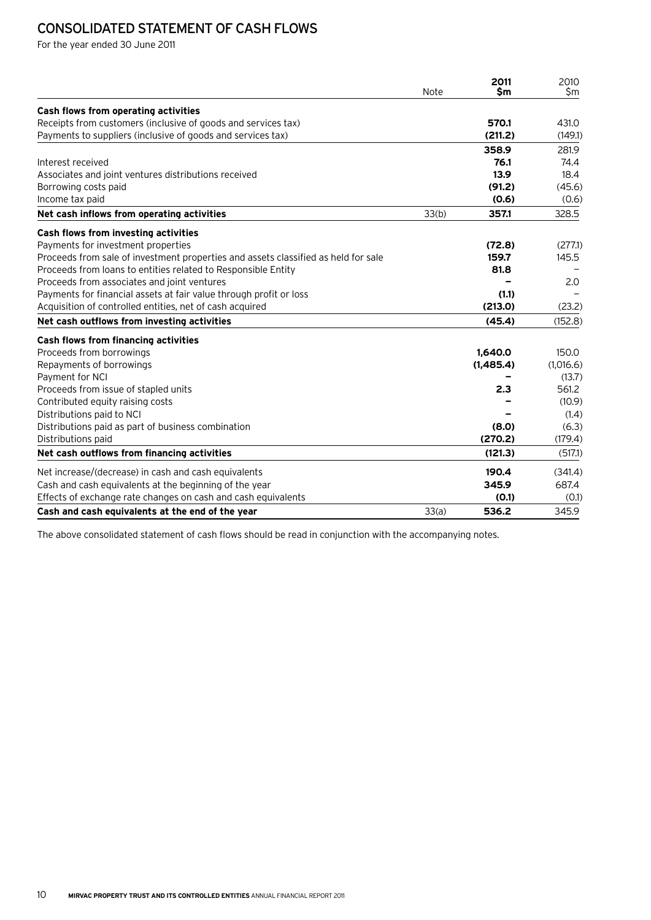# Consolidated statement of cash flows

For the year ended 30 June 2011

|                                                                                    | Note  | 2011<br>\$m | 2010<br>\$m |
|------------------------------------------------------------------------------------|-------|-------------|-------------|
| Cash flows from operating activities                                               |       |             |             |
| Receipts from customers (inclusive of goods and services tax)                      |       | 570.1       | 431.0       |
| Payments to suppliers (inclusive of goods and services tax)                        |       | (211.2)     | (149.1)     |
|                                                                                    |       | 358.9       | 281.9       |
| Interest received                                                                  |       | 76.1        | 74.4        |
| Associates and joint ventures distributions received                               |       | 13.9        | 18.4        |
| Borrowing costs paid                                                               |       | (91.2)      | (45.6)      |
| Income tax paid                                                                    |       | (0.6)       | (0.6)       |
| Net cash inflows from operating activities                                         | 33(b) | 357.1       | 328.5       |
| Cash flows from investing activities                                               |       |             |             |
| Payments for investment properties                                                 |       | (72.8)      | (277.1)     |
| Proceeds from sale of investment properties and assets classified as held for sale |       | 159.7       | 145.5       |
| Proceeds from loans to entities related to Responsible Entity                      |       | 81.8        |             |
| Proceeds from associates and joint ventures                                        |       |             | 2.0         |
| Payments for financial assets at fair value through profit or loss                 |       | (1.1)       |             |
| Acquisition of controlled entities, net of cash acquired                           |       | (213.0)     | (23.2)      |
| Net cash outflows from investing activities                                        |       | (45.4)      | (152.8)     |
| Cash flows from financing activities                                               |       |             |             |
| Proceeds from borrowings                                                           |       | 1,640.0     | 150.0       |
| Repayments of borrowings                                                           |       | (1,485.4)   | (1,016.6)   |
| Payment for NCI                                                                    |       |             | (13.7)      |
| Proceeds from issue of stapled units                                               |       | 2.3         | 561.2       |
| Contributed equity raising costs                                                   |       |             | (10.9)      |
| Distributions paid to NCI                                                          |       |             | (1.4)       |
| Distributions paid as part of business combination                                 |       | (8.0)       | (6.3)       |
| Distributions paid                                                                 |       | (270.2)     | (179.4)     |
| Net cash outflows from financing activities                                        |       | (121.3)     | (517.1)     |
| Net increase/(decrease) in cash and cash equivalents                               |       | 190.4       | (341.4)     |
| Cash and cash equivalents at the beginning of the year                             |       | 345.9       | 687.4       |
| Effects of exchange rate changes on cash and cash equivalents                      |       | (0.1)       | (0.1)       |
| Cash and cash equivalents at the end of the year                                   | 33(a) | 536.2       | 345.9       |

The above consolidated statement of cash flows should be read in conjunction with the accompanying notes.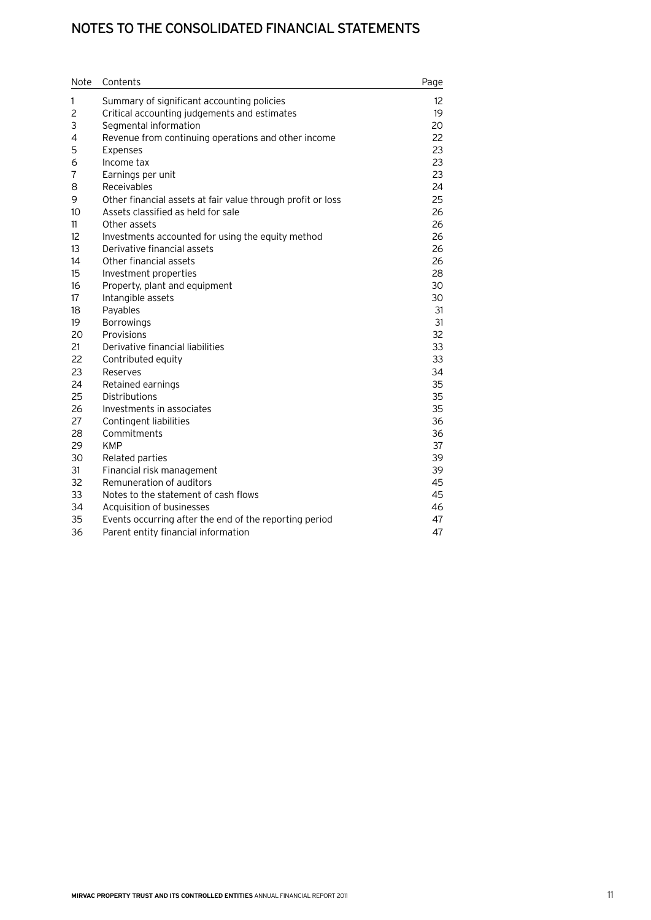# Notes to the consolidated financial statements

| Note           | Contents                                                    | Page |
|----------------|-------------------------------------------------------------|------|
| 1              | Summary of significant accounting policies                  | 12   |
| $\overline{c}$ | Critical accounting judgements and estimates                | 19   |
| 3              | Segmental information                                       | 20   |
| 4              | Revenue from continuing operations and other income         | 22   |
| 5              | Expenses                                                    | 23   |
| 6              | Income tax                                                  | 23   |
| $\overline{7}$ | Earnings per unit                                           | 23   |
| 8              | <b>Receivables</b>                                          | 24   |
| 9              | Other financial assets at fair value through profit or loss | 25   |
| 10             | Assets classified as held for sale                          | 26   |
| 11             | Other assets                                                | 26   |
| 12             | Investments accounted for using the equity method           | 26   |
| 13             | Derivative financial assets                                 | 26   |
| 14             | Other financial assets                                      | 26   |
| 15             | Investment properties                                       | 28   |
| 16             | Property, plant and equipment                               | 30   |
| 17             | Intangible assets                                           | 30   |
| 18             | Payables                                                    | 31   |
| 19             | <b>Borrowings</b>                                           | 31   |
| 20             | Provisions                                                  | 32   |
| 21             | Derivative financial liabilities                            | 33   |
| 22             | Contributed equity                                          | 33   |
| 23             | Reserves                                                    | 34   |
| 24             | Retained earnings                                           | 35   |
| 25             | <b>Distributions</b>                                        | 35   |
| 26             | Investments in associates                                   | 35   |
| 27             | Contingent liabilities                                      | 36   |
| 28             | Commitments                                                 | 36   |
| 29             | <b>KMP</b>                                                  | 37   |
| 30             | Related parties                                             | 39   |
| 31             | Financial risk management                                   | 39   |
| 32             | Remuneration of auditors                                    | 45   |
| 33             | Notes to the statement of cash flows                        | 45   |
| 34             | Acquisition of businesses                                   | 46   |
| 35             | Events occurring after the end of the reporting period      | 47   |
| 36             | Parent entity financial information                         | 47   |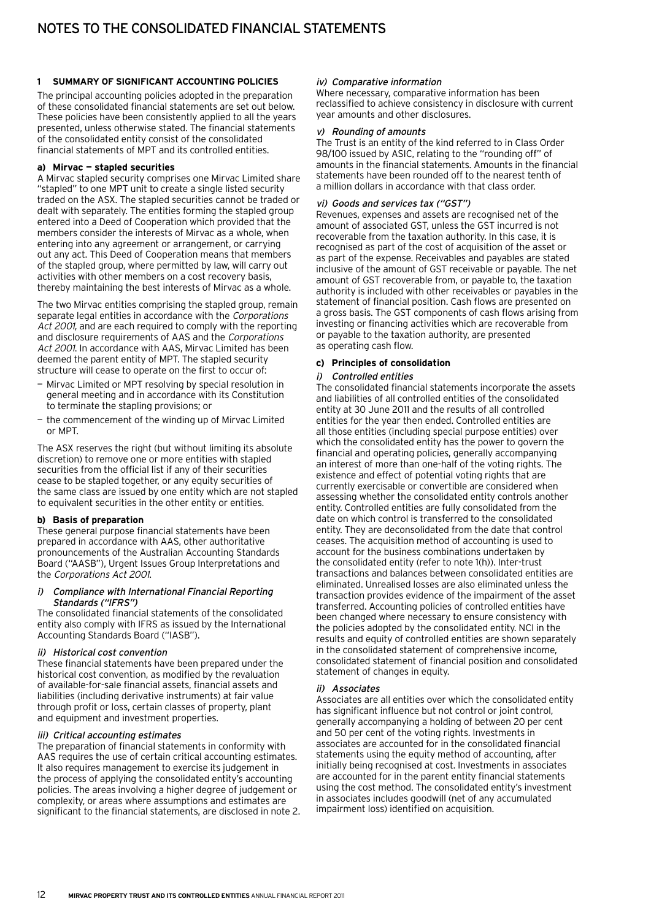#### **1 Summary of significant accounting policies**

The principal accounting policies adopted in the preparation of these consolidated financial statements are set out below. These policies have been consistently applied to all the years presented, unless otherwise stated. The financial statements of the consolidated entity consist of the consolidated financial statements of MPT and its controlled entities.

#### **a) Mirvac — stapled securities**

A Mirvac stapled security comprises one Mirvac Limited share "stapled" to one MPT unit to create a single listed security traded on the ASX. The stapled securities cannot be traded or dealt with separately. The entities forming the stapled group entered into a Deed of Cooperation which provided that the members consider the interests of Mirvac as a whole, when entering into any agreement or arrangement, or carrying out any act. This Deed of Cooperation means that members of the stapled group, where permitted by law, will carry out activities with other members on a cost recovery basis, thereby maintaining the best interests of Mirvac as a whole.

The two Mirvac entities comprising the stapled group, remain separate legal entities in accordance with the Corporations Act 2001, and are each required to comply with the reporting and disclosure requirements of AAS and the Corporations Act 2001. In accordance with AAS, Mirvac Limited has been deemed the parent entity of MPT. The stapled security structure will cease to operate on the first to occur of:

- Mirvac Limited or MPT resolving by special resolution in general meeting and in accordance with its Constitution to terminate the stapling provisions; or
- the commencement of the winding up of Mirvac Limited or MPT.

The ASX reserves the right (but without limiting its absolute discretion) to remove one or more entities with stapled securities from the official list if any of their securities cease to be stapled together, or any equity securities of the same class are issued by one entity which are not stapled to equivalent securities in the other entity or entities.

#### **b) Basis of preparation**

These general purpose financial statements have been prepared in accordance with AAS, other authoritative pronouncements of the Australian Accounting Standards Board ("AASB"), Urgent Issues Group Interpretations and the Corporations Act 2001.

#### i) Compliance with International Financial Reporting Standards ("IFRS")

The consolidated financial statements of the consolidated entity also comply with IFRS as issued by the International Accounting Standards Board ("IASB").

#### ii) Historical cost convention

These financial statements have been prepared under the historical cost convention, as modified by the revaluation of available-for-sale financial assets, financial assets and liabilities (including derivative instruments) at fair value through profit or loss, certain classes of property, plant and equipment and investment properties.

#### iii) Critical accounting estimates

The preparation of financial statements in conformity with AAS requires the use of certain critical accounting estimates. It also requires management to exercise its judgement in the process of applying the consolidated entity's accounting policies. The areas involving a higher degree of judgement or complexity, or areas where assumptions and estimates are significant to the financial statements, are disclosed in note 2.

#### iv) Comparative information

Where necessary, comparative information has been reclassified to achieve consistency in disclosure with current year amounts and other disclosures.

#### v) Rounding of amounts

The Trust is an entity of the kind referred to in Class Order 98/100 issued by ASIC, relating to the "rounding off" of amounts in the financial statements. Amounts in the financial statements have been rounded off to the nearest tenth of a million dollars in accordance with that class order.

#### vi) Goods and services tax ("GST")

Revenues, expenses and assets are recognised net of the amount of associated GST, unless the GST incurred is not recoverable from the taxation authority. In this case, it is recognised as part of the cost of acquisition of the asset or as part of the expense. Receivables and payables are stated inclusive of the amount of GST receivable or payable. The net amount of GST recoverable from, or payable to, the taxation authority is included with other receivables or payables in the statement of financial position. Cash flows are presented on a gross basis. The GST components of cash flows arising from investing or financing activities which are recoverable from or payable to the taxation authority, are presented as operating cash flow.

#### **c) Principles of consolidation**

#### i) Controlled entities

The consolidated financial statements incorporate the assets and liabilities of all controlled entities of the consolidated entity at 30 June 2011 and the results of all controlled entities for the year then ended. Controlled entities are all those entities (including special purpose entities) over which the consolidated entity has the power to govern the financial and operating policies, generally accompanying an interest of more than one-half of the voting rights. The existence and effect of potential voting rights that are currently exercisable or convertible are considered when assessing whether the consolidated entity controls another entity. Controlled entities are fully consolidated from the date on which control is transferred to the consolidated entity. They are deconsolidated from the date that control ceases. The acquisition method of accounting is used to account for the business combinations undertaken by the consolidated entity (refer to note 1(h)). Inter-trust transactions and balances between consolidated entities are eliminated. Unrealised losses are also eliminated unless the transaction provides evidence of the impairment of the asset transferred. Accounting policies of controlled entities have been changed where necessary to ensure consistency with the policies adopted by the consolidated entity. NCI in the results and equity of controlled entities are shown separately in the consolidated statement of comprehensive income, consolidated statement of financial position and consolidated statement of changes in equity.

#### ii) Associates

Associates are all entities over which the consolidated entity has significant influence but not control or joint control, generally accompanying a holding of between 20 per cent and 50 per cent of the voting rights. Investments in associates are accounted for in the consolidated financial statements using the equity method of accounting, after initially being recognised at cost. Investments in associates are accounted for in the parent entity financial statements using the cost method. The consolidated entity's investment in associates includes goodwill (net of any accumulated impairment loss) identified on acquisition.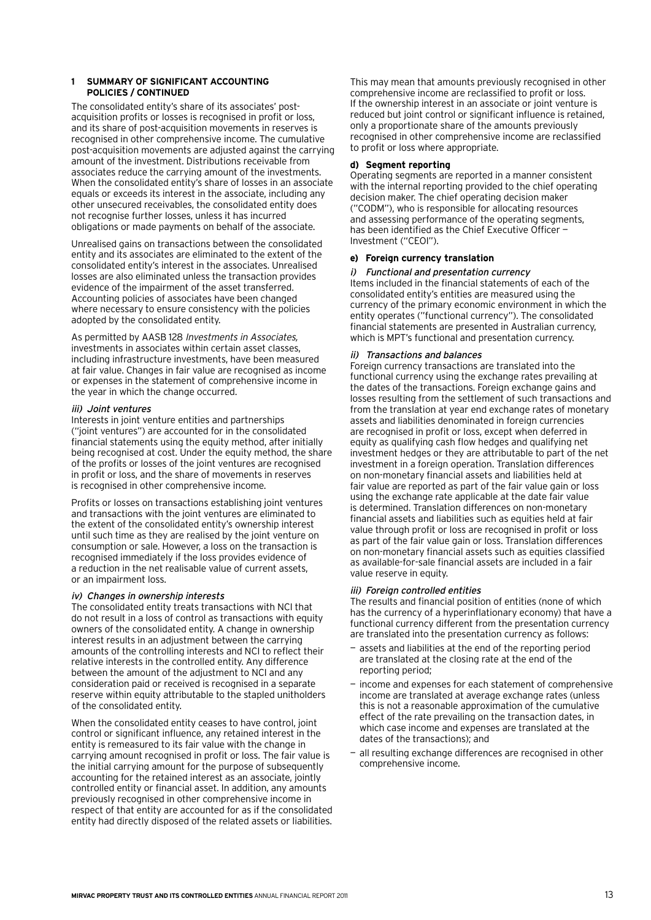The consolidated entity's share of its associates' postacquisition profits or losses is recognised in profit or loss, and its share of post-acquisition movements in reserves is recognised in other comprehensive income. The cumulative post-acquisition movements are adjusted against the carrying amount of the investment. Distributions receivable from associates reduce the carrying amount of the investments. When the consolidated entity's share of losses in an associate equals or exceeds its interest in the associate, including any other unsecured receivables, the consolidated entity does not recognise further losses, unless it has incurred obligations or made payments on behalf of the associate.

Unrealised gains on transactions between the consolidated entity and its associates are eliminated to the extent of the consolidated entity's interest in the associates. Unrealised losses are also eliminated unless the transaction provides evidence of the impairment of the asset transferred. Accounting policies of associates have been changed where necessary to ensure consistency with the policies adopted by the consolidated entity.

As permitted by AASB 128 Investments in Associates, investments in associates within certain asset classes, including infrastructure investments, have been measured at fair value. Changes in fair value are recognised as income or expenses in the statement of comprehensive income in the year in which the change occurred.

#### iii) Joint ventures

Interests in joint venture entities and partnerships ("joint ventures") are accounted for in the consolidated financial statements using the equity method, after initially being recognised at cost. Under the equity method, the share of the profits or losses of the joint ventures are recognised in profit or loss, and the share of movements in reserves is recognised in other comprehensive income.

Profits or losses on transactions establishing joint ventures and transactions with the joint ventures are eliminated to the extent of the consolidated entity's ownership interest until such time as they are realised by the joint venture on consumption or sale. However, a loss on the transaction is recognised immediately if the loss provides evidence of a reduction in the net realisable value of current assets, or an impairment loss.

#### iv) Changes in ownership interests

The consolidated entity treats transactions with NCI that do not result in a loss of control as transactions with equity owners of the consolidated entity. A change in ownership interest results in an adjustment between the carrying amounts of the controlling interests and NCI to reflect their relative interests in the controlled entity. Any difference between the amount of the adjustment to NCI and any consideration paid or received is recognised in a separate reserve within equity attributable to the stapled unitholders of the consolidated entity.

When the consolidated entity ceases to have control, joint control or significant influence, any retained interest in the entity is remeasured to its fair value with the change in carrying amount recognised in profit or loss. The fair value is the initial carrying amount for the purpose of subsequently accounting for the retained interest as an associate, jointly controlled entity or financial asset. In addition, any amounts previously recognised in other comprehensive income in respect of that entity are accounted for as if the consolidated entity had directly disposed of the related assets or liabilities.

This may mean that amounts previously recognised in other comprehensive income are reclassified to profit or loss. If the ownership interest in an associate or joint venture is reduced but joint control or significant influence is retained, only a proportionate share of the amounts previously recognised in other comprehensive income are reclassified to profit or loss where appropriate.

#### **d) Segment reporting**

Operating segments are reported in a manner consistent with the internal reporting provided to the chief operating decision maker. The chief operating decision maker ("CODM"), who is responsible for allocating resources and assessing performance of the operating segments, has been identified as the Chief Executive Officer -Investment ("CEOI").

#### **e) Foreign currency translation**

#### i) Functional and presentation currency

Items included in the financial statements of each of the consolidated entity's entities are measured using the currency of the primary economic environment in which the entity operates ("functional currency"). The consolidated financial statements are presented in Australian currency, which is MPT's functional and presentation currency.

#### ii) Transactions and balances

Foreign currency transactions are translated into the functional currency using the exchange rates prevailing at the dates of the transactions. Foreign exchange gains and losses resulting from the settlement of such transactions and from the translation at year end exchange rates of monetary assets and liabilities denominated in foreign currencies are recognised in profit or loss, except when deferred in equity as qualifying cash flow hedges and qualifying net investment hedges or they are attributable to part of the net investment in a foreign operation. Translation differences on non-monetary financial assets and liabilities held at fair value are reported as part of the fair value gain or loss using the exchange rate applicable at the date fair value is determined. Translation differences on non-monetary financial assets and liabilities such as equities held at fair value through profit or loss are recognised in profit or loss as part of the fair value gain or loss. Translation differences on non-monetary financial assets such as equities classified as available-for-sale financial assets are included in a fair value reserve in equity.

#### iii) Foreign controlled entities

The results and financial position of entities (none of which has the currency of a hyperinflationary economy) that have a functional currency different from the presentation currency are translated into the presentation currency as follows:

- assets and liabilities at the end of the reporting period are translated at the closing rate at the end of the reporting period;
- income and expenses for each statement of comprehensive income are translated at average exchange rates (unless this is not a reasonable approximation of the cumulative effect of the rate prevailing on the transaction dates, in which case income and expenses are translated at the dates of the transactions); and
- all resulting exchange differences are recognised in other comprehensive income.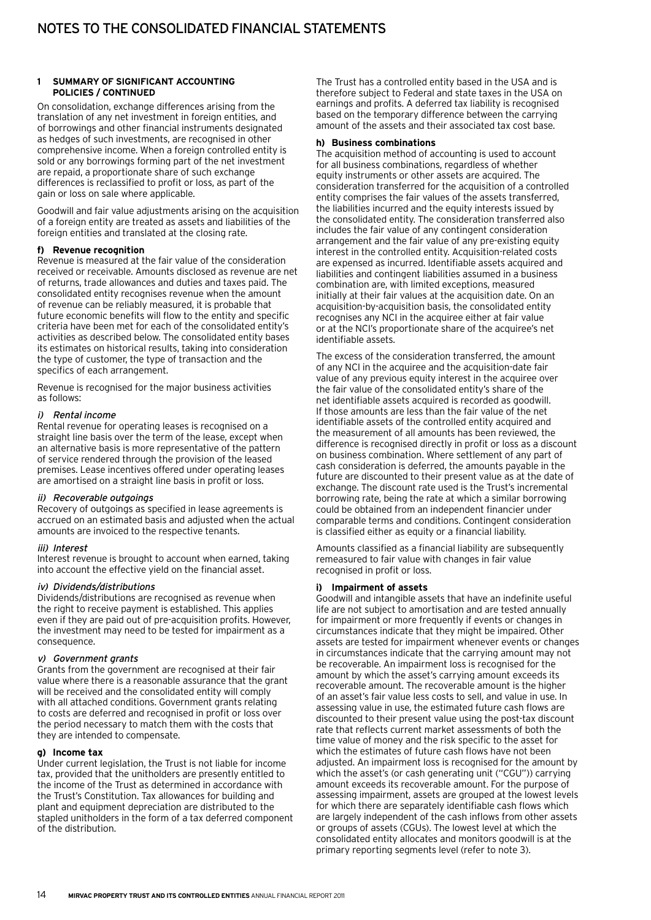On consolidation, exchange differences arising from the translation of any net investment in foreign entities, and of borrowings and other financial instruments designated as hedges of such investments, are recognised in other comprehensive income. When a foreign controlled entity is sold or any borrowings forming part of the net investment are repaid, a proportionate share of such exchange differences is reclassified to profit or loss, as part of the gain or loss on sale where applicable.

Goodwill and fair value adjustments arising on the acquisition of a foreign entity are treated as assets and liabilities of the foreign entities and translated at the closing rate.

#### **f) Revenue recognition**

Revenue is measured at the fair value of the consideration received or receivable. Amounts disclosed as revenue are net of returns, trade allowances and duties and taxes paid. The consolidated entity recognises revenue when the amount of revenue can be reliably measured, it is probable that future economic benefits will flow to the entity and specific criteria have been met for each of the consolidated entity's activities as described below. The consolidated entity bases its estimates on historical results, taking into consideration the type of customer, the type of transaction and the specifics of each arrangement.

Revenue is recognised for the major business activities as follows:

#### i) Rental income

Rental revenue for operating leases is recognised on a straight line basis over the term of the lease, except when an alternative basis is more representative of the pattern of service rendered through the provision of the leased premises. Lease incentives offered under operating leases are amortised on a straight line basis in profit or loss.

#### ii) Recoverable outgoings

Recovery of outgoings as specified in lease agreements is accrued on an estimated basis and adjusted when the actual amounts are invoiced to the respective tenants.

#### iii) Interest

Interest revenue is brought to account when earned, taking into account the effective yield on the financial asset.

#### iv) Dividends/distributions

Dividends/distributions are recognised as revenue when the right to receive payment is established. This applies even if they are paid out of pre-acquisition profits. However, the investment may need to be tested for impairment as a consequence.

#### v) Government grants

Grants from the government are recognised at their fair value where there is a reasonable assurance that the grant will be received and the consolidated entity will comply with all attached conditions. Government grants relating to costs are deferred and recognised in profit or loss over the period necessary to match them with the costs that they are intended to compensate.

#### **g) Income tax**

Under current legislation, the Trust is not liable for income tax, provided that the unitholders are presently entitled to the income of the Trust as determined in accordance with the Trust's Constitution. Tax allowances for building and plant and equipment depreciation are distributed to the stapled unitholders in the form of a tax deferred component of the distribution.

The Trust has a controlled entity based in the USA and is therefore subject to Federal and state taxes in the USA on earnings and profits. A deferred tax liability is recognised based on the temporary difference between the carrying amount of the assets and their associated tax cost base.

#### **h) Business combinations**

The acquisition method of accounting is used to account for all business combinations, regardless of whether equity instruments or other assets are acquired. The consideration transferred for the acquisition of a controlled entity comprises the fair values of the assets transferred, the liabilities incurred and the equity interests issued by the consolidated entity. The consideration transferred also includes the fair value of any contingent consideration arrangement and the fair value of any pre-existing equity interest in the controlled entity. Acquisition-related costs are expensed as incurred. Identifiable assets acquired and liabilities and contingent liabilities assumed in a business combination are, with limited exceptions, measured initially at their fair values at the acquisition date. On an acquisition-by-acquisition basis, the consolidated entity recognises any NCI in the acquiree either at fair value or at the NCI's proportionate share of the acquiree's net identifiable assets.

The excess of the consideration transferred, the amount of any NCI in the acquiree and the acquisition-date fair value of any previous equity interest in the acquiree over the fair value of the consolidated entity's share of the net identifiable assets acquired is recorded as goodwill. If those amounts are less than the fair value of the net identifiable assets of the controlled entity acquired and the measurement of all amounts has been reviewed, the difference is recognised directly in profit or loss as a discount on business combination. Where settlement of any part of cash consideration is deferred, the amounts payable in the future are discounted to their present value as at the date of exchange. The discount rate used is the Trust's incremental borrowing rate, being the rate at which a similar borrowing could be obtained from an independent financier under comparable terms and conditions. Contingent consideration is classified either as equity or a financial liability.

Amounts classified as a financial liability are subsequently remeasured to fair value with changes in fair value recognised in profit or loss.

#### **i) Impairment of assets**

Goodwill and intangible assets that have an indefinite useful life are not subject to amortisation and are tested annually for impairment or more frequently if events or changes in circumstances indicate that they might be impaired. Other assets are tested for impairment whenever events or changes in circumstances indicate that the carrying amount may not be recoverable. An impairment loss is recognised for the amount by which the asset's carrying amount exceeds its recoverable amount. The recoverable amount is the higher of an asset's fair value less costs to sell, and value in use. In assessing value in use, the estimated future cash flows are discounted to their present value using the post-tax discount rate that reflects current market assessments of both the time value of money and the risk specific to the asset for which the estimates of future cash flows have not been adjusted. An impairment loss is recognised for the amount by which the asset's (or cash generating unit ("CGU")) carrying amount exceeds its recoverable amount. For the purpose of assessing impairment, assets are grouped at the lowest levels for which there are separately identifiable cash flows which are largely independent of the cash inflows from other assets or groups of assets (CGUs). The lowest level at which the consolidated entity allocates and monitors goodwill is at the primary reporting segments level (refer to note 3).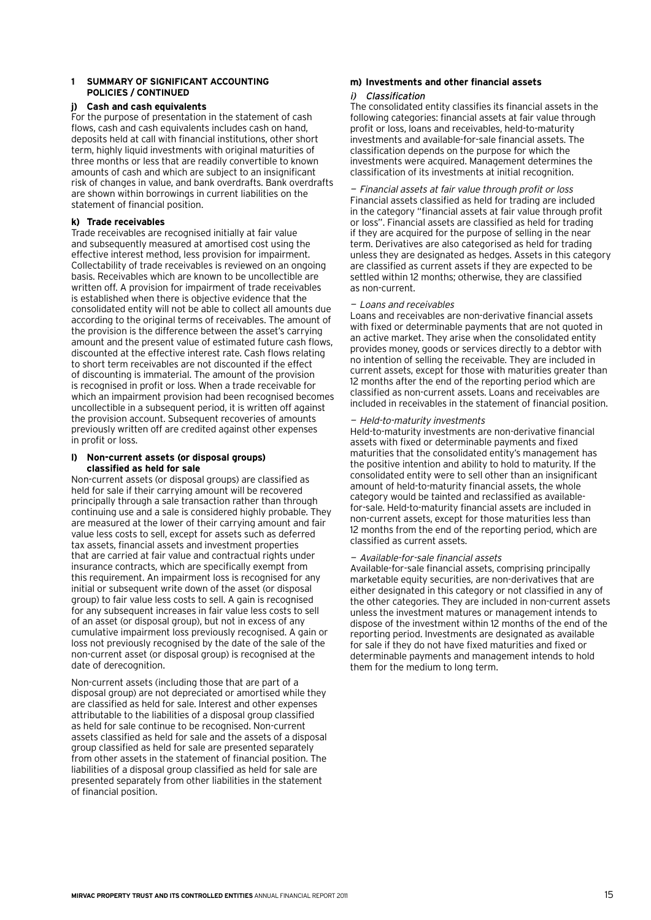#### **j) Cash and cash equivalents**

For the purpose of presentation in the statement of cash flows, cash and cash equivalents includes cash on hand, deposits held at call with financial institutions, other short term, highly liquid investments with original maturities of three months or less that are readily convertible to known amounts of cash and which are subject to an insignificant risk of changes in value, and bank overdrafts. Bank overdrafts are shown within borrowings in current liabilities on the statement of financial position.

#### **k) Trade receivables**

Trade receivables are recognised initially at fair value and subsequently measured at amortised cost using the effective interest method, less provision for impairment. Collectability of trade receivables is reviewed on an ongoing basis. Receivables which are known to be uncollectible are written off. A provision for impairment of trade receivables is established when there is objective evidence that the consolidated entity will not be able to collect all amounts due according to the original terms of receivables. The amount of the provision is the difference between the asset's carrying amount and the present value of estimated future cash flows, discounted at the effective interest rate. Cash flows relating to short term receivables are not discounted if the effect of discounting is immaterial. The amount of the provision is recognised in profit or loss. When a trade receivable for which an impairment provision had been recognised becomes uncollectible in a subsequent period, it is written off against the provision account. Subsequent recoveries of amounts previously written off are credited against other expenses in profit or loss.

#### **l) Non-current assets (or disposal groups) classified as held for sale**

Non-current assets (or disposal groups) are classified as held for sale if their carrying amount will be recovered principally through a sale transaction rather than through continuing use and a sale is considered highly probable. They are measured at the lower of their carrying amount and fair value less costs to sell, except for assets such as deferred tax assets, financial assets and investment properties that are carried at fair value and contractual rights under insurance contracts, which are specifically exempt from this requirement. An impairment loss is recognised for any initial or subsequent write down of the asset (or disposal group) to fair value less costs to sell. A gain is recognised for any subsequent increases in fair value less costs to sell of an asset (or disposal group), but not in excess of any cumulative impairment loss previously recognised. A gain or loss not previously recognised by the date of the sale of the non-current asset (or disposal group) is recognised at the date of derecognition.

Non-current assets (including those that are part of a disposal group) are not depreciated or amortised while they are classified as held for sale. Interest and other expenses attributable to the liabilities of a disposal group classified as held for sale continue to be recognised. Non-current assets classified as held for sale and the assets of a disposal group classified as held for sale are presented separately from other assets in the statement of financial position. The liabilities of a disposal group classified as held for sale are presented separately from other liabilities in the statement of financial position.

# **m) Investments and other financial assets**

#### i) Classification

The consolidated entity classifies its financial assets in the following categories: financial assets at fair value through profit or loss, loans and receivables, held-to-maturity investments and available-for-sale financial assets. The classification depends on the purpose for which the investments were acquired. Management determines the classification of its investments at initial recognition.

— Financial assets at fair value through profit or loss Financial assets classified as held for trading are included in the category "financial assets at fair value through profit or loss". Financial assets are classified as held for trading if they are acquired for the purpose of selling in the near term. Derivatives are also categorised as held for trading unless they are designated as hedges. Assets in this category are classified as current assets if they are expected to be settled within 12 months; otherwise, they are classified as non-current.

#### — Loans and receivables

Loans and receivables are non-derivative financial assets with fixed or determinable payments that are not quoted in an active market. They arise when the consolidated entity provides money, goods or services directly to a debtor with no intention of selling the receivable. They are included in current assets, except for those with maturities greater than 12 months after the end of the reporting period which are classified as non-current assets. Loans and receivables are included in receivables in the statement of financial position.

#### — Held-to-maturity investments

Held-to-maturity investments are non-derivative financial assets with fixed or determinable payments and fixed maturities that the consolidated entity's management has the positive intention and ability to hold to maturity. If the consolidated entity were to sell other than an insignificant amount of held-to-maturity financial assets, the whole category would be tainted and reclassified as availablefor-sale. Held-to-maturity financial assets are included in non-current assets, except for those maturities less than 12 months from the end of the reporting period, which are classified as current assets.

#### — Available-for-sale financial assets

Available-for-sale financial assets, comprising principally marketable equity securities, are non-derivatives that are either designated in this category or not classified in any of the other categories. They are included in non-current assets unless the investment matures or management intends to dispose of the investment within 12 months of the end of the reporting period. Investments are designated as available for sale if they do not have fixed maturities and fixed or determinable payments and management intends to hold them for the medium to long term.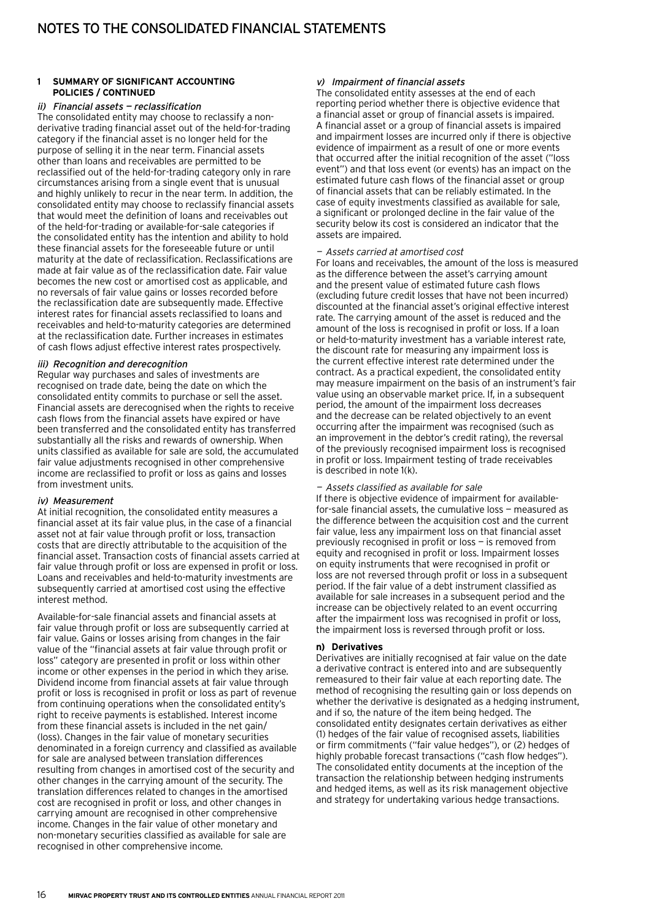#### ii) Financial assets — reclassification

The consolidated entity may choose to reclassify a nonderivative trading financial asset out of the held-for-trading category if the financial asset is no longer held for the purpose of selling it in the near term. Financial assets other than loans and receivables are permitted to be reclassified out of the held-for-trading category only in rare circumstances arising from a single event that is unusual and highly unlikely to recur in the near term. In addition, the consolidated entity may choose to reclassify financial assets that would meet the definition of loans and receivables out of the held-for-trading or available-for-sale categories if the consolidated entity has the intention and ability to hold these financial assets for the foreseeable future or until maturity at the date of reclassification. Reclassifications are made at fair value as of the reclassification date. Fair value becomes the new cost or amortised cost as applicable, and no reversals of fair value gains or losses recorded before the reclassification date are subsequently made. Effective interest rates for financial assets reclassified to loans and receivables and held-to-maturity categories are determined at the reclassification date. Further increases in estimates of cash flows adjust effective interest rates prospectively.

#### iii) Recognition and derecognition

Regular way purchases and sales of investments are recognised on trade date, being the date on which the consolidated entity commits to purchase or sell the asset. Financial assets are derecognised when the rights to receive cash flows from the financial assets have expired or have been transferred and the consolidated entity has transferred substantially all the risks and rewards of ownership. When units classified as available for sale are sold, the accumulated fair value adjustments recognised in other comprehensive income are reclassified to profit or loss as gains and losses from investment units.

#### iv) Measurement

At initial recognition, the consolidated entity measures a financial asset at its fair value plus, in the case of a financial asset not at fair value through profit or loss, transaction costs that are directly attributable to the acquisition of the financial asset. Transaction costs of financial assets carried at fair value through profit or loss are expensed in profit or loss. Loans and receivables and held-to-maturity investments are subsequently carried at amortised cost using the effective interest method.

Available-for-sale financial assets and financial assets at fair value through profit or loss are subsequently carried at fair value. Gains or losses arising from changes in the fair value of the "financial assets at fair value through profit or loss" category are presented in profit or loss within other income or other expenses in the period in which they arise. Dividend income from financial assets at fair value through profit or loss is recognised in profit or loss as part of revenue from continuing operations when the consolidated entity's right to receive payments is established. Interest income from these financial assets is included in the net gain/ (loss). Changes in the fair value of monetary securities denominated in a foreign currency and classified as available for sale are analysed between translation differences resulting from changes in amortised cost of the security and other changes in the carrying amount of the security. The translation differences related to changes in the amortised cost are recognised in profit or loss, and other changes in carrying amount are recognised in other comprehensive income. Changes in the fair value of other monetary and non-monetary securities classified as available for sale are recognised in other comprehensive income.

#### v) Impairment of financial assets

The consolidated entity assesses at the end of each reporting period whether there is objective evidence that a financial asset or group of financial assets is impaired. A financial asset or a group of financial assets is impaired and impairment losses are incurred only if there is objective evidence of impairment as a result of one or more events that occurred after the initial recognition of the asset ("loss event") and that loss event (or events) has an impact on the estimated future cash flows of the financial asset or group of financial assets that can be reliably estimated. In the case of equity investments classified as available for sale, a significant or prolonged decline in the fair value of the security below its cost is considered an indicator that the assets are impaired.

#### — Assets carried at amortised cost

For loans and receivables, the amount of the loss is measured as the difference between the asset's carrying amount and the present value of estimated future cash flows (excluding future credit losses that have not been incurred) discounted at the financial asset's original effective interest rate. The carrying amount of the asset is reduced and the amount of the loss is recognised in profit or loss. If a loan or held-to-maturity investment has a variable interest rate, the discount rate for measuring any impairment loss is the current effective interest rate determined under the contract. As a practical expedient, the consolidated entity may measure impairment on the basis of an instrument's fair value using an observable market price. If, in a subsequent period, the amount of the impairment loss decreases and the decrease can be related objectively to an event occurring after the impairment was recognised (such as an improvement in the debtor's credit rating), the reversal of the previously recognised impairment loss is recognised in profit or loss. Impairment testing of trade receivables is described in note 1(k).

#### —Assets classified as available for sale

If there is objective evidence of impairment for availablefor-sale financial assets, the cumulative loss — measured as the difference between the acquisition cost and the current fair value, less any impairment loss on that financial asset previously recognised in profit or loss — is removed from equity and recognised in profit or loss. Impairment losses on equity instruments that were recognised in profit or loss are not reversed through profit or loss in a subsequent period. If the fair value of a debt instrument classified as available for sale increases in a subsequent period and the increase can be objectively related to an event occurring after the impairment loss was recognised in profit or loss, the impairment loss is reversed through profit or loss.

#### **n) Derivatives**

Derivatives are initially recognised at fair value on the date a derivative contract is entered into and are subsequently remeasured to their fair value at each reporting date. The method of recognising the resulting gain or loss depends on whether the derivative is designated as a hedging instrument, and if so, the nature of the item being hedged. The consolidated entity designates certain derivatives as either (1) hedges of the fair value of recognised assets, liabilities or firm commitments ("fair value hedges"), or (2) hedges of highly probable forecast transactions ("cash flow hedges"). The consolidated entity documents at the inception of the transaction the relationship between hedging instruments and hedged items, as well as its risk management objective and strategy for undertaking various hedge transactions.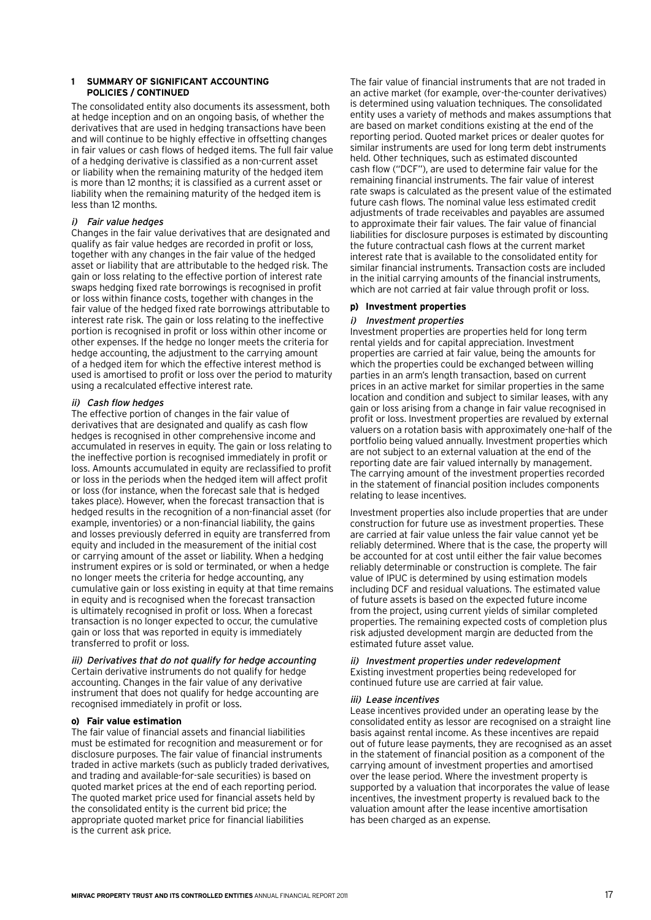The consolidated entity also documents its assessment, both at hedge inception and on an ongoing basis, of whether the derivatives that are used in hedging transactions have been and will continue to be highly effective in offsetting changes in fair values or cash flows of hedged items. The full fair value of a hedging derivative is classified as a non-current asset or liability when the remaining maturity of the hedged item is more than 12 months; it is classified as a current asset or liability when the remaining maturity of the hedged item is less than 12 months.

#### i) Fair value hedges

Changes in the fair value derivatives that are designated and qualify as fair value hedges are recorded in profit or loss, together with any changes in the fair value of the hedged asset or liability that are attributable to the hedged risk. The gain or loss relating to the effective portion of interest rate swaps hedging fixed rate borrowings is recognised in profit or loss within finance costs, together with changes in the fair value of the hedged fixed rate borrowings attributable to interest rate risk. The gain or loss relating to the ineffective portion is recognised in profit or loss within other income or other expenses. If the hedge no longer meets the criteria for hedge accounting, the adjustment to the carrying amount of a hedged item for which the effective interest method is used is amortised to profit or loss over the period to maturity using a recalculated effective interest rate.

#### ii) Cash flow hedges

The effective portion of changes in the fair value of derivatives that are designated and qualify as cash flow hedges is recognised in other comprehensive income and accumulated in reserves in equity. The gain or loss relating to the ineffective portion is recognised immediately in profit or loss. Amounts accumulated in equity are reclassified to profit or loss in the periods when the hedged item will affect profit or loss (for instance, when the forecast sale that is hedged takes place). However, when the forecast transaction that is hedged results in the recognition of a non-financial asset (for example, inventories) or a non-financial liability, the gains and losses previously deferred in equity are transferred from equity and included in the measurement of the initial cost or carrying amount of the asset or liability. When a hedging instrument expires or is sold or terminated, or when a hedge no longer meets the criteria for hedge accounting, any cumulative gain or loss existing in equity at that time remains in equity and is recognised when the forecast transaction is ultimately recognised in profit or loss. When a forecast transaction is no longer expected to occur, the cumulative gain or loss that was reported in equity is immediately transferred to profit or loss.

#### iii) Derivatives that do not qualify for hedge accounting

Certain derivative instruments do not qualify for hedge accounting. Changes in the fair value of any derivative instrument that does not qualify for hedge accounting are recognised immediately in profit or loss.

#### **o) Fair value estimation**

The fair value of financial assets and financial liabilities must be estimated for recognition and measurement or for disclosure purposes. The fair value of financial instruments traded in active markets (such as publicly traded derivatives, and trading and available-for-sale securities) is based on quoted market prices at the end of each reporting period. The quoted market price used for financial assets held by the consolidated entity is the current bid price; the appropriate quoted market price for financial liabilities is the current ask price.

The fair value of financial instruments that are not traded in an active market (for example, over-the-counter derivatives) is determined using valuation techniques. The consolidated entity uses a variety of methods and makes assumptions that are based on market conditions existing at the end of the reporting period. Quoted market prices or dealer quotes for similar instruments are used for long term debt instruments held. Other techniques, such as estimated discounted cash flow ("DCF"), are used to determine fair value for the remaining financial instruments. The fair value of interest rate swaps is calculated as the present value of the estimated future cash flows. The nominal value less estimated credit adjustments of trade receivables and payables are assumed to approximate their fair values. The fair value of financial liabilities for disclosure purposes is estimated by discounting the future contractual cash flows at the current market interest rate that is available to the consolidated entity for similar financial instruments. Transaction costs are included in the initial carrying amounts of the financial instruments, which are not carried at fair value through profit or loss.

#### **p) Investment properties**

#### i) Investment properties

Investment properties are properties held for long term rental yields and for capital appreciation. Investment properties are carried at fair value, being the amounts for which the properties could be exchanged between willing parties in an arm's length transaction, based on current prices in an active market for similar properties in the same location and condition and subject to similar leases, with any gain or loss arising from a change in fair value recognised in profit or loss. Investment properties are revalued by external valuers on a rotation basis with approximately one-half of the portfolio being valued annually. Investment properties which are not subject to an external valuation at the end of the reporting date are fair valued internally by management. The carrying amount of the investment properties recorded in the statement of financial position includes components relating to lease incentives.

Investment properties also include properties that are under construction for future use as investment properties. These are carried at fair value unless the fair value cannot yet be reliably determined. Where that is the case, the property will be accounted for at cost until either the fair value becomes reliably determinable or construction is complete. The fair value of IPUC is determined by using estimation models including DCF and residual valuations. The estimated value of future assets is based on the expected future income from the project, using current yields of similar completed properties. The remaining expected costs of completion plus risk adjusted development margin are deducted from the estimated future asset value.

#### ii) Investment properties under redevelopment Existing investment properties being redeveloped for continued future use are carried at fair value.

#### iii) Lease incentives

Lease incentives provided under an operating lease by the consolidated entity as lessor are recognised on a straight line basis against rental income. As these incentives are repaid out of future lease payments, they are recognised as an asset in the statement of financial position as a component of the carrying amount of investment properties and amortised over the lease period. Where the investment property is supported by a valuation that incorporates the value of lease incentives, the investment property is revalued back to the valuation amount after the lease incentive amortisation has been charged as an expense.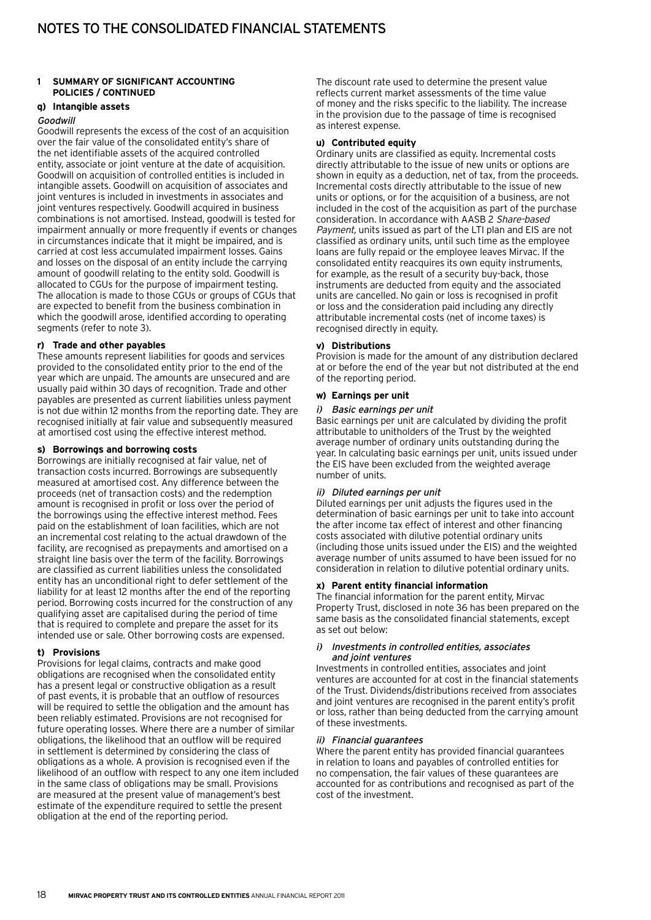#### **q) Intangible assets**

#### Goodwill

Goodwill represents the excess of the cost of an acquisition over the fair value of the consolidated entity's share of the net identifiable assets of the acquired controlled entity, associate or joint venture at the date of acquisition. Goodwill on acquisition of controlled entities is included in intangible assets. Goodwill on acquisition of associates and joint ventures is included in investments in associates and joint ventures respectively. Goodwill acquired in business combinations is not amortised. Instead, goodwill is tested for impairment annually or more frequently if events or changes in circumstances indicate that it might be impaired, and is carried at cost less accumulated impairment losses. Gains and losses on the disposal of an entity include the carrying amount of goodwill relating to the entity sold. Goodwill is allocated to CGUs for the purpose of impairment testing. The allocation is made to those CGUs or groups of CGUs that are expected to benefit from the business combination in which the goodwill arose, identified according to operating segments (refer to note 3).

#### **r) Trade and other payables**

These amounts represent liabilities for goods and services provided to the consolidated entity prior to the end of the year which are unpaid. The amounts are unsecured and are usually paid within 30 days of recognition. Trade and other payables are presented as current liabilities unless payment is not due within 12 months from the reporting date. They are recognised initially at fair value and subsequently measured at amortised cost using the effective interest method.

#### **s) Borrowings and borrowing costs**

Borrowings are initially recognised at fair value, net of transaction costs incurred. Borrowings are subsequently measured at amortised cost. Any difference between the proceeds (net of transaction costs) and the redemption amount is recognised in profit or loss over the period of the borrowings using the effective interest method. Fees paid on the establishment of loan facilities, which are not an incremental cost relating to the actual drawdown of the facility, are recognised as prepayments and amortised on a straight line basis over the term of the facility. Borrowings are classified as current liabilities unless the consolidated entity has an unconditional right to defer settlement of the liability for at least 12 months after the end of the reporting period. Borrowing costs incurred for the construction of any qualifying asset are capitalised during the period of time that is required to complete and prepare the asset for its intended use or sale. Other borrowing costs are expensed.

#### **t) Provisions**

Provisions for legal claims, contracts and make good obligations are recognised when the consolidated entity has a present legal or constructive obligation as a result of past events, it is probable that an outflow of resources will be required to settle the obligation and the amount has been reliably estimated. Provisions are not recognised for future operating losses. Where there are a number of similar obligations, the likelihood that an outflow will be required in settlement is determined by considering the class of obligations as a whole. A provision is recognised even if the likelihood of an outflow with respect to any one item included in the same class of obligations may be small. Provisions are measured at the present value of management's best estimate of the expenditure required to settle the present obligation at the end of the reporting period.

The discount rate used to determine the present value reflects current market assessments of the time value of money and the risks specific to the liability. The increase in the provision due to the passage of time is recognised as interest expense.

#### **u) Contributed equity**

Ordinary units are classified as equity. Incremental costs directly attributable to the issue of new units or options are shown in equity as a deduction, net of tax, from the proceeds. Incremental costs directly attributable to the issue of new units or options, or for the acquisition of a business, are not included in the cost of the acquisition as part of the purchase consideration. In accordance with AASB 2 Share-based Payment, units issued as part of the LTI plan and EIS are not classified as ordinary units, until such time as the employee loans are fully repaid or the employee leaves Mirvac. If the consolidated entity reacquires its own equity instruments, for example, as the result of a security buy-back, those instruments are deducted from equity and the associated units are cancelled. No gain or loss is recognised in profit or loss and the consideration paid including any directly attributable incremental costs (net of income taxes) is recognised directly in equity.

#### **v) Distributions**

Provision is made for the amount of any distribution declared at or before the end of the year but not distributed at the end of the reporting period.

#### **w) Earnings per unit**

#### i) Basic earnings per unit

Basic earnings per unit are calculated by dividing the profit attributable to unitholders of the Trust by the weighted average number of ordinary units outstanding during the year. In calculating basic earnings per unit, units issued under the EIS have been excluded from the weighted average number of units.

#### ii) Diluted earnings per unit

Diluted earnings per unit adjusts the figures used in the determination of basic earnings per unit to take into account the after income tax effect of interest and other financing costs associated with dilutive potential ordinary units (including those units issued under the EIS) and the weighted average number of units assumed to have been issued for no consideration in relation to dilutive potential ordinary units.

#### **x) Parent entity financial information**

The financial information for the parent entity, Mirvac Property Trust, disclosed in note 36 has been prepared on the same basis as the consolidated financial statements, except as set out below:

#### i) Investments in controlled entities, associates and joint ventures

Investments in controlled entities, associates and joint ventures are accounted for at cost in the financial statements of the Trust. Dividends/distributions received from associates and joint ventures are recognised in the parent entity's profit or loss, rather than being deducted from the carrying amount of these investments.

#### ii) Financial guarantees

Where the parent entity has provided financial guarantees in relation to loans and payables of controlled entities for no compensation, the fair values of these guarantees are accounted for as contributions and recognised as part of the cost of the investment.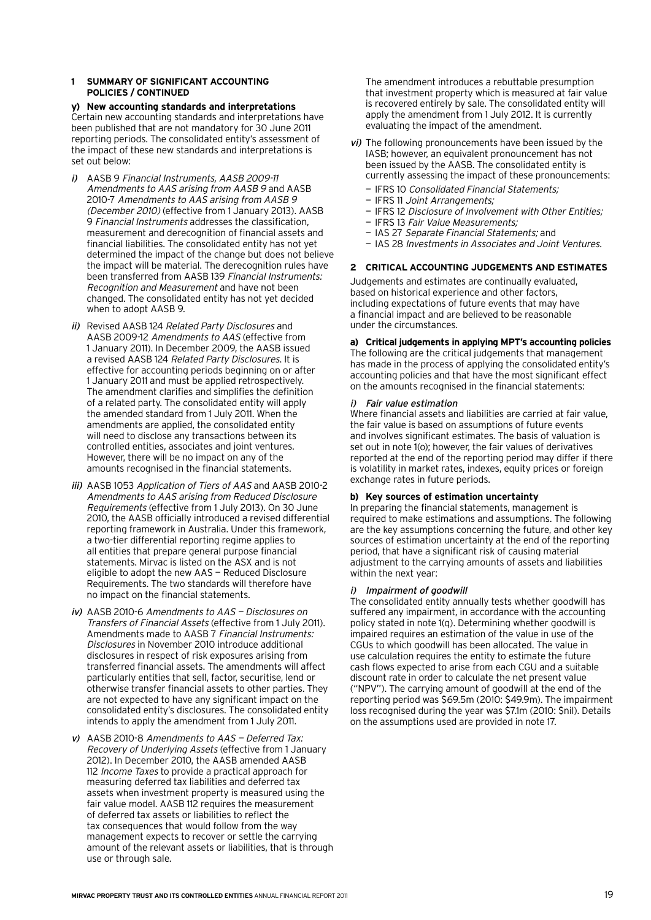**y) New accounting standards and interpretations** Certain new accounting standards and interpretations have been published that are not mandatory for 30 June 2011 reporting periods. The consolidated entity's assessment of the impact of these new standards and interpretations is set out below:

- i) AASB 9 Financial Instruments, AASB 2009-11 Amendments to AAS arising from AASB 9 and AASB 2010-7 Amendments to AAS arising from AASB 9 (December 2010) (effective from 1 January 2013). AASB 9 Financial Instruments addresses the classification, measurement and derecognition of financial assets and financial liabilities. The consolidated entity has not yet determined the impact of the change but does not believe the impact will be material. The derecognition rules have been transferred from AASB 139 Financial Instruments: Recognition and Measurement and have not been changed. The consolidated entity has not yet decided when to adopt AASB 9.
- ii) Revised AASB 124 Related Party Disclosures and AASB 2009-12 Amendments to AAS (effective from 1 January 2011). In December 2009, the AASB issued a revised AASB 124 Related Party Disclosures. It is effective for accounting periods beginning on or after 1 January 2011 and must be applied retrospectively. The amendment clarifies and simplifies the definition of a related party. The consolidated entity will apply the amended standard from 1 July 2011. When the amendments are applied, the consolidated entity will need to disclose any transactions between its controlled entities, associates and joint ventures. However, there will be no impact on any of the amounts recognised in the financial statements.
- iii) AASB 1053 Application of Tiers of AAS and AASB 2010-2 Amendments to AAS arising from Reduced Disclosure Requirements (effective from 1 July 2013). On 30 June 2010, the AASB officially introduced a revised differential reporting framework in Australia. Under this framework, a two-tier differential reporting regime applies to all entities that prepare general purpose financial statements. Mirvac is listed on the ASX and is not eligible to adopt the new AAS — Reduced Disclosure Requirements. The two standards will therefore have no impact on the financial statements.
- iv) AASB 2010-6 Amendments to AAS Disclosures on Transfers of Financial Assets (effective from 1 July 2011). Amendments made to AASB 7 Financial Instruments: Disclosures in November 2010 introduce additional disclosures in respect of risk exposures arising from transferred financial assets. The amendments will affect particularly entities that sell, factor, securitise, lend or otherwise transfer financial assets to other parties. They are not expected to have any significant impact on the consolidated entity's disclosures. The consolidated entity intends to apply the amendment from 1 July 2011.
- v) AASB 2010-8 Amendments to AAS Deferred Tax: Recovery of Underlying Assets (effective from 1 January 2012). In December 2010, the AASB amended AASB 112 Income Taxes to provide a practical approach for measuring deferred tax liabilities and deferred tax assets when investment property is measured using the fair value model. AASB 112 requires the measurement of deferred tax assets or liabilities to reflect the tax consequences that would follow from the way management expects to recover or settle the carrying amount of the relevant assets or liabilities, that is through use or through sale.

The amendment introduces a rebuttable presumption that investment property which is measured at fair value is recovered entirely by sale. The consolidated entity will apply the amendment from 1 July 2012. It is currently evaluating the impact of the amendment.

- vi) The following pronouncements have been issued by the IASB; however, an equivalent pronouncement has not been issued by the AASB. The consolidated entity is currently assessing the impact of these pronouncements:
	- IFRS 10 Consolidated Financial Statements;
	- IFRS 11 Joint Arrangements;
	- IFRS 12 Disclosure of Involvement with Other Entities;
	- IFRS 13 Fair Value Measurements;
	- IAS 27 Separate Financial Statements; and
	- IAS 28 Investments in Associates and Joint Ventures.

#### **2 Critical accounting judgements and estimates**

Judgements and estimates are continually evaluated, based on historical experience and other factors, including expectations of future events that may have a financial impact and are believed to be reasonable under the circumstances.

**a) Critical judgements in applying MPT's accounting policies** The following are the critical judgements that management has made in the process of applying the consolidated entity's accounting policies and that have the most significant effect

on the amounts recognised in the financial statements:

#### i) Fair value estimation

Where financial assets and liabilities are carried at fair value, the fair value is based on assumptions of future events and involves significant estimates. The basis of valuation is set out in note 1(o); however, the fair values of derivatives reported at the end of the reporting period may differ if there is volatility in market rates, indexes, equity prices or foreign exchange rates in future periods.

#### **b) Key sources of estimation uncertainty**

In preparing the financial statements, management is required to make estimations and assumptions. The following are the key assumptions concerning the future, and other key sources of estimation uncertainty at the end of the reporting period, that have a significant risk of causing material adjustment to the carrying amounts of assets and liabilities within the next year:

#### i) Impairment of goodwill

The consolidated entity annually tests whether goodwill has suffered any impairment, in accordance with the accounting policy stated in note 1(q). Determining whether goodwill is impaired requires an estimation of the value in use of the CGUs to which goodwill has been allocated. The value in use calculation requires the entity to estimate the future cash flows expected to arise from each CGU and a suitable discount rate in order to calculate the net present value ("NPV"). The carrying amount of goodwill at the end of the reporting period was \$69.5m (2010: \$49.9m). The impairment loss recognised during the year was \$7.1m (2010: \$nil). Details on the assumptions used are provided in note 17.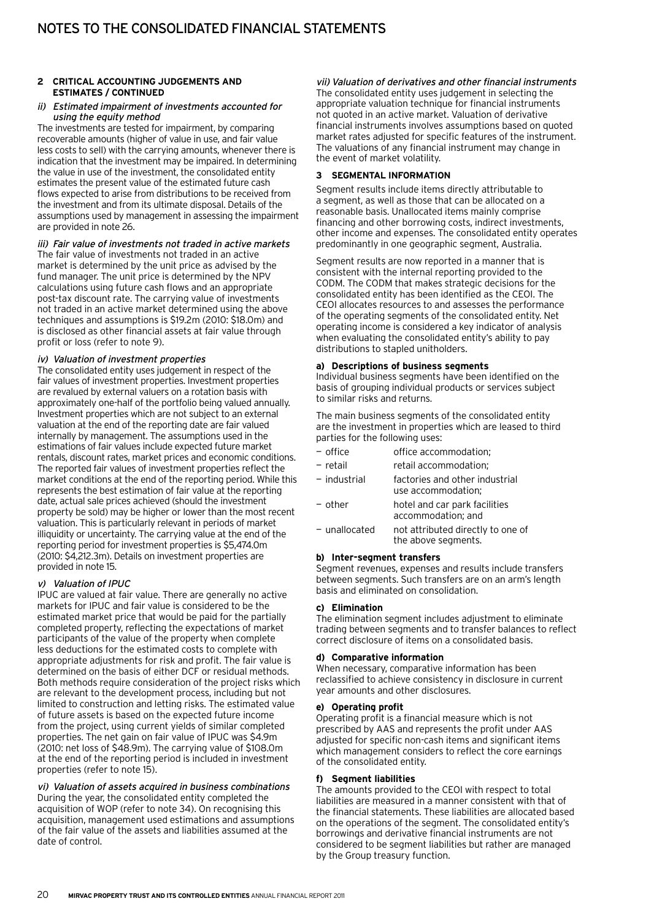#### **2 Critical accounting judgements and estimates / continued**

#### ii) Estimated impairment of investments accounted for using the equity method

The investments are tested for impairment, by comparing recoverable amounts (higher of value in use, and fair value less costs to sell) with the carrying amounts, whenever there is indication that the investment may be impaired. In determining the value in use of the investment, the consolidated entity estimates the present value of the estimated future cash flows expected to arise from distributions to be received from the investment and from its ultimate disposal. Details of the assumptions used by management in assessing the impairment are provided in note 26.

iii) Fair value of investments not traded in active markets The fair value of investments not traded in an active market is determined by the unit price as advised by the fund manager. The unit price is determined by the NPV calculations using future cash flows and an appropriate post-tax discount rate. The carrying value of investments not traded in an active market determined using the above techniques and assumptions is \$19.2m (2010: \$18.0m) and is disclosed as other financial assets at fair value through profit or loss (refer to note 9).

#### iv) Valuation of investment properties

The consolidated entity uses judgement in respect of the fair values of investment properties. Investment properties are revalued by external valuers on a rotation basis with approximately one-half of the portfolio being valued annually. Investment properties which are not subject to an external valuation at the end of the reporting date are fair valued internally by management. The assumptions used in the estimations of fair values include expected future market rentals, discount rates, market prices and economic conditions. The reported fair values of investment properties reflect the market conditions at the end of the reporting period. While this represents the best estimation of fair value at the reporting date, actual sale prices achieved (should the investment property be sold) may be higher or lower than the most recent valuation. This is particularly relevant in periods of market illiquidity or uncertainty. The carrying value at the end of the reporting period for investment properties is \$5,474.0m (2010: \$4,212.3m). Details on investment properties are provided in note 15.

#### v) Valuation of IPUC

IPUC are valued at fair value. There are generally no active markets for IPUC and fair value is considered to be the estimated market price that would be paid for the partially completed property, reflecting the expectations of market participants of the value of the property when complete less deductions for the estimated costs to complete with appropriate adjustments for risk and profit. The fair value is determined on the basis of either DCF or residual methods. Both methods require consideration of the project risks which are relevant to the development process, including but not limited to construction and letting risks. The estimated value of future assets is based on the expected future income from the project, using current yields of similar completed properties. The net gain on fair value of IPUC was \$4.9m (2010: net loss of \$48.9m). The carrying value of \$108.0m at the end of the reporting period is included in investment properties (refer to note 15).

vi) Valuation of assets acquired in business combinations During the year, the consolidated entity completed the acquisition of WOP (refer to note 34). On recognising this acquisition, management used estimations and assumptions of the fair value of the assets and liabilities assumed at the date of control.

#### vii) Valuation of derivatives and other financial instruments

The consolidated entity uses judgement in selecting the appropriate valuation technique for financial instruments not quoted in an active market. Valuation of derivative financial instruments involves assumptions based on quoted market rates adjusted for specific features of the instrument. The valuations of any financial instrument may change in the event of market volatility.

#### **3 Segmental information**

Segment results include items directly attributable to a segment, as well as those that can be allocated on a reasonable basis. Unallocated items mainly comprise financing and other borrowing costs, indirect investments, other income and expenses. The consolidated entity operates predominantly in one geographic segment, Australia.

Segment results are now reported in a manner that is consistent with the internal reporting provided to the CODM. The CODM that makes strategic decisions for the consolidated entity has been identified as the CEOI. The CEOI allocates resources to and assesses the performance of the operating segments of the consolidated entity. Net operating income is considered a key indicator of analysis when evaluating the consolidated entity's ability to pay distributions to stapled unitholders.

#### **a) Descriptions of business segments**

Individual business segments have been identified on the basis of grouping individual products or services subject to similar risks and returns.

The main business segments of the consolidated entity are the investment in properties which are leased to third parties for the following uses:

| - office        | office accommodation;                                    |
|-----------------|----------------------------------------------------------|
| $-$ retail      | retail accommodation;                                    |
| $-$ industrial  | factories and other industrial<br>use accommodation;     |
| $-$ other       | hotel and car park facilities<br>accommodation; and      |
| $-$ unallocated | not attributed directly to one of<br>the above segments. |
|                 |                                                          |

#### **b) Inter-segment transfers**

Segment revenues, expenses and results include transfers between segments. Such transfers are on an arm's length basis and eliminated on consolidation.

#### **c) Elimination**

The elimination segment includes adjustment to eliminate trading between segments and to transfer balances to reflect correct disclosure of items on a consolidated basis.

#### **d) Comparative information**

When necessary, comparative information has been reclassified to achieve consistency in disclosure in current year amounts and other disclosures.

#### **e) Operating profit**

Operating profit is a financial measure which is not prescribed by AAS and represents the profit under AAS adjusted for specific non-cash items and significant items which management considers to reflect the core earnings of the consolidated entity.

#### **f) Segment liabilities**

The amounts provided to the CEOI with respect to total liabilities are measured in a manner consistent with that of the financial statements. These liabilities are allocated based on the operations of the segment. The consolidated entity's borrowings and derivative financial instruments are not considered to be segment liabilities but rather are managed by the Group treasury function.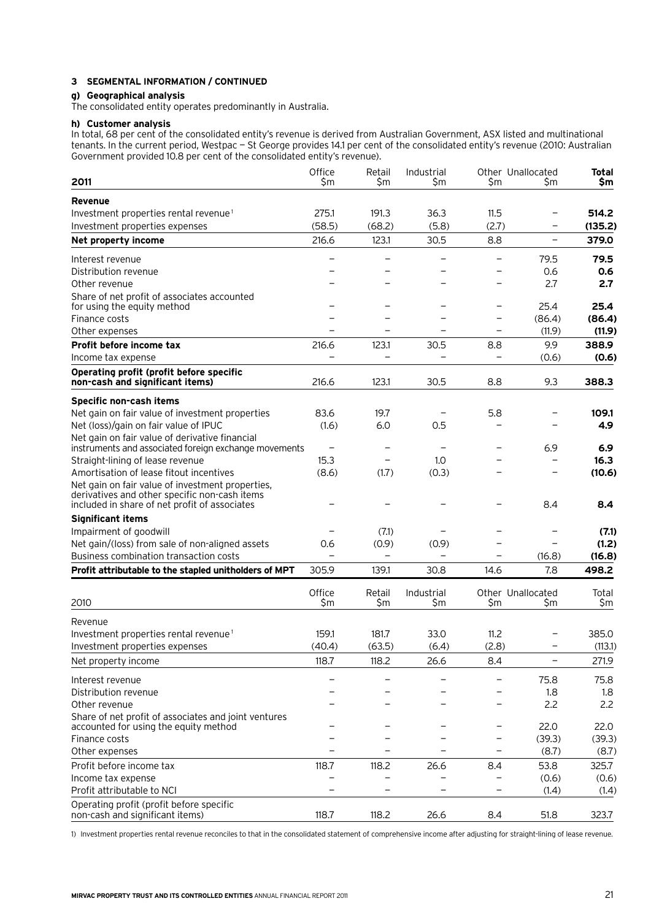## **3 Segmental information / continued**

#### **g) Geographical analysis**

The consolidated entity operates predominantly in Australia.

#### **h) Customer analysis**

In total, 68 per cent of the consolidated entity's revenue is derived from Australian Government, ASX listed and multinational tenants. In the current period, Westpac — St George provides 14.1 per cent of the consolidated entity's revenue (2010: Australian Government provided 10.8 per cent of the consolidated entity's revenue).

|                                                                                                   | Office | Retail                   | Industrial                       | Other Unallocated               |                          | Total            |
|---------------------------------------------------------------------------------------------------|--------|--------------------------|----------------------------------|---------------------------------|--------------------------|------------------|
| 2011                                                                                              | \$m    | Sm                       | Sm                               | Sm                              | Sm                       | \$m              |
| <b>Revenue</b>                                                                                    |        |                          |                                  |                                 |                          |                  |
| Investment properties rental revenue <sup>1</sup>                                                 | 275.1  | 191.3                    | 36.3                             | 11.5                            | $\qquad \qquad -$        | 514.2            |
| Investment properties expenses                                                                    | (58.5) | (68.2)                   | (5.8)                            | (2.7)                           |                          | (135.2)          |
| Net property income                                                                               | 216.6  | 123.1                    | 30.5                             | 8.8                             | $\overline{\phantom{m}}$ | 379.0            |
| Interest revenue                                                                                  |        | $\overline{\phantom{0}}$ | $\overline{\phantom{0}}$         | $\qquad \qquad -$               | 79.5                     | 79.5             |
| Distribution revenue                                                                              |        |                          | L.                               |                                 | 0.6                      | 0.6              |
| Other revenue                                                                                     |        |                          |                                  |                                 | 2.7                      | 2.7              |
| Share of net profit of associates accounted                                                       |        |                          |                                  |                                 |                          |                  |
| for using the equity method                                                                       |        |                          | -                                | -                               | 25.4                     | 25.4             |
| Finance costs                                                                                     |        |                          | L.<br>L.                         | $\overline{\phantom{0}}$        | (86.4)<br>(11.9)         | (86.4)<br>(11.9) |
| Other expenses                                                                                    |        |                          |                                  |                                 |                          |                  |
| Profit before income tax<br>Income tax expense                                                    | 216.6  | 123.1                    | 30.5<br>$\overline{\phantom{0}}$ | 8.8<br>$\overline{\phantom{0}}$ | 9.9<br>(0.6)             | 388.9<br>(0.6)   |
|                                                                                                   |        |                          |                                  |                                 |                          |                  |
| Operating profit (profit before specific<br>non-cash and significant items)                       | 216.6  | 123.1                    | 30.5                             | 8.8                             | 9.3                      | 388.3            |
| Specific non-cash items                                                                           |        |                          |                                  |                                 |                          |                  |
| Net gain on fair value of investment properties                                                   | 83.6   | 19.7                     |                                  | 5.8                             |                          | 109.1            |
| Net (loss)/gain on fair value of IPUC                                                             | (1.6)  | 6.0                      | 0.5                              |                                 |                          | 4.9              |
| Net gain on fair value of derivative financial                                                    |        |                          |                                  |                                 |                          |                  |
| instruments and associated foreign exchange movements                                             |        |                          |                                  |                                 | 6.9                      | 6.9              |
| Straight-lining of lease revenue                                                                  | 15.3   | $\overline{\phantom{0}}$ | 1.0                              |                                 |                          | 16.3             |
| Amortisation of lease fitout incentives                                                           | (8.6)  | (1.7)                    | (0.3)                            |                                 |                          | (10.6)           |
| Net gain on fair value of investment properties,<br>derivatives and other specific non-cash items |        |                          |                                  |                                 |                          |                  |
| included in share of net profit of associates                                                     |        |                          |                                  |                                 | 8.4                      | 8.4              |
| <b>Significant items</b>                                                                          |        |                          |                                  |                                 |                          |                  |
| Impairment of goodwill                                                                            |        | (7.1)                    |                                  |                                 |                          | (7.1)            |
| Net gain/(loss) from sale of non-aligned assets                                                   | 0.6    | (0.9)                    | (0.9)                            |                                 |                          | (1.2)            |
| Business combination transaction costs                                                            |        | $\overline{\phantom{0}}$ | $\overline{\phantom{0}}$         | $\overline{\phantom{0}}$        | (16.8)                   | (16.8)           |
| Profit attributable to the stapled unitholders of MPT                                             | 305.9  | 139.1                    | 30.8                             | 14.6                            | 7.8                      | 498.2            |
|                                                                                                   | Office | Retail                   | Industrial                       | Other Unallocated               |                          | Total            |
| 2010                                                                                              | \$m    | \$m                      | \$m                              | \$m                             | \$m                      | \$m              |
| Revenue                                                                                           |        |                          |                                  |                                 |                          |                  |
| Investment properties rental revenue <sup>1</sup>                                                 | 159.1  | 181.7                    | 33.0                             | 11.2                            |                          | 385.0            |
| Investment properties expenses                                                                    | (40.4) | (63.5)                   | (6.4)                            | (2.8)                           |                          | (113.1)          |
| Net property income                                                                               | 118.7  | 118.2                    | 26.6                             | 8.4                             | $\qquad \qquad -$        | 271.9            |
| Interest revenue                                                                                  |        |                          |                                  |                                 | 75.8                     | 75.8             |
| Distribution revenue                                                                              |        |                          |                                  | $\overline{\phantom{0}}$        | 1.8                      | 1.8              |
| Other revenue                                                                                     |        |                          |                                  |                                 | 2.2                      | 2.2              |
| Share of net profit of associates and joint ventures                                              |        |                          |                                  |                                 |                          |                  |
| accounted for using the equity method                                                             |        |                          |                                  |                                 | 22.0                     | 22.0             |
| Finance costs                                                                                     |        |                          |                                  |                                 | (39.3)                   | (39.3)           |
| Other expenses                                                                                    |        |                          |                                  |                                 | (8.7)                    | (8.7)            |
| Profit before income tax                                                                          | 118.7  | 118.2                    | 26.6                             | 8.4                             | 53.8                     | 325.7            |
| Income tax expense                                                                                |        | —                        |                                  |                                 | (0.6)                    | (0.6)            |
| Profit attributable to NCI                                                                        |        |                          | $\overline{\phantom{0}}$         | $\overline{\phantom{0}}$        | (1.4)                    | (1.4)            |
| Operating profit (profit before specific<br>non-cash and significant items)                       | 118.7  | 118.2                    | 26.6                             | 8.4                             | 51.8                     | 323.7            |

1) Investment properties rental revenue reconciles to that in the consolidated statement of comprehensive income after adjusting for straight-lining of lease revenue.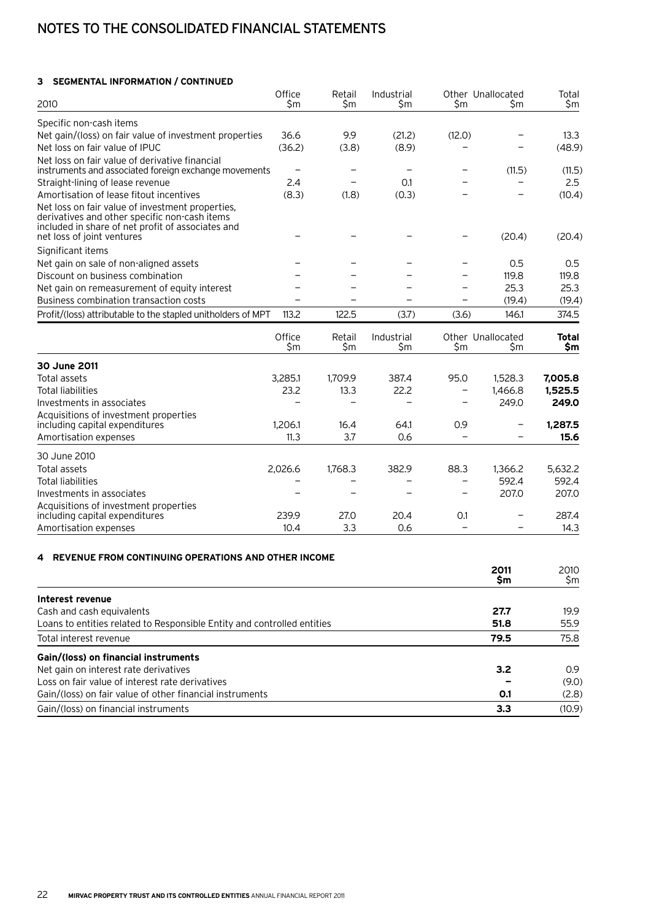# Notes to the consolidated financial statements

#### **3 Segmental information / continued**

| 2010                                                                                                                                                                                 | Office<br>\$m            | Retail<br>\$m            | Industrial<br>\$m        | \$m                      | Other Unallocated<br>\$m | Total<br>\$m          |
|--------------------------------------------------------------------------------------------------------------------------------------------------------------------------------------|--------------------------|--------------------------|--------------------------|--------------------------|--------------------------|-----------------------|
| Specific non-cash items                                                                                                                                                              |                          |                          |                          |                          |                          |                       |
| Net gain/(loss) on fair value of investment properties                                                                                                                               | 36.6                     | 9.9                      | (21.2)                   | (12.0)                   |                          | 13.3                  |
| Net loss on fair value of IPUC                                                                                                                                                       | (36.2)                   | (3.8)                    | (8.9)                    |                          |                          | (48.9)                |
| Net loss on fair value of derivative financial<br>instruments and associated foreign exchange movements                                                                              | $\overline{\phantom{0}}$ | $\overline{\phantom{0}}$ | $\overline{\phantom{0}}$ |                          | (11.5)                   | (11.5)                |
| Straight-lining of lease revenue                                                                                                                                                     | 2.4                      | $\overline{\phantom{m}}$ | 0.1                      |                          |                          | 2.5                   |
| Amortisation of lease fitout incentives                                                                                                                                              | (8.3)                    | (1.8)                    | (0.3)                    |                          |                          | (10.4)                |
| Net loss on fair value of investment properties,<br>derivatives and other specific non-cash items<br>included in share of net profit of associates and<br>net loss of joint ventures |                          |                          |                          |                          | (20.4)                   | (20.4)                |
| Significant items                                                                                                                                                                    |                          |                          |                          |                          |                          |                       |
| Net gain on sale of non-aligned assets                                                                                                                                               |                          |                          |                          |                          | 0.5                      | 0.5                   |
| Discount on business combination                                                                                                                                                     |                          |                          |                          |                          | 119.8                    | 119.8                 |
| Net gain on remeasurement of equity interest                                                                                                                                         |                          |                          |                          |                          | 25.3                     | 25.3                  |
| Business combination transaction costs                                                                                                                                               |                          |                          |                          |                          | (19.4)                   | (19.4)                |
| Profit/(loss) attributable to the stapled unitholders of MPT                                                                                                                         | 113.2                    | 122.5                    | (3.7)                    | (3.6)                    | 146.1                    | 374.5                 |
|                                                                                                                                                                                      | Office<br>\$m            | Retail<br>\$m            | Industrial<br>\$m        | \$m                      | Other Unallocated<br>\$m | <b>Total</b><br>\$m\$ |
| 30 June 2011                                                                                                                                                                         |                          |                          |                          |                          |                          |                       |
| Total assets                                                                                                                                                                         | 3,285.1                  | 1,709.9                  | 387.4                    | 95.0                     | 1,528.3                  | 7,005.8               |
| <b>Total liabilities</b>                                                                                                                                                             | 23.2                     | 13.3                     | 22.2                     |                          | 1,466.8                  | 1,525.5               |
| Investments in associates                                                                                                                                                            |                          |                          |                          |                          | 249.0                    | 249.0                 |
| Acquisitions of investment properties<br>including capital expenditures                                                                                                              | 1,206.1                  | 16.4                     | 64.1                     | 0.9                      | $\overline{\phantom{m}}$ | 1,287.5               |
| Amortisation expenses                                                                                                                                                                | 11.3                     | 3.7                      | 0.6                      | $\qquad \qquad -$        |                          | 15.6                  |
| 30 June 2010                                                                                                                                                                         |                          |                          |                          |                          |                          |                       |
| Total assets                                                                                                                                                                         | 2,026.6                  | 1,768.3                  | 382.9                    | 88.3                     | 1,366.2                  | 5,632.2               |
| <b>Total liabilities</b>                                                                                                                                                             |                          |                          | $\overline{\phantom{0}}$ | $\overline{\phantom{0}}$ | 592.4                    | 592.4                 |
| Investments in associates                                                                                                                                                            |                          |                          |                          | $\overline{\phantom{0}}$ | 207.0                    | 207.0                 |
| Acquisitions of investment properties<br>including capital expenditures                                                                                                              | 239.9                    | 27.0                     | 20.4                     | O.1                      |                          | 287.4                 |
| Amortisation expenses                                                                                                                                                                | 10.4                     | 3.3                      | 0.6                      |                          |                          | 14.3                  |

#### **4 Revenue from continuing operations and other income**

|                                                                         | 2011 | 2010   |
|-------------------------------------------------------------------------|------|--------|
|                                                                         | \$m  | \$m    |
| Interest revenue                                                        |      |        |
| Cash and cash equivalents                                               | 27.7 | 19.9   |
| Loans to entities related to Responsible Entity and controlled entities | 51.8 | 55.9   |
| Total interest revenue                                                  | 79.5 | 75.8   |
| Gain/(loss) on financial instruments                                    |      |        |
| Net gain on interest rate derivatives                                   | 3.2  | 0.9    |
| Loss on fair value of interest rate derivatives                         |      | (9.0)  |
| Gain/(loss) on fair value of other financial instruments                | 0.1  | (2.8)  |
| Gain/(loss) on financial instruments                                    | 3.3  | (10.9) |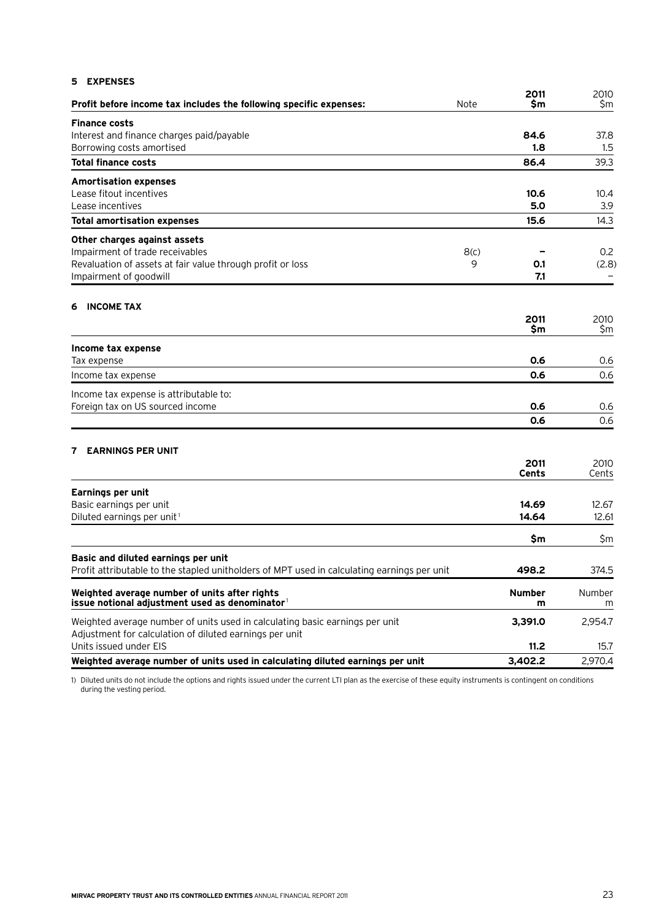| <b>EXPENSES</b><br>5                                                                           |      |                    |               |
|------------------------------------------------------------------------------------------------|------|--------------------|---------------|
| Profit before income tax includes the following specific expenses:                             | Note | 2011<br>\$m        | 2010<br>\$m   |
| <b>Finance costs</b>                                                                           |      |                    |               |
| Interest and finance charges paid/payable                                                      |      | 84.6               | 37.8          |
| Borrowing costs amortised                                                                      |      | 1.8                | 1.5           |
| <b>Total finance costs</b>                                                                     |      | 86.4               | 39.3          |
| <b>Amortisation expenses</b>                                                                   |      |                    |               |
| Lease fitout incentives                                                                        |      | 10.6               | 10.4          |
| Lease incentives                                                                               |      | 5.0                | 3.9           |
| <b>Total amortisation expenses</b>                                                             |      | 15.6               | 14.3          |
| Other charges against assets                                                                   |      |                    |               |
| Impairment of trade receivables                                                                | 8(c) |                    | 0.2           |
| Revaluation of assets at fair value through profit or loss                                     | 9    | 0.1                | (2.8)         |
| Impairment of goodwill                                                                         |      | 7.1                |               |
| <b>INCOME TAX</b><br>6                                                                         |      |                    |               |
|                                                                                                |      | 2011               | 2010          |
|                                                                                                |      | \$m                | \$m           |
| Income tax expense                                                                             |      |                    |               |
| Tax expense                                                                                    |      | 0.6                | 0.6           |
| Income tax expense                                                                             |      | 0.6                | 0.6           |
| Income tax expense is attributable to:                                                         |      |                    |               |
| Foreign tax on US sourced income                                                               |      | 0.6                | 0.6           |
|                                                                                                |      | 0.6                | 0.6           |
|                                                                                                |      |                    |               |
| <b>EARNINGS PER UNIT</b><br>7                                                                  |      |                    |               |
|                                                                                                |      | 2011<br>Cents      | 2010<br>Cents |
|                                                                                                |      |                    |               |
| <b>Earnings per unit</b><br>Basic earnings per unit                                            |      | 14.69              | 12.67         |
| Diluted earnings per unit <sup>1</sup>                                                         |      | 14.64              | 12.61         |
|                                                                                                |      |                    |               |
|                                                                                                |      | \$m                | \$m           |
| Basic and diluted earnings per unit                                                            |      |                    |               |
| Profit attributable to the stapled unitholders of MPT used in calculating earnings per unit    |      | 498.2              | 374.5         |
| Weighted average number of units after rights<br>issue notional adjustment used as denominator |      | <b>Number</b><br>m | Number<br>m   |
| Weighted average number of units used in calculating basic earnings per unit                   |      | 3,391.0            | 2,954.7       |
| Adjustment for calculation of diluted earnings per unit                                        |      |                    |               |
| Units issued under EIS                                                                         |      | 11.2               | 15.7          |
| Weighted average number of units used in calculating diluted earnings per unit                 |      | 3,402.2            | 2,970.4       |

1) Diluted units do not include the options and rights issued under the current LTI plan as the exercise of these equity instruments is contingent on conditions during the vesting period.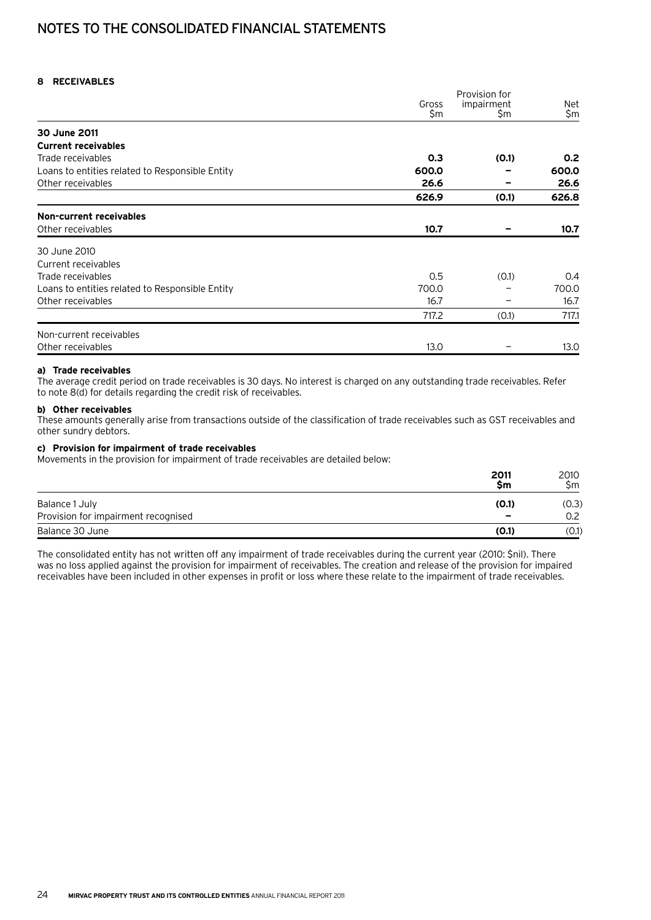# Notes to the consolidated financial statements

#### **8 Receivables**

|                                                 |       | Provision for |                  |
|-------------------------------------------------|-------|---------------|------------------|
|                                                 | Gross | impairment    | Net              |
|                                                 | \$m   | Sm.           | \$m              |
| 30 June 2011                                    |       |               |                  |
| <b>Current receivables</b>                      |       |               |                  |
| Trade receivables                               | 0.3   | (0.1)         | 0.2 <sub>0</sub> |
| Loans to entities related to Responsible Entity | 600.0 |               | 600.0            |
| Other receivables                               | 26.6  |               | 26.6             |
|                                                 | 626.9 | (0.1)         | 626.8            |
| Non-current receivables                         |       |               |                  |
| Other receivables                               | 10.7  |               | 10.7             |
| 30 June 2010                                    |       |               |                  |
| Current receivables                             |       |               |                  |
| Trade receivables                               | 0.5   | (0.1)         | 0.4              |
| Loans to entities related to Responsible Entity | 700.0 |               | 700.0            |
| Other receivables                               | 16.7  | -             | 16.7             |
|                                                 | 717.2 | (0.1)         | 717.1            |
| Non-current receivables                         |       |               |                  |
| Other receivables                               | 13.0  |               | 13.0             |

#### **a) Trade receivables**

The average credit period on trade receivables is 30 days. No interest is charged on any outstanding trade receivables. Refer to note 8(d) for details regarding the credit risk of receivables.

#### **b) Other receivables**

These amounts generally arise from transactions outside of the classification of trade receivables such as GST receivables and other sundry debtors.

#### **c) Provision for impairment of trade receivables**

Movements in the provision for impairment of trade receivables are detailed below:

|                                     | 2011<br>Sm               | 2010<br>Sm |
|-------------------------------------|--------------------------|------------|
| Balance 1 July                      | (0.1)                    | (0.3)      |
| Provision for impairment recognised | $\overline{\phantom{a}}$ | 0.2        |
| Balance 30 June                     | (0.1)                    | (0.1)      |

The consolidated entity has not written off any impairment of trade receivables during the current year (2010: \$nil). There was no loss applied against the provision for impairment of receivables. The creation and release of the provision for impaired receivables have been included in other expenses in profit or loss where these relate to the impairment of trade receivables.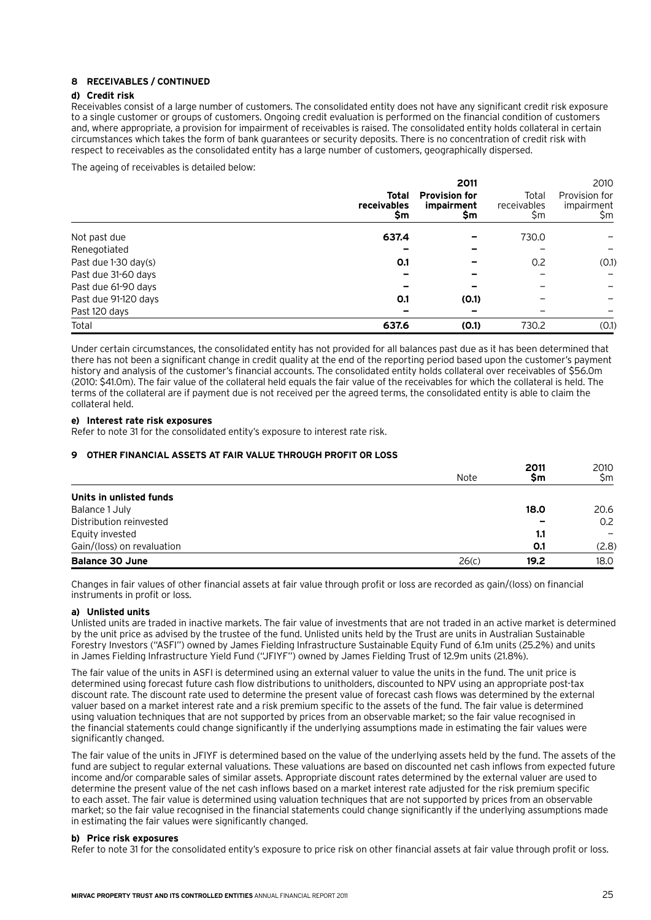#### **8 Receivables / continued**

#### **d) Credit risk**

Receivables consist of a large number of customers. The consolidated entity does not have any significant credit risk exposure to a single customer or groups of customers. Ongoing credit evaluation is performed on the financial condition of customers and, where appropriate, a provision for impairment of receivables is raised. The consolidated entity holds collateral in certain circumstances which takes the form of bank guarantees or security deposits. There is no concentration of credit risk with respect to receivables as the consolidated entity has a large number of customers, geographically dispersed.

The ageing of receivables is detailed below:

|                      |                            | 2011                                      |                             | 2010                               |
|----------------------|----------------------------|-------------------------------------------|-----------------------------|------------------------------------|
|                      | Total<br>receivables<br>Şm | <b>Provision for</b><br>impairment<br>\$m | Total<br>receivables<br>\$m | Provision for<br>impairment<br>\$m |
| Not past due         | 637.4                      |                                           | 730.0                       |                                    |
| Renegotiated         |                            |                                           |                             |                                    |
| Past due 1-30 day(s) | O.1                        |                                           | 0.2                         | (0.1)                              |
| Past due 31-60 days  |                            |                                           |                             |                                    |
| Past due 61-90 days  |                            |                                           |                             |                                    |
| Past due 91-120 days | O.1                        | (0.1)                                     |                             |                                    |
| Past 120 days        |                            |                                           |                             |                                    |
| Total                | 637.6                      | (0.1)                                     | 730.2                       | (0.1)                              |

Under certain circumstances, the consolidated entity has not provided for all balances past due as it has been determined that there has not been a significant change in credit quality at the end of the reporting period based upon the customer's payment history and analysis of the customer's financial accounts. The consolidated entity holds collateral over receivables of \$56.0m (2010: \$41.0m). The fair value of the collateral held equals the fair value of the receivables for which the collateral is held. The terms of the collateral are if payment due is not received per the agreed terms, the consolidated entity is able to claim the collateral held.

#### **e) Interest rate risk exposures**

Refer to note 31 for the consolidated entity's exposure to interest rate risk.

#### **9 Other financial assets at fair value through profit or loss**

|                            | Note  | 2011<br>Sm | 2010<br>\$m |
|----------------------------|-------|------------|-------------|
| Units in unlisted funds    |       |            |             |
| Balance 1 July             |       | 18.0       | 20.6        |
| Distribution reinvested    |       |            | 0.2         |
| Equity invested            |       | 1.1        |             |
| Gain/(loss) on revaluation |       | 0.1        | (2.8)       |
| <b>Balance 30 June</b>     | 26(c) | 19.2       | 18.0        |

Changes in fair values of other financial assets at fair value through profit or loss are recorded as gain/(loss) on financial instruments in profit or loss.

#### **a) Unlisted units**

Unlisted units are traded in inactive markets. The fair value of investments that are not traded in an active market is determined by the unit price as advised by the trustee of the fund. Unlisted units held by the Trust are units in Australian Sustainable Forestry Investors ("ASFI") owned by James Fielding Infrastructure Sustainable Equity Fund of 6.1m units (25.2%) and units in James Fielding Infrastructure Yield Fund ("JFIYF") owned by James Fielding Trust of 12.9m units (21.8%).

The fair value of the units in ASFI is determined using an external valuer to value the units in the fund. The unit price is determined using forecast future cash flow distributions to unitholders, discounted to NPV using an appropriate post-tax discount rate. The discount rate used to determine the present value of forecast cash flows was determined by the external valuer based on a market interest rate and a risk premium specific to the assets of the fund. The fair value is determined using valuation techniques that are not supported by prices from an observable market; so the fair value recognised in the financial statements could change significantly if the underlying assumptions made in estimating the fair values were significantly changed.

The fair value of the units in JFIYF is determined based on the value of the underlying assets held by the fund. The assets of the fund are subject to regular external valuations. These valuations are based on discounted net cash inflows from expected future income and/or comparable sales of similar assets. Appropriate discount rates determined by the external valuer are used to determine the present value of the net cash inflows based on a market interest rate adjusted for the risk premium specific to each asset. The fair value is determined using valuation techniques that are not supported by prices from an observable market; so the fair value recognised in the financial statements could change significantly if the underlying assumptions made in estimating the fair values were significantly changed.

#### **b) Price risk exposures**

Refer to note 31 for the consolidated entity's exposure to price risk on other financial assets at fair value through profit or loss.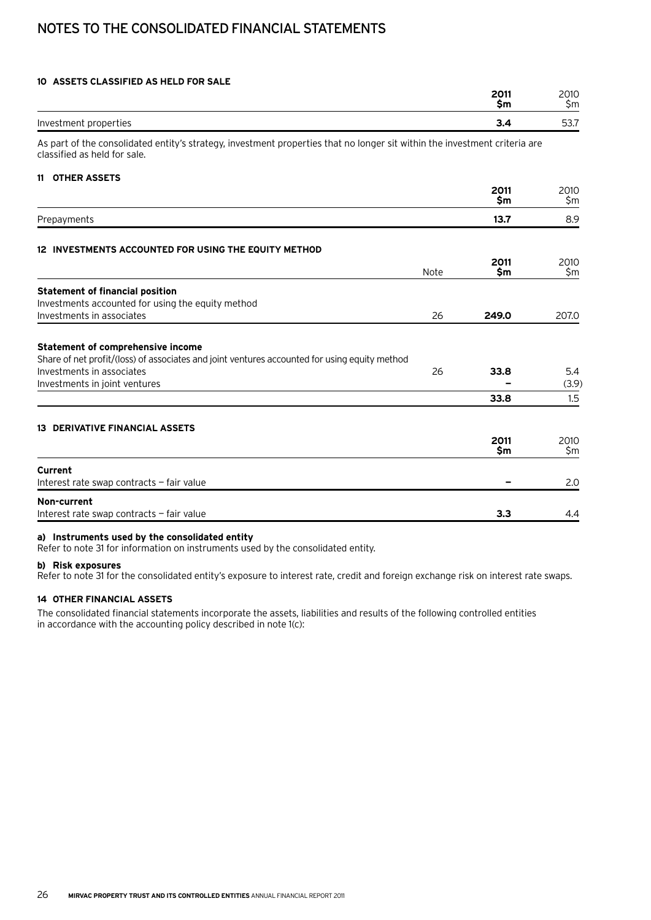# Notes to the consolidated financial statements

#### **10 Assets classified as held for sale**

| 2010<br>\$m                                                                                                                                                                                                                           |
|---------------------------------------------------------------------------------------------------------------------------------------------------------------------------------------------------------------------------------------|
| 53.7                                                                                                                                                                                                                                  |
|                                                                                                                                                                                                                                       |
|                                                                                                                                                                                                                                       |
| 2010<br>\$m                                                                                                                                                                                                                           |
| 8.9                                                                                                                                                                                                                                   |
|                                                                                                                                                                                                                                       |
| 2010<br>\$m                                                                                                                                                                                                                           |
|                                                                                                                                                                                                                                       |
| 207.0                                                                                                                                                                                                                                 |
| 5.4                                                                                                                                                                                                                                   |
| (3.9)                                                                                                                                                                                                                                 |
| 1.5                                                                                                                                                                                                                                   |
|                                                                                                                                                                                                                                       |
| 2010<br>\$m                                                                                                                                                                                                                           |
| 2.0                                                                                                                                                                                                                                   |
| 4.4                                                                                                                                                                                                                                   |
| 2011<br>\$m<br>3.4<br>As part of the consolidated entity's strategy, investment properties that no longer sit within the investment criteria are<br>2011<br>\$m<br>13.7<br>2011<br>\$m<br>249.0<br>33.8<br>33.8<br>2011<br>\$m<br>3.3 |

#### **a) Instruments used by the consolidated entity**

Refer to note 31 for information on instruments used by the consolidated entity.

#### **b) Risk exposures**

Refer to note 31 for the consolidated entity's exposure to interest rate, credit and foreign exchange risk on interest rate swaps.

#### **14 Other financial assets**

The consolidated financial statements incorporate the assets, liabilities and results of the following controlled entities in accordance with the accounting policy described in note 1(c):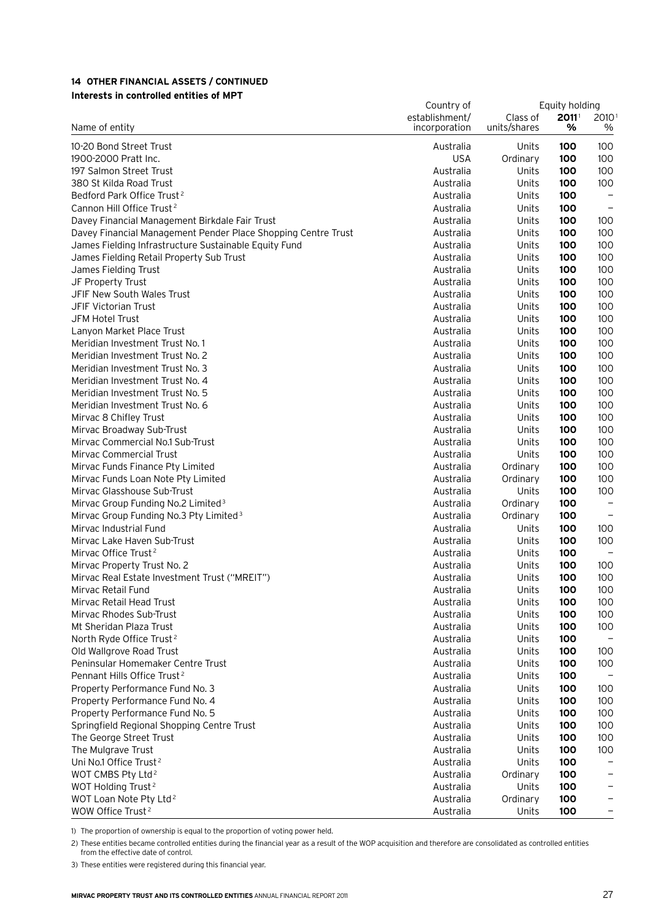#### **14 Other financial assets / continued Interests in controlled entities of MPT**

| establishment/<br>$2011$ <sup>1</sup><br>Class of<br>2010<br>units/shares<br>Name of entity<br>incorporation<br>%<br>$\%$<br>10-20 Bond Street Trust<br>Units<br>100<br>100<br>Australia<br><b>USA</b><br>100<br>1900-2000 Pratt Inc.<br>Ordinary<br>100<br>197 Salmon Street Trust<br>100<br>100<br>Australia<br>Units<br>380 St Kilda Road Trust<br>Units<br>Australia<br>100<br>100<br>Bedford Park Office Trust <sup>2</sup><br>Australia<br>Units<br>100<br>$\qquad \qquad -$<br>Cannon Hill Office Trust <sup>2</sup><br>Australia<br>Units<br>100<br>Davey Financial Management Birkdale Fair Trust<br>Australia<br>Units<br>100<br>100<br>100<br>Davey Financial Management Pender Place Shopping Centre Trust<br>Australia<br>Units<br>100<br>100<br>100<br>James Fielding Infrastructure Sustainable Equity Fund<br>Australia<br>Units<br>100<br>James Fielding Retail Property Sub Trust<br>Australia<br>Units<br>100<br>100<br>James Fielding Trust<br>Australia<br>Units<br>100<br>100<br>JF Property Trust<br>Australia<br>Units<br>100<br>100<br>JFIF New South Wales Trust<br>Australia<br>Units<br>100<br>100<br>JFIF Victorian Trust<br>Australia<br>Units<br>100<br>100<br>JFM Hotel Trust<br>Australia<br>Units<br>100<br>100<br>Lanyon Market Place Trust<br>Australia<br>Units<br>100<br>100<br>100<br>Meridian Investment Trust No. 1<br>Australia<br>Units<br>Units<br>100<br>Meridian Investment Trust No. 2<br>Australia<br>100<br>100<br>Meridian Investment Trust No. 3<br>Australia<br>Units<br>100<br>Meridian Investment Trust No. 4<br>100<br>Australia<br>Units<br>100<br>100<br>Meridian Investment Trust No. 5<br>Australia<br>Units<br>100<br>Meridian Investment Trust No. 6<br>100<br>Australia<br>Units<br>100<br>100<br>Mirvac 8 Chifley Trust<br>Australia<br>Units<br>100<br>Mirvac Broadway Sub-Trust<br>100<br>Australia<br>Units<br>100<br>Mirvac Commercial No.1 Sub-Trust<br>100<br>Australia<br>Units<br>100<br>Mirvac Commercial Trust<br>Units<br>100<br>100<br>Australia<br>100<br>100<br>Mirvac Funds Finance Pty Limited<br>Australia<br>Ordinary<br>Mirvac Funds Loan Note Pty Limited<br>Australia<br>Ordinary<br>100<br>100<br>Mirvac Glasshouse Sub-Trust<br>100<br>Australia<br>Units<br>100<br>Mirvac Group Funding No.2 Limited <sup>3</sup><br>Australia<br>Ordinary<br>100<br>Mirvac Group Funding No.3 Pty Limited <sup>3</sup><br>Australia<br>Ordinary<br>100<br>Mirvac Industrial Fund<br>Australia<br>Units<br>100<br>100<br>Mirvac Lake Haven Sub-Trust<br>Australia<br>Units<br>100<br>100<br>Mirvac Office Trust <sup>2</sup><br>100<br>Australia<br>Units<br>Mirvac Property Trust No. 2<br>Australia<br>Units<br>100<br>100<br>100<br>Mirvac Real Estate Investment Trust ("MREIT")<br>Australia<br>Units<br>100<br>Mirvac Retail Fund<br>Units<br>100<br>100<br>Australia<br>100<br>Mirvac Retail Head Trust<br>Australia<br>Units<br>100<br>Mirvac Rhodes Sub-Trust<br>Australia<br>Units<br>100<br>100<br>Mt Sheridan Plaza Trust<br>Units<br>100<br>100<br>Australia<br>North Ryde Office Trust <sup>2</sup><br>Australia<br>Units<br>100<br>Old Wallgrove Road Trust<br>Australia<br>Units<br>100<br>100<br>Peninsular Homemaker Centre Trust<br>Australia<br>Units<br>100<br>100<br>Pennant Hills Office Trust <sup>2</sup><br>Australia<br>Units<br>100<br>Property Performance Fund No. 3<br>Australia<br>Units<br>100<br>100<br>Property Performance Fund No. 4<br>Units<br>100<br>100<br>Australia<br>Property Performance Fund No. 5<br>Australia<br>Units<br>100<br>100<br>Springfield Regional Shopping Centre Trust<br>Australia<br>Units<br>100<br>100<br>The George Street Trust<br>Australia<br>Units<br>100<br>100<br>The Mulgrave Trust<br>Australia<br>Units<br>100<br>100<br>Uni No.1 Office Trust <sup>2</sup><br>Australia<br>Units<br>100<br>WOT CMBS Pty Ltd <sup>2</sup><br>100<br>Australia<br>Ordinary<br>WOT Holding Trust <sup>2</sup><br>Australia<br>Units<br>100<br>WOT Loan Note Pty Ltd <sup>2</sup><br>Australia<br>Ordinary<br>100<br>WOW Office Trust <sup>2</sup><br>Australia<br>Units<br>100 |  | Equity holding |  |  |
|---------------------------------------------------------------------------------------------------------------------------------------------------------------------------------------------------------------------------------------------------------------------------------------------------------------------------------------------------------------------------------------------------------------------------------------------------------------------------------------------------------------------------------------------------------------------------------------------------------------------------------------------------------------------------------------------------------------------------------------------------------------------------------------------------------------------------------------------------------------------------------------------------------------------------------------------------------------------------------------------------------------------------------------------------------------------------------------------------------------------------------------------------------------------------------------------------------------------------------------------------------------------------------------------------------------------------------------------------------------------------------------------------------------------------------------------------------------------------------------------------------------------------------------------------------------------------------------------------------------------------------------------------------------------------------------------------------------------------------------------------------------------------------------------------------------------------------------------------------------------------------------------------------------------------------------------------------------------------------------------------------------------------------------------------------------------------------------------------------------------------------------------------------------------------------------------------------------------------------------------------------------------------------------------------------------------------------------------------------------------------------------------------------------------------------------------------------------------------------------------------------------------------------------------------------------------------------------------------------------------------------------------------------------------------------------------------------------------------------------------------------------------------------------------------------------------------------------------------------------------------------------------------------------------------------------------------------------------------------------------------------------------------------------------------------------------------------------------------------------------------------------------------------------------------------------------------------------------------------------------------------------------------------------------------------------------------------------------------------------------------------------------------------------------------------------------------------------------------------------------------------------------------------------------------------------------------------------------------------------------------------------------------------------------------------------------------------------------------------------------------------------------------------------------------------------------------------------------------------------------------------------------------------------------------------------------------------------------------------------------------------------------------------------------------------------------------------------------------------------|--|----------------|--|--|
|                                                                                                                                                                                                                                                                                                                                                                                                                                                                                                                                                                                                                                                                                                                                                                                                                                                                                                                                                                                                                                                                                                                                                                                                                                                                                                                                                                                                                                                                                                                                                                                                                                                                                                                                                                                                                                                                                                                                                                                                                                                                                                                                                                                                                                                                                                                                                                                                                                                                                                                                                                                                                                                                                                                                                                                                                                                                                                                                                                                                                                                                                                                                                                                                                                                                                                                                                                                                                                                                                                                                                                                                                                                                                                                                                                                                                                                                                                                                                                                                                                                                                                               |  |                |  |  |
|                                                                                                                                                                                                                                                                                                                                                                                                                                                                                                                                                                                                                                                                                                                                                                                                                                                                                                                                                                                                                                                                                                                                                                                                                                                                                                                                                                                                                                                                                                                                                                                                                                                                                                                                                                                                                                                                                                                                                                                                                                                                                                                                                                                                                                                                                                                                                                                                                                                                                                                                                                                                                                                                                                                                                                                                                                                                                                                                                                                                                                                                                                                                                                                                                                                                                                                                                                                                                                                                                                                                                                                                                                                                                                                                                                                                                                                                                                                                                                                                                                                                                                               |  |                |  |  |
|                                                                                                                                                                                                                                                                                                                                                                                                                                                                                                                                                                                                                                                                                                                                                                                                                                                                                                                                                                                                                                                                                                                                                                                                                                                                                                                                                                                                                                                                                                                                                                                                                                                                                                                                                                                                                                                                                                                                                                                                                                                                                                                                                                                                                                                                                                                                                                                                                                                                                                                                                                                                                                                                                                                                                                                                                                                                                                                                                                                                                                                                                                                                                                                                                                                                                                                                                                                                                                                                                                                                                                                                                                                                                                                                                                                                                                                                                                                                                                                                                                                                                                               |  |                |  |  |
|                                                                                                                                                                                                                                                                                                                                                                                                                                                                                                                                                                                                                                                                                                                                                                                                                                                                                                                                                                                                                                                                                                                                                                                                                                                                                                                                                                                                                                                                                                                                                                                                                                                                                                                                                                                                                                                                                                                                                                                                                                                                                                                                                                                                                                                                                                                                                                                                                                                                                                                                                                                                                                                                                                                                                                                                                                                                                                                                                                                                                                                                                                                                                                                                                                                                                                                                                                                                                                                                                                                                                                                                                                                                                                                                                                                                                                                                                                                                                                                                                                                                                                               |  |                |  |  |
|                                                                                                                                                                                                                                                                                                                                                                                                                                                                                                                                                                                                                                                                                                                                                                                                                                                                                                                                                                                                                                                                                                                                                                                                                                                                                                                                                                                                                                                                                                                                                                                                                                                                                                                                                                                                                                                                                                                                                                                                                                                                                                                                                                                                                                                                                                                                                                                                                                                                                                                                                                                                                                                                                                                                                                                                                                                                                                                                                                                                                                                                                                                                                                                                                                                                                                                                                                                                                                                                                                                                                                                                                                                                                                                                                                                                                                                                                                                                                                                                                                                                                                               |  |                |  |  |
|                                                                                                                                                                                                                                                                                                                                                                                                                                                                                                                                                                                                                                                                                                                                                                                                                                                                                                                                                                                                                                                                                                                                                                                                                                                                                                                                                                                                                                                                                                                                                                                                                                                                                                                                                                                                                                                                                                                                                                                                                                                                                                                                                                                                                                                                                                                                                                                                                                                                                                                                                                                                                                                                                                                                                                                                                                                                                                                                                                                                                                                                                                                                                                                                                                                                                                                                                                                                                                                                                                                                                                                                                                                                                                                                                                                                                                                                                                                                                                                                                                                                                                               |  |                |  |  |
|                                                                                                                                                                                                                                                                                                                                                                                                                                                                                                                                                                                                                                                                                                                                                                                                                                                                                                                                                                                                                                                                                                                                                                                                                                                                                                                                                                                                                                                                                                                                                                                                                                                                                                                                                                                                                                                                                                                                                                                                                                                                                                                                                                                                                                                                                                                                                                                                                                                                                                                                                                                                                                                                                                                                                                                                                                                                                                                                                                                                                                                                                                                                                                                                                                                                                                                                                                                                                                                                                                                                                                                                                                                                                                                                                                                                                                                                                                                                                                                                                                                                                                               |  |                |  |  |
|                                                                                                                                                                                                                                                                                                                                                                                                                                                                                                                                                                                                                                                                                                                                                                                                                                                                                                                                                                                                                                                                                                                                                                                                                                                                                                                                                                                                                                                                                                                                                                                                                                                                                                                                                                                                                                                                                                                                                                                                                                                                                                                                                                                                                                                                                                                                                                                                                                                                                                                                                                                                                                                                                                                                                                                                                                                                                                                                                                                                                                                                                                                                                                                                                                                                                                                                                                                                                                                                                                                                                                                                                                                                                                                                                                                                                                                                                                                                                                                                                                                                                                               |  |                |  |  |
|                                                                                                                                                                                                                                                                                                                                                                                                                                                                                                                                                                                                                                                                                                                                                                                                                                                                                                                                                                                                                                                                                                                                                                                                                                                                                                                                                                                                                                                                                                                                                                                                                                                                                                                                                                                                                                                                                                                                                                                                                                                                                                                                                                                                                                                                                                                                                                                                                                                                                                                                                                                                                                                                                                                                                                                                                                                                                                                                                                                                                                                                                                                                                                                                                                                                                                                                                                                                                                                                                                                                                                                                                                                                                                                                                                                                                                                                                                                                                                                                                                                                                                               |  |                |  |  |
|                                                                                                                                                                                                                                                                                                                                                                                                                                                                                                                                                                                                                                                                                                                                                                                                                                                                                                                                                                                                                                                                                                                                                                                                                                                                                                                                                                                                                                                                                                                                                                                                                                                                                                                                                                                                                                                                                                                                                                                                                                                                                                                                                                                                                                                                                                                                                                                                                                                                                                                                                                                                                                                                                                                                                                                                                                                                                                                                                                                                                                                                                                                                                                                                                                                                                                                                                                                                                                                                                                                                                                                                                                                                                                                                                                                                                                                                                                                                                                                                                                                                                                               |  |                |  |  |
|                                                                                                                                                                                                                                                                                                                                                                                                                                                                                                                                                                                                                                                                                                                                                                                                                                                                                                                                                                                                                                                                                                                                                                                                                                                                                                                                                                                                                                                                                                                                                                                                                                                                                                                                                                                                                                                                                                                                                                                                                                                                                                                                                                                                                                                                                                                                                                                                                                                                                                                                                                                                                                                                                                                                                                                                                                                                                                                                                                                                                                                                                                                                                                                                                                                                                                                                                                                                                                                                                                                                                                                                                                                                                                                                                                                                                                                                                                                                                                                                                                                                                                               |  |                |  |  |
|                                                                                                                                                                                                                                                                                                                                                                                                                                                                                                                                                                                                                                                                                                                                                                                                                                                                                                                                                                                                                                                                                                                                                                                                                                                                                                                                                                                                                                                                                                                                                                                                                                                                                                                                                                                                                                                                                                                                                                                                                                                                                                                                                                                                                                                                                                                                                                                                                                                                                                                                                                                                                                                                                                                                                                                                                                                                                                                                                                                                                                                                                                                                                                                                                                                                                                                                                                                                                                                                                                                                                                                                                                                                                                                                                                                                                                                                                                                                                                                                                                                                                                               |  |                |  |  |
|                                                                                                                                                                                                                                                                                                                                                                                                                                                                                                                                                                                                                                                                                                                                                                                                                                                                                                                                                                                                                                                                                                                                                                                                                                                                                                                                                                                                                                                                                                                                                                                                                                                                                                                                                                                                                                                                                                                                                                                                                                                                                                                                                                                                                                                                                                                                                                                                                                                                                                                                                                                                                                                                                                                                                                                                                                                                                                                                                                                                                                                                                                                                                                                                                                                                                                                                                                                                                                                                                                                                                                                                                                                                                                                                                                                                                                                                                                                                                                                                                                                                                                               |  |                |  |  |
|                                                                                                                                                                                                                                                                                                                                                                                                                                                                                                                                                                                                                                                                                                                                                                                                                                                                                                                                                                                                                                                                                                                                                                                                                                                                                                                                                                                                                                                                                                                                                                                                                                                                                                                                                                                                                                                                                                                                                                                                                                                                                                                                                                                                                                                                                                                                                                                                                                                                                                                                                                                                                                                                                                                                                                                                                                                                                                                                                                                                                                                                                                                                                                                                                                                                                                                                                                                                                                                                                                                                                                                                                                                                                                                                                                                                                                                                                                                                                                                                                                                                                                               |  |                |  |  |
|                                                                                                                                                                                                                                                                                                                                                                                                                                                                                                                                                                                                                                                                                                                                                                                                                                                                                                                                                                                                                                                                                                                                                                                                                                                                                                                                                                                                                                                                                                                                                                                                                                                                                                                                                                                                                                                                                                                                                                                                                                                                                                                                                                                                                                                                                                                                                                                                                                                                                                                                                                                                                                                                                                                                                                                                                                                                                                                                                                                                                                                                                                                                                                                                                                                                                                                                                                                                                                                                                                                                                                                                                                                                                                                                                                                                                                                                                                                                                                                                                                                                                                               |  |                |  |  |
|                                                                                                                                                                                                                                                                                                                                                                                                                                                                                                                                                                                                                                                                                                                                                                                                                                                                                                                                                                                                                                                                                                                                                                                                                                                                                                                                                                                                                                                                                                                                                                                                                                                                                                                                                                                                                                                                                                                                                                                                                                                                                                                                                                                                                                                                                                                                                                                                                                                                                                                                                                                                                                                                                                                                                                                                                                                                                                                                                                                                                                                                                                                                                                                                                                                                                                                                                                                                                                                                                                                                                                                                                                                                                                                                                                                                                                                                                                                                                                                                                                                                                                               |  |                |  |  |
|                                                                                                                                                                                                                                                                                                                                                                                                                                                                                                                                                                                                                                                                                                                                                                                                                                                                                                                                                                                                                                                                                                                                                                                                                                                                                                                                                                                                                                                                                                                                                                                                                                                                                                                                                                                                                                                                                                                                                                                                                                                                                                                                                                                                                                                                                                                                                                                                                                                                                                                                                                                                                                                                                                                                                                                                                                                                                                                                                                                                                                                                                                                                                                                                                                                                                                                                                                                                                                                                                                                                                                                                                                                                                                                                                                                                                                                                                                                                                                                                                                                                                                               |  |                |  |  |
|                                                                                                                                                                                                                                                                                                                                                                                                                                                                                                                                                                                                                                                                                                                                                                                                                                                                                                                                                                                                                                                                                                                                                                                                                                                                                                                                                                                                                                                                                                                                                                                                                                                                                                                                                                                                                                                                                                                                                                                                                                                                                                                                                                                                                                                                                                                                                                                                                                                                                                                                                                                                                                                                                                                                                                                                                                                                                                                                                                                                                                                                                                                                                                                                                                                                                                                                                                                                                                                                                                                                                                                                                                                                                                                                                                                                                                                                                                                                                                                                                                                                                                               |  |                |  |  |
|                                                                                                                                                                                                                                                                                                                                                                                                                                                                                                                                                                                                                                                                                                                                                                                                                                                                                                                                                                                                                                                                                                                                                                                                                                                                                                                                                                                                                                                                                                                                                                                                                                                                                                                                                                                                                                                                                                                                                                                                                                                                                                                                                                                                                                                                                                                                                                                                                                                                                                                                                                                                                                                                                                                                                                                                                                                                                                                                                                                                                                                                                                                                                                                                                                                                                                                                                                                                                                                                                                                                                                                                                                                                                                                                                                                                                                                                                                                                                                                                                                                                                                               |  |                |  |  |
|                                                                                                                                                                                                                                                                                                                                                                                                                                                                                                                                                                                                                                                                                                                                                                                                                                                                                                                                                                                                                                                                                                                                                                                                                                                                                                                                                                                                                                                                                                                                                                                                                                                                                                                                                                                                                                                                                                                                                                                                                                                                                                                                                                                                                                                                                                                                                                                                                                                                                                                                                                                                                                                                                                                                                                                                                                                                                                                                                                                                                                                                                                                                                                                                                                                                                                                                                                                                                                                                                                                                                                                                                                                                                                                                                                                                                                                                                                                                                                                                                                                                                                               |  |                |  |  |
|                                                                                                                                                                                                                                                                                                                                                                                                                                                                                                                                                                                                                                                                                                                                                                                                                                                                                                                                                                                                                                                                                                                                                                                                                                                                                                                                                                                                                                                                                                                                                                                                                                                                                                                                                                                                                                                                                                                                                                                                                                                                                                                                                                                                                                                                                                                                                                                                                                                                                                                                                                                                                                                                                                                                                                                                                                                                                                                                                                                                                                                                                                                                                                                                                                                                                                                                                                                                                                                                                                                                                                                                                                                                                                                                                                                                                                                                                                                                                                                                                                                                                                               |  |                |  |  |
|                                                                                                                                                                                                                                                                                                                                                                                                                                                                                                                                                                                                                                                                                                                                                                                                                                                                                                                                                                                                                                                                                                                                                                                                                                                                                                                                                                                                                                                                                                                                                                                                                                                                                                                                                                                                                                                                                                                                                                                                                                                                                                                                                                                                                                                                                                                                                                                                                                                                                                                                                                                                                                                                                                                                                                                                                                                                                                                                                                                                                                                                                                                                                                                                                                                                                                                                                                                                                                                                                                                                                                                                                                                                                                                                                                                                                                                                                                                                                                                                                                                                                                               |  |                |  |  |
|                                                                                                                                                                                                                                                                                                                                                                                                                                                                                                                                                                                                                                                                                                                                                                                                                                                                                                                                                                                                                                                                                                                                                                                                                                                                                                                                                                                                                                                                                                                                                                                                                                                                                                                                                                                                                                                                                                                                                                                                                                                                                                                                                                                                                                                                                                                                                                                                                                                                                                                                                                                                                                                                                                                                                                                                                                                                                                                                                                                                                                                                                                                                                                                                                                                                                                                                                                                                                                                                                                                                                                                                                                                                                                                                                                                                                                                                                                                                                                                                                                                                                                               |  |                |  |  |
|                                                                                                                                                                                                                                                                                                                                                                                                                                                                                                                                                                                                                                                                                                                                                                                                                                                                                                                                                                                                                                                                                                                                                                                                                                                                                                                                                                                                                                                                                                                                                                                                                                                                                                                                                                                                                                                                                                                                                                                                                                                                                                                                                                                                                                                                                                                                                                                                                                                                                                                                                                                                                                                                                                                                                                                                                                                                                                                                                                                                                                                                                                                                                                                                                                                                                                                                                                                                                                                                                                                                                                                                                                                                                                                                                                                                                                                                                                                                                                                                                                                                                                               |  |                |  |  |
|                                                                                                                                                                                                                                                                                                                                                                                                                                                                                                                                                                                                                                                                                                                                                                                                                                                                                                                                                                                                                                                                                                                                                                                                                                                                                                                                                                                                                                                                                                                                                                                                                                                                                                                                                                                                                                                                                                                                                                                                                                                                                                                                                                                                                                                                                                                                                                                                                                                                                                                                                                                                                                                                                                                                                                                                                                                                                                                                                                                                                                                                                                                                                                                                                                                                                                                                                                                                                                                                                                                                                                                                                                                                                                                                                                                                                                                                                                                                                                                                                                                                                                               |  |                |  |  |
|                                                                                                                                                                                                                                                                                                                                                                                                                                                                                                                                                                                                                                                                                                                                                                                                                                                                                                                                                                                                                                                                                                                                                                                                                                                                                                                                                                                                                                                                                                                                                                                                                                                                                                                                                                                                                                                                                                                                                                                                                                                                                                                                                                                                                                                                                                                                                                                                                                                                                                                                                                                                                                                                                                                                                                                                                                                                                                                                                                                                                                                                                                                                                                                                                                                                                                                                                                                                                                                                                                                                                                                                                                                                                                                                                                                                                                                                                                                                                                                                                                                                                                               |  |                |  |  |
|                                                                                                                                                                                                                                                                                                                                                                                                                                                                                                                                                                                                                                                                                                                                                                                                                                                                                                                                                                                                                                                                                                                                                                                                                                                                                                                                                                                                                                                                                                                                                                                                                                                                                                                                                                                                                                                                                                                                                                                                                                                                                                                                                                                                                                                                                                                                                                                                                                                                                                                                                                                                                                                                                                                                                                                                                                                                                                                                                                                                                                                                                                                                                                                                                                                                                                                                                                                                                                                                                                                                                                                                                                                                                                                                                                                                                                                                                                                                                                                                                                                                                                               |  |                |  |  |
|                                                                                                                                                                                                                                                                                                                                                                                                                                                                                                                                                                                                                                                                                                                                                                                                                                                                                                                                                                                                                                                                                                                                                                                                                                                                                                                                                                                                                                                                                                                                                                                                                                                                                                                                                                                                                                                                                                                                                                                                                                                                                                                                                                                                                                                                                                                                                                                                                                                                                                                                                                                                                                                                                                                                                                                                                                                                                                                                                                                                                                                                                                                                                                                                                                                                                                                                                                                                                                                                                                                                                                                                                                                                                                                                                                                                                                                                                                                                                                                                                                                                                                               |  |                |  |  |
|                                                                                                                                                                                                                                                                                                                                                                                                                                                                                                                                                                                                                                                                                                                                                                                                                                                                                                                                                                                                                                                                                                                                                                                                                                                                                                                                                                                                                                                                                                                                                                                                                                                                                                                                                                                                                                                                                                                                                                                                                                                                                                                                                                                                                                                                                                                                                                                                                                                                                                                                                                                                                                                                                                                                                                                                                                                                                                                                                                                                                                                                                                                                                                                                                                                                                                                                                                                                                                                                                                                                                                                                                                                                                                                                                                                                                                                                                                                                                                                                                                                                                                               |  |                |  |  |
|                                                                                                                                                                                                                                                                                                                                                                                                                                                                                                                                                                                                                                                                                                                                                                                                                                                                                                                                                                                                                                                                                                                                                                                                                                                                                                                                                                                                                                                                                                                                                                                                                                                                                                                                                                                                                                                                                                                                                                                                                                                                                                                                                                                                                                                                                                                                                                                                                                                                                                                                                                                                                                                                                                                                                                                                                                                                                                                                                                                                                                                                                                                                                                                                                                                                                                                                                                                                                                                                                                                                                                                                                                                                                                                                                                                                                                                                                                                                                                                                                                                                                                               |  |                |  |  |
|                                                                                                                                                                                                                                                                                                                                                                                                                                                                                                                                                                                                                                                                                                                                                                                                                                                                                                                                                                                                                                                                                                                                                                                                                                                                                                                                                                                                                                                                                                                                                                                                                                                                                                                                                                                                                                                                                                                                                                                                                                                                                                                                                                                                                                                                                                                                                                                                                                                                                                                                                                                                                                                                                                                                                                                                                                                                                                                                                                                                                                                                                                                                                                                                                                                                                                                                                                                                                                                                                                                                                                                                                                                                                                                                                                                                                                                                                                                                                                                                                                                                                                               |  |                |  |  |
|                                                                                                                                                                                                                                                                                                                                                                                                                                                                                                                                                                                                                                                                                                                                                                                                                                                                                                                                                                                                                                                                                                                                                                                                                                                                                                                                                                                                                                                                                                                                                                                                                                                                                                                                                                                                                                                                                                                                                                                                                                                                                                                                                                                                                                                                                                                                                                                                                                                                                                                                                                                                                                                                                                                                                                                                                                                                                                                                                                                                                                                                                                                                                                                                                                                                                                                                                                                                                                                                                                                                                                                                                                                                                                                                                                                                                                                                                                                                                                                                                                                                                                               |  |                |  |  |
|                                                                                                                                                                                                                                                                                                                                                                                                                                                                                                                                                                                                                                                                                                                                                                                                                                                                                                                                                                                                                                                                                                                                                                                                                                                                                                                                                                                                                                                                                                                                                                                                                                                                                                                                                                                                                                                                                                                                                                                                                                                                                                                                                                                                                                                                                                                                                                                                                                                                                                                                                                                                                                                                                                                                                                                                                                                                                                                                                                                                                                                                                                                                                                                                                                                                                                                                                                                                                                                                                                                                                                                                                                                                                                                                                                                                                                                                                                                                                                                                                                                                                                               |  |                |  |  |
|                                                                                                                                                                                                                                                                                                                                                                                                                                                                                                                                                                                                                                                                                                                                                                                                                                                                                                                                                                                                                                                                                                                                                                                                                                                                                                                                                                                                                                                                                                                                                                                                                                                                                                                                                                                                                                                                                                                                                                                                                                                                                                                                                                                                                                                                                                                                                                                                                                                                                                                                                                                                                                                                                                                                                                                                                                                                                                                                                                                                                                                                                                                                                                                                                                                                                                                                                                                                                                                                                                                                                                                                                                                                                                                                                                                                                                                                                                                                                                                                                                                                                                               |  |                |  |  |
|                                                                                                                                                                                                                                                                                                                                                                                                                                                                                                                                                                                                                                                                                                                                                                                                                                                                                                                                                                                                                                                                                                                                                                                                                                                                                                                                                                                                                                                                                                                                                                                                                                                                                                                                                                                                                                                                                                                                                                                                                                                                                                                                                                                                                                                                                                                                                                                                                                                                                                                                                                                                                                                                                                                                                                                                                                                                                                                                                                                                                                                                                                                                                                                                                                                                                                                                                                                                                                                                                                                                                                                                                                                                                                                                                                                                                                                                                                                                                                                                                                                                                                               |  |                |  |  |
|                                                                                                                                                                                                                                                                                                                                                                                                                                                                                                                                                                                                                                                                                                                                                                                                                                                                                                                                                                                                                                                                                                                                                                                                                                                                                                                                                                                                                                                                                                                                                                                                                                                                                                                                                                                                                                                                                                                                                                                                                                                                                                                                                                                                                                                                                                                                                                                                                                                                                                                                                                                                                                                                                                                                                                                                                                                                                                                                                                                                                                                                                                                                                                                                                                                                                                                                                                                                                                                                                                                                                                                                                                                                                                                                                                                                                                                                                                                                                                                                                                                                                                               |  |                |  |  |
|                                                                                                                                                                                                                                                                                                                                                                                                                                                                                                                                                                                                                                                                                                                                                                                                                                                                                                                                                                                                                                                                                                                                                                                                                                                                                                                                                                                                                                                                                                                                                                                                                                                                                                                                                                                                                                                                                                                                                                                                                                                                                                                                                                                                                                                                                                                                                                                                                                                                                                                                                                                                                                                                                                                                                                                                                                                                                                                                                                                                                                                                                                                                                                                                                                                                                                                                                                                                                                                                                                                                                                                                                                                                                                                                                                                                                                                                                                                                                                                                                                                                                                               |  |                |  |  |
|                                                                                                                                                                                                                                                                                                                                                                                                                                                                                                                                                                                                                                                                                                                                                                                                                                                                                                                                                                                                                                                                                                                                                                                                                                                                                                                                                                                                                                                                                                                                                                                                                                                                                                                                                                                                                                                                                                                                                                                                                                                                                                                                                                                                                                                                                                                                                                                                                                                                                                                                                                                                                                                                                                                                                                                                                                                                                                                                                                                                                                                                                                                                                                                                                                                                                                                                                                                                                                                                                                                                                                                                                                                                                                                                                                                                                                                                                                                                                                                                                                                                                                               |  |                |  |  |
|                                                                                                                                                                                                                                                                                                                                                                                                                                                                                                                                                                                                                                                                                                                                                                                                                                                                                                                                                                                                                                                                                                                                                                                                                                                                                                                                                                                                                                                                                                                                                                                                                                                                                                                                                                                                                                                                                                                                                                                                                                                                                                                                                                                                                                                                                                                                                                                                                                                                                                                                                                                                                                                                                                                                                                                                                                                                                                                                                                                                                                                                                                                                                                                                                                                                                                                                                                                                                                                                                                                                                                                                                                                                                                                                                                                                                                                                                                                                                                                                                                                                                                               |  |                |  |  |
|                                                                                                                                                                                                                                                                                                                                                                                                                                                                                                                                                                                                                                                                                                                                                                                                                                                                                                                                                                                                                                                                                                                                                                                                                                                                                                                                                                                                                                                                                                                                                                                                                                                                                                                                                                                                                                                                                                                                                                                                                                                                                                                                                                                                                                                                                                                                                                                                                                                                                                                                                                                                                                                                                                                                                                                                                                                                                                                                                                                                                                                                                                                                                                                                                                                                                                                                                                                                                                                                                                                                                                                                                                                                                                                                                                                                                                                                                                                                                                                                                                                                                                               |  |                |  |  |
|                                                                                                                                                                                                                                                                                                                                                                                                                                                                                                                                                                                                                                                                                                                                                                                                                                                                                                                                                                                                                                                                                                                                                                                                                                                                                                                                                                                                                                                                                                                                                                                                                                                                                                                                                                                                                                                                                                                                                                                                                                                                                                                                                                                                                                                                                                                                                                                                                                                                                                                                                                                                                                                                                                                                                                                                                                                                                                                                                                                                                                                                                                                                                                                                                                                                                                                                                                                                                                                                                                                                                                                                                                                                                                                                                                                                                                                                                                                                                                                                                                                                                                               |  |                |  |  |
|                                                                                                                                                                                                                                                                                                                                                                                                                                                                                                                                                                                                                                                                                                                                                                                                                                                                                                                                                                                                                                                                                                                                                                                                                                                                                                                                                                                                                                                                                                                                                                                                                                                                                                                                                                                                                                                                                                                                                                                                                                                                                                                                                                                                                                                                                                                                                                                                                                                                                                                                                                                                                                                                                                                                                                                                                                                                                                                                                                                                                                                                                                                                                                                                                                                                                                                                                                                                                                                                                                                                                                                                                                                                                                                                                                                                                                                                                                                                                                                                                                                                                                               |  |                |  |  |
|                                                                                                                                                                                                                                                                                                                                                                                                                                                                                                                                                                                                                                                                                                                                                                                                                                                                                                                                                                                                                                                                                                                                                                                                                                                                                                                                                                                                                                                                                                                                                                                                                                                                                                                                                                                                                                                                                                                                                                                                                                                                                                                                                                                                                                                                                                                                                                                                                                                                                                                                                                                                                                                                                                                                                                                                                                                                                                                                                                                                                                                                                                                                                                                                                                                                                                                                                                                                                                                                                                                                                                                                                                                                                                                                                                                                                                                                                                                                                                                                                                                                                                               |  |                |  |  |
|                                                                                                                                                                                                                                                                                                                                                                                                                                                                                                                                                                                                                                                                                                                                                                                                                                                                                                                                                                                                                                                                                                                                                                                                                                                                                                                                                                                                                                                                                                                                                                                                                                                                                                                                                                                                                                                                                                                                                                                                                                                                                                                                                                                                                                                                                                                                                                                                                                                                                                                                                                                                                                                                                                                                                                                                                                                                                                                                                                                                                                                                                                                                                                                                                                                                                                                                                                                                                                                                                                                                                                                                                                                                                                                                                                                                                                                                                                                                                                                                                                                                                                               |  |                |  |  |
|                                                                                                                                                                                                                                                                                                                                                                                                                                                                                                                                                                                                                                                                                                                                                                                                                                                                                                                                                                                                                                                                                                                                                                                                                                                                                                                                                                                                                                                                                                                                                                                                                                                                                                                                                                                                                                                                                                                                                                                                                                                                                                                                                                                                                                                                                                                                                                                                                                                                                                                                                                                                                                                                                                                                                                                                                                                                                                                                                                                                                                                                                                                                                                                                                                                                                                                                                                                                                                                                                                                                                                                                                                                                                                                                                                                                                                                                                                                                                                                                                                                                                                               |  |                |  |  |
|                                                                                                                                                                                                                                                                                                                                                                                                                                                                                                                                                                                                                                                                                                                                                                                                                                                                                                                                                                                                                                                                                                                                                                                                                                                                                                                                                                                                                                                                                                                                                                                                                                                                                                                                                                                                                                                                                                                                                                                                                                                                                                                                                                                                                                                                                                                                                                                                                                                                                                                                                                                                                                                                                                                                                                                                                                                                                                                                                                                                                                                                                                                                                                                                                                                                                                                                                                                                                                                                                                                                                                                                                                                                                                                                                                                                                                                                                                                                                                                                                                                                                                               |  |                |  |  |
|                                                                                                                                                                                                                                                                                                                                                                                                                                                                                                                                                                                                                                                                                                                                                                                                                                                                                                                                                                                                                                                                                                                                                                                                                                                                                                                                                                                                                                                                                                                                                                                                                                                                                                                                                                                                                                                                                                                                                                                                                                                                                                                                                                                                                                                                                                                                                                                                                                                                                                                                                                                                                                                                                                                                                                                                                                                                                                                                                                                                                                                                                                                                                                                                                                                                                                                                                                                                                                                                                                                                                                                                                                                                                                                                                                                                                                                                                                                                                                                                                                                                                                               |  |                |  |  |
|                                                                                                                                                                                                                                                                                                                                                                                                                                                                                                                                                                                                                                                                                                                                                                                                                                                                                                                                                                                                                                                                                                                                                                                                                                                                                                                                                                                                                                                                                                                                                                                                                                                                                                                                                                                                                                                                                                                                                                                                                                                                                                                                                                                                                                                                                                                                                                                                                                                                                                                                                                                                                                                                                                                                                                                                                                                                                                                                                                                                                                                                                                                                                                                                                                                                                                                                                                                                                                                                                                                                                                                                                                                                                                                                                                                                                                                                                                                                                                                                                                                                                                               |  |                |  |  |
|                                                                                                                                                                                                                                                                                                                                                                                                                                                                                                                                                                                                                                                                                                                                                                                                                                                                                                                                                                                                                                                                                                                                                                                                                                                                                                                                                                                                                                                                                                                                                                                                                                                                                                                                                                                                                                                                                                                                                                                                                                                                                                                                                                                                                                                                                                                                                                                                                                                                                                                                                                                                                                                                                                                                                                                                                                                                                                                                                                                                                                                                                                                                                                                                                                                                                                                                                                                                                                                                                                                                                                                                                                                                                                                                                                                                                                                                                                                                                                                                                                                                                                               |  |                |  |  |
|                                                                                                                                                                                                                                                                                                                                                                                                                                                                                                                                                                                                                                                                                                                                                                                                                                                                                                                                                                                                                                                                                                                                                                                                                                                                                                                                                                                                                                                                                                                                                                                                                                                                                                                                                                                                                                                                                                                                                                                                                                                                                                                                                                                                                                                                                                                                                                                                                                                                                                                                                                                                                                                                                                                                                                                                                                                                                                                                                                                                                                                                                                                                                                                                                                                                                                                                                                                                                                                                                                                                                                                                                                                                                                                                                                                                                                                                                                                                                                                                                                                                                                               |  |                |  |  |
|                                                                                                                                                                                                                                                                                                                                                                                                                                                                                                                                                                                                                                                                                                                                                                                                                                                                                                                                                                                                                                                                                                                                                                                                                                                                                                                                                                                                                                                                                                                                                                                                                                                                                                                                                                                                                                                                                                                                                                                                                                                                                                                                                                                                                                                                                                                                                                                                                                                                                                                                                                                                                                                                                                                                                                                                                                                                                                                                                                                                                                                                                                                                                                                                                                                                                                                                                                                                                                                                                                                                                                                                                                                                                                                                                                                                                                                                                                                                                                                                                                                                                                               |  |                |  |  |
|                                                                                                                                                                                                                                                                                                                                                                                                                                                                                                                                                                                                                                                                                                                                                                                                                                                                                                                                                                                                                                                                                                                                                                                                                                                                                                                                                                                                                                                                                                                                                                                                                                                                                                                                                                                                                                                                                                                                                                                                                                                                                                                                                                                                                                                                                                                                                                                                                                                                                                                                                                                                                                                                                                                                                                                                                                                                                                                                                                                                                                                                                                                                                                                                                                                                                                                                                                                                                                                                                                                                                                                                                                                                                                                                                                                                                                                                                                                                                                                                                                                                                                               |  |                |  |  |
|                                                                                                                                                                                                                                                                                                                                                                                                                                                                                                                                                                                                                                                                                                                                                                                                                                                                                                                                                                                                                                                                                                                                                                                                                                                                                                                                                                                                                                                                                                                                                                                                                                                                                                                                                                                                                                                                                                                                                                                                                                                                                                                                                                                                                                                                                                                                                                                                                                                                                                                                                                                                                                                                                                                                                                                                                                                                                                                                                                                                                                                                                                                                                                                                                                                                                                                                                                                                                                                                                                                                                                                                                                                                                                                                                                                                                                                                                                                                                                                                                                                                                                               |  |                |  |  |
|                                                                                                                                                                                                                                                                                                                                                                                                                                                                                                                                                                                                                                                                                                                                                                                                                                                                                                                                                                                                                                                                                                                                                                                                                                                                                                                                                                                                                                                                                                                                                                                                                                                                                                                                                                                                                                                                                                                                                                                                                                                                                                                                                                                                                                                                                                                                                                                                                                                                                                                                                                                                                                                                                                                                                                                                                                                                                                                                                                                                                                                                                                                                                                                                                                                                                                                                                                                                                                                                                                                                                                                                                                                                                                                                                                                                                                                                                                                                                                                                                                                                                                               |  |                |  |  |
|                                                                                                                                                                                                                                                                                                                                                                                                                                                                                                                                                                                                                                                                                                                                                                                                                                                                                                                                                                                                                                                                                                                                                                                                                                                                                                                                                                                                                                                                                                                                                                                                                                                                                                                                                                                                                                                                                                                                                                                                                                                                                                                                                                                                                                                                                                                                                                                                                                                                                                                                                                                                                                                                                                                                                                                                                                                                                                                                                                                                                                                                                                                                                                                                                                                                                                                                                                                                                                                                                                                                                                                                                                                                                                                                                                                                                                                                                                                                                                                                                                                                                                               |  |                |  |  |
|                                                                                                                                                                                                                                                                                                                                                                                                                                                                                                                                                                                                                                                                                                                                                                                                                                                                                                                                                                                                                                                                                                                                                                                                                                                                                                                                                                                                                                                                                                                                                                                                                                                                                                                                                                                                                                                                                                                                                                                                                                                                                                                                                                                                                                                                                                                                                                                                                                                                                                                                                                                                                                                                                                                                                                                                                                                                                                                                                                                                                                                                                                                                                                                                                                                                                                                                                                                                                                                                                                                                                                                                                                                                                                                                                                                                                                                                                                                                                                                                                                                                                                               |  |                |  |  |

1) The proportion of ownership is equal to the proportion of voting power held.

2) These entities became controlled entities during the financial year as a result of the WOP acquisition and therefore are consolidated as controlled entities from the effective date of control.

3) These entities were registered during this financial year.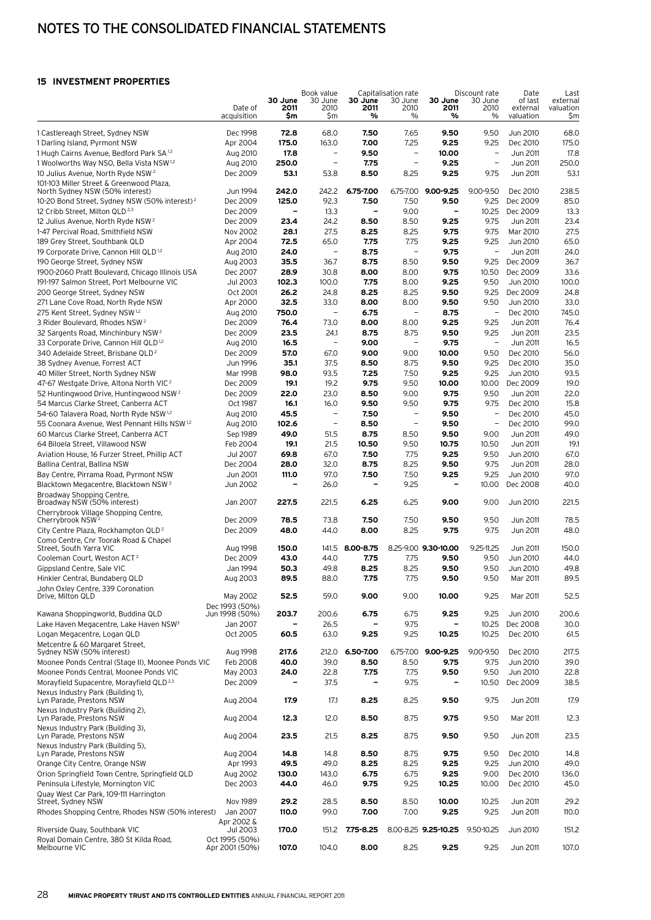# Notes to the consolidated financial statements

#### **15 Investment properties**

| VLJIMLINI FRUFLRIILJ                                                                                 |                            |                          |                                  |                 |                                        |                              |                                  |                             |                               |
|------------------------------------------------------------------------------------------------------|----------------------------|--------------------------|----------------------------------|-----------------|----------------------------------------|------------------------------|----------------------------------|-----------------------------|-------------------------------|
|                                                                                                      | Date of                    | 30 June<br>2011          | Book value<br>30 June<br>2010    | 30 June<br>2011 | Capitalisation rate<br>30 June<br>2010 | 30 June<br>2011              | Discount rate<br>30 June<br>2010 | Date<br>of last<br>external | Last<br>external<br>valuation |
|                                                                                                      | acquisition                | \$m                      | \$m                              | %               | %                                      | %                            | $\%$                             | valuation                   | Şm                            |
| 1 Castlereagh Street, Sydney NSW                                                                     | Dec 1998                   | 72.8                     | 68.0                             | 7.50            | 7.65                                   | 9.50                         | 9.50                             | Jun 2010                    | 68.0                          |
| 1 Darling Island, Pyrmont NSW                                                                        | Apr 2004                   | 175.0                    | 163.0                            | 7.00            | 7.25                                   | 9.25                         | 9.25                             | Dec 2010                    | 175.0                         |
| 1 Hugh Cairns Avenue, Bedford Park SA 1,2                                                            | Aug 2010                   | 17.8                     | $\qquad \qquad -$                | 9.50            | $\overline{\phantom{a}}$               | 10.00                        | $\qquad \qquad -$                | Jun 2011                    | 17.8                          |
| 1 Woolworths Way NSO, Bella Vista NSW <sup>1,2</sup>                                                 | Aug 2010                   | 250.0                    | $\overline{\phantom{0}}$         | 7.75            | $\overline{\phantom{0}}$               | 9.25                         | $\overline{\phantom{0}}$         | Jun 2011                    | 250.0                         |
| 10 Julius Avenue, North Ryde NSW <sup>2</sup><br>101-103 Miller Street & Greenwood Plaza,            | Dec 2009                   | 53.1                     | 53.8                             | 8.50            | 8.25                                   | 9.25                         | 9.75                             | Jun 2011                    | 53.1                          |
| North Sydney NSW (50% interest)                                                                      | Jun 1994                   | 242.0                    | 242.2                            | 6.75-7.00       | 6.75-7.00                              | 9.00-9.25                    | 9.00-9.50                        | Dec 2010                    | 238.5                         |
| 10-20 Bond Street, Sydney NSW (50% interest) <sup>2</sup>                                            | Dec 2009                   | 125.0                    | 92.3                             | 7.50            | 7.50                                   | 9.50                         | 9.25                             | Dec 2009                    | 85.0                          |
| 12 Cribb Street, Milton QLD <sup>2,3</sup>                                                           | Dec 2009                   | -                        | 13.3                             | $\qquad \qquad$ | 9.00                                   | $\overline{\phantom{a}}$     | 10.25                            | Dec 2009                    | 13.3                          |
| 12 Julius Avenue, North Ryde NSW <sup>2</sup>                                                        | Dec 2009                   | 23.4                     | 24.2                             | 8.50            | 8.50                                   | 9.25                         | 9.75                             | Jun 2011                    | 23.4                          |
| 1-47 Percival Road, Smithfield NSW                                                                   | <b>Nov 2002</b>            | 28.1                     | 27.5                             | 8.25            | 8.25                                   | 9.75                         | 9.75                             | Mar 2010                    | 27.5                          |
| 189 Grey Street, Southbank QLD                                                                       | Apr 2004                   | 72.5<br>24.0             | 65.0<br>$\overline{\phantom{0}}$ | 7.75<br>8.75    | 7.75<br>$\overline{\phantom{a}}$       | 9.25<br>9.75                 | 9.25<br>$\overline{\phantom{a}}$ | Jun 2010<br>Jun 2011        | 65.0<br>24.0                  |
| 19 Corporate Drive, Cannon Hill QLD <sup>1,2</sup><br>190 George Street, Sydney NSW                  | Aug 2010<br>Aug 2003       | 35.5                     | 36.7                             | 8.75            | 8.50                                   | 9.50                         | 9.25                             | Dec 2009                    | 36.7                          |
| 1900-2060 Pratt Boulevard, Chicago Illinois USA                                                      | Dec 2007                   | 28.9                     | 30.8                             | 8.00            | 8.00                                   | 9.75                         | 10.50                            | Dec 2009                    | 33.6                          |
| 191-197 Salmon Street, Port Melbourne VIC                                                            | Jul 2003                   | 102.3                    | 100.0                            | 7.75            | 8.00                                   | 9.25                         | 9.50                             | Jun 2010                    | 100.0                         |
| 200 George Street, Sydney NSW                                                                        | Oct 2001                   | 26.2                     | 24.8                             | 8.25            | 8.25                                   | 9.50                         | 9.25                             | Dec 2009                    | 24.8                          |
| 271 Lane Cove Road, North Ryde NSW                                                                   | Apr 2000                   | 32.5                     | 33.0                             | 8.00            | 8.00                                   | 9.50                         | 9.50                             | Jun 2010                    | 33.0                          |
| 275 Kent Street, Sydney NSW 1,2                                                                      | Aug 2010                   | 750.0                    | $\overline{a}$                   | 6.75            | $\overline{\phantom{0}}$               | 8.75                         | $\qquad \qquad -$                | Dec 2010                    | 745.0                         |
| 3 Rider Boulevard, Rhodes NSW <sup>2</sup>                                                           | Dec 2009                   | 76.4                     | 73.0                             | 8.00            | 8.00                                   | 9.25                         | 9.25                             | Jun 2011                    | 76.4                          |
| 32 Sargents Road, Minchinbury NSW <sup>2</sup>                                                       | Dec 2009                   | 23.5                     | 24.1<br>$\qquad \qquad -$        | 8.75            | 8.75<br>$\qquad \qquad -$              | 9.50                         | 9.25<br>$\overline{\phantom{a}}$ | Jun 2011                    | 23.5<br>16.5                  |
| 33 Corporate Drive, Cannon Hill QLD <sup>1,2</sup><br>340 Adelaide Street, Brisbane QLD <sup>2</sup> | Aug 2010<br>Dec 2009       | 16.5<br>57.0             | 67.0                             | 9.00<br>9.00    | 9.00                                   | 9.75<br>10.00                | 9.50                             | Jun 2011<br>Dec 2010        | 56.0                          |
| 38 Sydney Avenue, Forrest ACT                                                                        | Jun 1996                   | 35.1                     | 37.5                             | 8.50            | 8.75                                   | 9.50                         | 9.25                             | Dec 2010                    | 35.0                          |
| 40 Miller Street, North Sydney NSW                                                                   | Mar 1998                   | 98.0                     | 93.5                             | 7.25            | 7.50                                   | 9.25                         | 9.25                             | Jun 2010                    | 93.5                          |
| 47-67 Westgate Drive, Altona North VIC <sup>2</sup>                                                  | Dec 2009                   | 19.1                     | 19.2                             | 9.75            | 9.50                                   | 10.00                        | 10.00                            | Dec 2009                    | 19.0                          |
| 52 Huntingwood Drive, Huntingwood NSW <sup>2</sup>                                                   | Dec 2009                   | 22.0                     | 23.0                             | 8.50            | 9.00                                   | 9.75                         | 9.50                             | Jun 2011                    | 22.0                          |
| 54 Marcus Clarke Street, Canberra ACT                                                                | Oct 1987                   | 16.1                     | 16.0                             | 9.50            | 9.50                                   | 9.75                         | 9.75                             | Dec 2010                    | 15.8                          |
| 54-60 Talavera Road, North Ryde NSW 1,2                                                              | Aug 2010                   | 45.5                     | $\overline{a}$                   | 7.50            | $\overline{\phantom{a}}$               | 9.50                         | $\overline{\phantom{a}}$         | Dec 2010                    | 45.0                          |
| 55 Coonara Avenue, West Pennant Hills NSW 1,2                                                        | Aug 2010                   | 102.6<br>49.0            | -<br>51.5                        | 8.50<br>8.75    | $\qquad \qquad -$<br>8.50              | 9.50<br>9.50                 | $\overline{\phantom{a}}$<br>9.00 | Dec 2010<br>Jun 2011        | 99.0<br>49.0                  |
| 60 Marcus Clarke Street, Canberra ACT<br>64 Biloela Street, Villawood NSW                            | Sep 1989<br>Feb 2004       | 19,1                     | 21.5                             | 10.50           | 9.50                                   | 10.75                        | 10.50                            | Jun 2011                    | 19.1                          |
| Aviation House, 16 Furzer Street, Phillip ACT                                                        | Jul 2007                   | 69.8                     | 67.0                             | 7.50            | 7.75                                   | 9.25                         | 9.50                             | Jun 2010                    | 67.0                          |
| Ballina Central, Ballina NSW                                                                         | Dec 2004                   | 28.0                     | 32.0                             | 8.75            | 8.25                                   | 9.50                         | 9.75                             | Jun 2011                    | 28.0                          |
| Bay Centre, Pirrama Road, Pyrmont NSW                                                                | Jun 2001                   | 111.0                    | 97.0                             | 7.50            | 7.50                                   | 9.25                         | 9.25                             | Jun 2010                    | 97.0                          |
| Blacktown Megacentre, Blacktown NSW <sup>3</sup>                                                     | Jun 2002                   |                          | 26.0                             |                 | 9.25                                   |                              | 10.00                            | Dec 2008                    | 40.0                          |
| Broadway Shopping Centre,<br>Broadway NSW (50% interest)                                             | Jan 2007                   | 227.5                    | 221.5                            | 6.25            | 6.25                                   | 9.00                         | 9.00                             | Jun 2010                    | 221.5                         |
| Cherrybrook Village Shopping Centre,                                                                 |                            |                          |                                  |                 |                                        |                              |                                  |                             |                               |
| Cherrybrook NSW <sup>2</sup>                                                                         | Dec 2009                   | 78.5                     | 73.8                             | 7.50            | 7.50                                   | 9.50                         | 9.50                             | Jun 2011                    | 78.5                          |
| City Centre Plaza, Rockhampton QLD <sup>2</sup>                                                      | Dec 2009                   | 48.0                     | 44.0                             | 8.00            | 8.25                                   | 9.75                         | 9.75                             | Jun 2011                    | 48.0                          |
| Como Centre, Cnr Toorak Road & Chapel<br>Street, South Yarra VIC                                     | Aug 1998                   | 150.0                    | 141.5                            | 8.00-8.75       |                                        | 8.25-9.00 9.30-10.00         | $9.25 - 11.25$                   | Jun 2011                    | 150.0                         |
| Cooleman Court, Weston ACT <sup>2</sup>                                                              | Dec 2009                   | 43.0                     | 44.0                             | 7.75            | 7.75                                   | 9.50                         | 9.50                             | Jun 2010                    | 44.0                          |
| Gippsland Centre, Sale VIC                                                                           | Jan 1994                   | 50.3                     | 49.8                             | 8.25            | 8.25                                   | 9.50                         | 9.50                             | Jun 2010                    | 49.8                          |
| Hinkler Central, Bundaberg QLD                                                                       | Aug 2003                   | 89.5                     | 88.0                             | 7.75            | 7.75                                   | 9.50                         | 9.50                             | Mar 2011                    | 89.5                          |
| John Oxley Centre, 339 Coronation<br>Drive, Milton QLD                                               | May 2002                   | 52.5                     | 59.0                             | 9.00            | 9.00                                   | 10.00                        | 9.25                             | Mar 2011                    | 52.5                          |
|                                                                                                      | Dec 1993 (50%)             |                          |                                  |                 |                                        |                              |                                  |                             |                               |
| Kawana Shoppingworld, Buddina QLD                                                                    | Jun 1998 (50%)             | 203.7                    | 200.6                            | 6.75            | 6.75                                   | 9.25                         | 9.25                             | Jun 2010                    | 200.6                         |
| Lake Haven Megacentre, Lake Haven NSW <sup>3</sup>                                                   | Jan 2007                   |                          | 26.5                             | -               | 9.75                                   | $\overline{\phantom{0}}$     | 10.25                            | Dec 2008                    | 30.0                          |
| Logan Megacentre, Logan QLD                                                                          | Oct 2005                   | 60.5                     | 63.0                             | 9.25            | 9.25                                   | 10.25                        | 10.25                            | Dec 2010                    | 61.5                          |
| Metcentre & 60 Margaret Street,<br>Sydney NSW (50% interest)                                         | Aug 1998                   | 217.6                    | 212.0                            | 6.50-7.00       | 6.75-7.00                              | 9.00-9.25                    | 9.00-9.50                        | Dec 2010                    | 217.5                         |
| Moonee Ponds Central (Stage II), Moonee Ponds VIC                                                    | Feb 2008                   | 40.0                     | 39.0                             | 8.50            | 8.50                                   | 9.75                         | 9.75                             | Jun 2010                    | 39.0                          |
| Moonee Ponds Central, Moonee Ponds VIC                                                               | May 2003                   | 24.0                     | 22.8                             | 7.75            | 7.75                                   | 9.50                         | 9.50                             | Jun 2010                    | 22.8                          |
| Morayfield Supacentre, Morayfield QLD <sup>2,3</sup>                                                 | Dec 2009                   | $\overline{\phantom{0}}$ | 37.5                             | $\qquad \qquad$ | 9.75                                   | $\qquad \qquad \blacksquare$ | 10.50                            | Dec 2009                    | 38.5                          |
| Nexus Industry Park (Building 1),<br>Lyn Parade, Prestons NSW                                        | Aug 2004                   | 17.9                     | 17.1                             | 8.25            | 8.25                                   | 9.50                         | 9.75                             | Jun 2011                    | 17.9                          |
| Nexus Industry Park (Building 2),<br>Lyn Parade, Prestons NSW                                        | Aug 2004                   | 12.3                     | 12.0                             | 8.50            | 8.75                                   | 9.75                         | 9.50                             | Mar 2011                    | 12.3                          |
| Nexus Industry Park (Building 3),<br>Lyn Parade, Prestons NSW                                        | Aug 2004                   | 23.5                     | 21.5                             | 8.25            | 8.75                                   | 9.50                         | 9.50                             | Jun 2011                    | 23.5                          |
| Nexus Industry Park (Building 5),<br>Lyn Parade, Prestons NSW                                        | Aug 2004                   | 14.8                     | 14.8                             | 8.50            | 8.75                                   | 9.75                         | 9.50                             | Dec 2010                    | 14.8                          |
| Orange City Centre, Orange NSW                                                                       | Apr 1993                   | 49.5                     | 49.0                             | 8.25            | 8.25                                   | 9.25                         | 9.25                             | Jun 2010                    | 49.0                          |
| Orion Springfield Town Centre, Springfield QLD                                                       | Aug 2002                   | 130.0                    | 143.0                            | 6.75            | 6.75                                   | 9.25                         | 9.00                             | Dec 2010                    | 136.0                         |
| Peninsula Lifestyle, Mornington VIC                                                                  | Dec 2003                   | 44.0                     | 46.0                             | 9.75            | 9.25                                   | 10.25                        | 10.00                            | Dec 2010                    | 45.0                          |
| Quay West Car Park, 109-111 Harrington<br>Street, Sydney NSW                                         | Nov 1989                   | 29.2                     | 28.5                             | 8.50            | 8.50                                   | 10.00                        | 10.25                            | Jun 2011                    | 29.2                          |
| Rhodes Shopping Centre, Rhodes NSW (50% interest)                                                    | Jan 2007                   | 110.0                    | 99.0                             | 7.00            | 7.00                                   | 9.25                         | 9.25                             | Jun 2011                    | 110.0                         |
|                                                                                                      | Apr 2002 &                 |                          |                                  |                 |                                        |                              |                                  |                             |                               |
| Riverside Quay, Southbank VIC<br>Royal Domain Centre, 380 St Kilda Road,                             | Jul 2003<br>Oct 1995 (50%) | 170.0                    | 151.2                            | 7.75-8.25       |                                        | 8.00-8.25 9.25-10.25         | 9.50-10.25                       | Jun 2010                    | 151.2                         |
| Melbourne VIC                                                                                        | Apr 2001 (50%)             | 107.0                    | 104.0                            | 8.00            | 8.25                                   | 9.25                         | 9.25                             | Jun 2011                    | 107.0                         |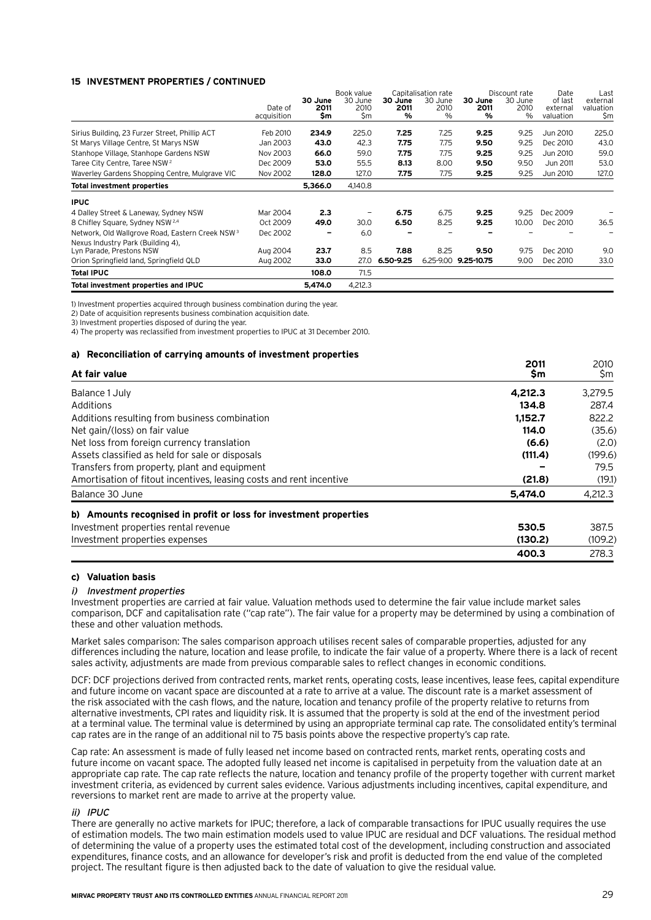#### **15 Investment properties / continued**

|                                                             |             |         | Book value |           | Capitalisation rate |            | Discount rate | Date      | Last      |
|-------------------------------------------------------------|-------------|---------|------------|-----------|---------------------|------------|---------------|-----------|-----------|
|                                                             |             | 30 June | 30 June    | 30 June   | 30 June             | 30 June    | 30 June       | of last   | external  |
|                                                             | Date of     | 2011    | 2010       | 2011      | 2010                | 2011       | 2010          | external  | valuation |
|                                                             | acquisition | Sm      | \$m        | %         | $\%$                | %          | %             | valuation | \$m       |
| Sirius Building, 23 Furzer Street, Phillip ACT              | Feb 2010    | 234.9   | 225.0      | 7.25      | 7.25                | 9.25       | 9.25          | Jun 2010  | 225.0     |
| St Marys Village Centre, St Marys NSW                       | Jan 2003    | 43.0    | 42.3       | 7.75      | 7.75                | 9.50       | 9.25          | Dec 2010  | 43.0      |
| Stanhope Village, Stanhope Gardens NSW                      | Nov 2003    | 66.0    | 59.0       | 7.75      | 7.75                | 9.25       | 9.25          | Jun 2010  | 59.0      |
| Taree City Centre, Taree NSW <sup>2</sup>                   | Dec 2009    | 53.0    | 55.5       | 8.13      | 8.00                | 9.50       | 9.50          | Jun 2011  | 53.0      |
| Waverley Gardens Shopping Centre, Mulgrave VIC              | Nov 2002    | 128.0   | 127.0      | 7.75      | 7.75                | 9.25       | 9.25          | Jun 2010  | 127.0     |
| <b>Total investment properties</b>                          |             | 5,366.0 | 4.140.8    |           |                     |            |               |           |           |
| <b>IPUC</b>                                                 |             |         |            |           |                     |            |               |           |           |
| 4 Dalley Street & Laneway, Sydney NSW                       | Mar 2004    | 2.3     |            | 6.75      | 6.75                | 9.25       | 9.25          | Dec 2009  |           |
| 8 Chifley Square, Sydney NSW 2.4                            | Oct 2009    | 49.0    | 30.0       | 6.50      | 8.25                | 9.25       | 10.00         | Dec 2010  | 36.5      |
| Network, Old Wallgrove Road, Eastern Creek NSW <sup>3</sup> | Dec 2002    |         | 6.0        |           |                     |            |               |           |           |
| Nexus Industry Park (Building 4),                           |             |         |            |           |                     |            |               |           |           |
| Lyn Parade, Prestons NSW                                    | Aug 2004    | 23.7    | 8.5        | 7.88      | 8.25                | 9.50       | 9.75          | Dec 2010  | 9.0       |
| Orion Springfield land, Springfield QLD                     | Aug 2002    | 33.0    | 27.0       | 6.50-9.25 | 6.25-9.00           | 9.25-10.75 | 9.00          | Dec 2010  | 33.0      |
| <b>Total IPUC</b>                                           |             | 108.0   | 71.5       |           |                     |            |               |           |           |
| Total investment properties and IPUC                        |             | 5.474.0 | 4.212.3    |           |                     |            |               |           |           |

1) Investment properties acquired through business combination during the year.

2) Date of acquisition represents business combination acquisition date.

3) Investment properties disposed of during the year.

4) The property was reclassified from investment properties to IPUC at 31 December 2010.

#### **a) Reconciliation of carrying amounts of investment properties <sup>2011</sup>** <sup>2010</sup>

| At fair value                                                       | 2011<br>\$m | 2010<br>\$m |
|---------------------------------------------------------------------|-------------|-------------|
| Balance 1 July                                                      | 4.212.3     | 3,279.5     |
| Additions                                                           | 134.8       | 287.4       |
| Additions resulting from business combination                       | 1.152.7     | 822.2       |
| Net gain/(loss) on fair value                                       | 114.0       | (35.6)      |
| Net loss from foreign currency translation                          | (6.6)       | (2.0)       |
| Assets classified as held for sale or disposals                     | (111.4)     | (199.6)     |
| Transfers from property, plant and equipment                        |             | 79.5        |
| Amortisation of fitout incentives, leasing costs and rent incentive | (21.8)      | (19.1)      |
| Balance 30 June                                                     | 5.474.0     | 4.212.3     |
| b) Amounts recognised in profit or loss for investment properties   |             |             |
| Investment properties rental revenue                                | 530.5       | 387.5       |
| Investment properties expenses                                      | (130.2)     | (109.2)     |
|                                                                     | 400.3       | 278.3       |

#### **c) Valuation basis**

#### i) Investment properties

Investment properties are carried at fair value. Valuation methods used to determine the fair value include market sales comparison, DCF and capitalisation rate ("cap rate"). The fair value for a property may be determined by using a combination of these and other valuation methods.

Market sales comparison: The sales comparison approach utilises recent sales of comparable properties, adjusted for any differences including the nature, location and lease profile, to indicate the fair value of a property. Where there is a lack of recent sales activity, adjustments are made from previous comparable sales to reflect changes in economic conditions.

DCF: DCF projections derived from contracted rents, market rents, operating costs, lease incentives, lease fees, capital expenditure and future income on vacant space are discounted at a rate to arrive at a value. The discount rate is a market assessment of the risk associated with the cash flows, and the nature, location and tenancy profile of the property relative to returns from alternative investments, CPI rates and liquidity risk. It is assumed that the property is sold at the end of the investment period at a terminal value. The terminal value is determined by using an appropriate terminal cap rate. The consolidated entity's terminal cap rates are in the range of an additional nil to 75 basis points above the respective property's cap rate.

Cap rate: An assessment is made of fully leased net income based on contracted rents, market rents, operating costs and future income on vacant space. The adopted fully leased net income is capitalised in perpetuity from the valuation date at an appropriate cap rate. The cap rate reflects the nature, location and tenancy profile of the property together with current market investment criteria, as evidenced by current sales evidence. Various adjustments including incentives, capital expenditure, and reversions to market rent are made to arrive at the property value.

#### ii) IPUC

There are generally no active markets for IPUC; therefore, a lack of comparable transactions for IPUC usually requires the use of estimation models. The two main estimation models used to value IPUC are residual and DCF valuations. The residual method of determining the value of a property uses the estimated total cost of the development, including construction and associated expenditures, finance costs, and an allowance for developer's risk and profit is deducted from the end value of the completed project. The resultant figure is then adjusted back to the date of valuation to give the residual value.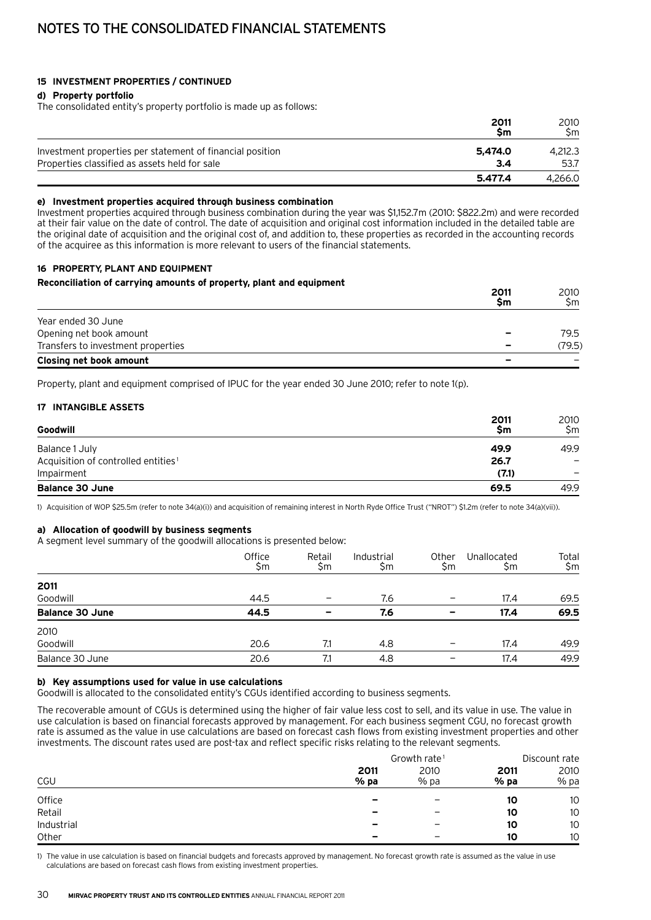#### **15 Investment properties / continued**

#### **d) Property portfolio**

The consolidated entity's property portfolio is made up as follows:

|                                                           | 2011<br>Sm | 2010<br>Sm |
|-----------------------------------------------------------|------------|------------|
| Investment properties per statement of financial position | 5.474.0    | 4.212.3    |
| Properties classified as assets held for sale             | 3.4        | 53.7       |
|                                                           | 5.477.4    | 4.266.0    |

#### **e) Investment properties acquired through business combination**

Investment properties acquired through business combination during the year was \$1,152.7m (2010: \$822.2m) and were recorded at their fair value on the date of control. The date of acquisition and original cost information included in the detailed table are the original date of acquisition and the original cost of, and addition to, these properties as recorded in the accounting records of the acquiree as this information is more relevant to users of the financial statements.

#### **16 Property, plant and equipment**

#### **Reconciliation of carrying amounts of property, plant and equipment**

|                                    | 2011<br>Sm               | 2010<br>Sm |
|------------------------------------|--------------------------|------------|
| Year ended 30 June                 |                          |            |
| Opening net book amount            | $\overline{\phantom{0}}$ | 79.5       |
| Transfers to investment properties | -                        | (79.5)     |
| Closing net book amount            | $\overline{\phantom{0}}$ |            |

Property, plant and equipment comprised of IPUC for the year ended 30 June 2010; refer to note 1(p).

#### **17 Intangible assets**

| Goodwill                                        | 2011<br>\$m | 2010<br>Sm |
|-------------------------------------------------|-------------|------------|
| Balance 1 July                                  | 49.9        | 49.9       |
| Acquisition of controlled entities <sup>1</sup> | 26.7        |            |
| Impairment                                      | (7.1)       |            |
| <b>Balance 30 June</b>                          | 69.5        | 49.9       |

1) Acquisition of WOP \$25.5m (refer to note 34(a)(i)) and acquisition of remaining interest in North Ryde Office Trust ("NROT") \$1.2m (refer to note 34(a)(vii)).

#### **a) Allocation of goodwill by business segments**

A segment level summary of the goodwill allocations is presented below:

|                        | Office<br>\$m | Retail<br>Şm | Industrial<br>\$m | Other<br>\$m | Unallocated<br>\$m | Total<br>\$m |
|------------------------|---------------|--------------|-------------------|--------------|--------------------|--------------|
| 2011                   |               |              |                   |              |                    |              |
| Goodwill               | 44.5          |              | 7.6               |              | 17.4               | 69.5         |
| <b>Balance 30 June</b> | 44.5          |              | 7.6               |              | 17.4               | 69.5         |
| 2010                   |               |              |                   |              |                    |              |
| Goodwill               | 20.6          | 7.1          | 4.8               |              | 17.4               | 49.9         |
| Balance 30 June        | 20.6          | 7.1          | 4.8               | -            | 17.4               | 49.9         |
|                        |               |              |                   |              |                    |              |

#### **b) Key assumptions used for value in use calculations**

Goodwill is allocated to the consolidated entity's CGUs identified according to business segments.

The recoverable amount of CGUs is determined using the higher of fair value less cost to sell, and its value in use. The value in use calculation is based on financial forecasts approved by management. For each business segment CGU, no forecast growth rate is assumed as the value in use calculations are based on forecast cash flows from existing investment properties and other investments. The discount rates used are post-tax and reflect specific risks relating to the relevant segments.

|            |                          |                          | Discount rate  |              |
|------------|--------------------------|--------------------------|----------------|--------------|
| CGU        | 2011<br>$%$ pa           | 2010<br>% pa             | 2011<br>$%$ pa | 2010<br>% pa |
| Office     | $\overline{\phantom{a}}$ | $\overline{\phantom{0}}$ | 10             | 10           |
| Retail     | $\overline{\phantom{0}}$ | -                        | 10             | 10           |
| Industrial | $\overline{\phantom{0}}$ | -                        | 10             | 10           |
| Other      | $\overline{\phantom{0}}$ | -                        | 10             | 10           |

1) The value in use calculation is based on financial budgets and forecasts approved by management. No forecast growth rate is assumed as the value in use calculations are based on forecast cash flows from existing investment properties.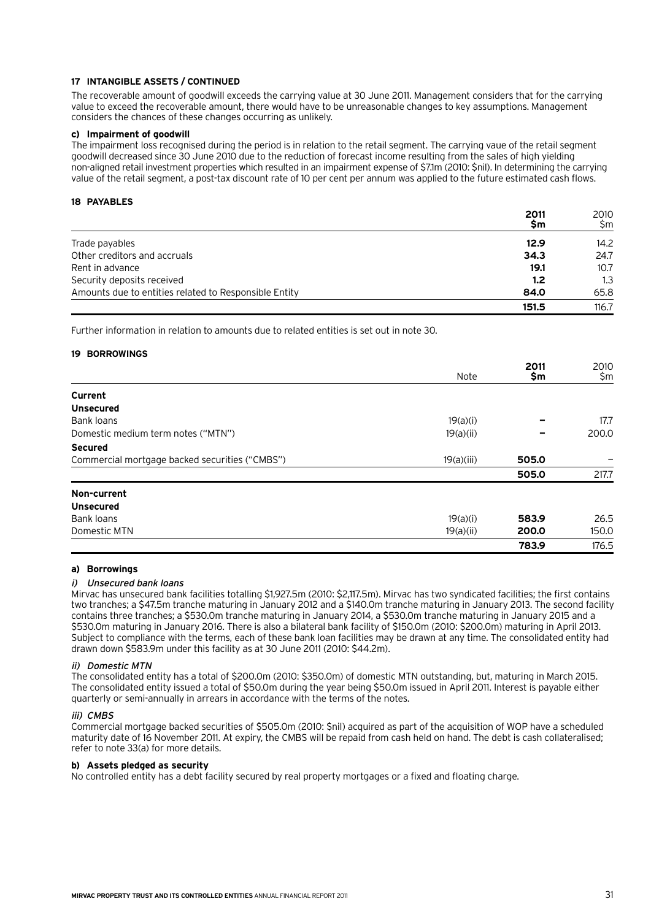#### **17 Intangible assets / continued**

The recoverable amount of goodwill exceeds the carrying value at 30 June 2011. Management considers that for the carrying value to exceed the recoverable amount, there would have to be unreasonable changes to key assumptions. Management considers the chances of these changes occurring as unlikely.

#### **c) Impairment of goodwill**

The impairment loss recognised during the period is in relation to the retail segment. The carrying vaue of the retail segment goodwill decreased since 30 June 2010 due to the reduction of forecast income resulting from the sales of high yielding non-aligned retail investment properties which resulted in an impairment expense of \$7.1m (2010: \$nil). In determining the carrying value of the retail segment, a post-tax discount rate of 10 per cent per annum was applied to the future estimated cash flows.

#### **18 Payables**

|                                                       | 2011<br>Şm | 2010<br>Sm |
|-------------------------------------------------------|------------|------------|
| Trade payables                                        | 12.9       | 14.2       |
| Other creditors and accruals                          | 34.3       | 24.7       |
| Rent in advance                                       | 19.1       | 10.7       |
| Security deposits received                            | 1.2        | 1.3        |
| Amounts due to entities related to Responsible Entity | 84.0       | 65.8       |
|                                                       | 151.5      | 116.7      |

Further information in relation to amounts due to related entities is set out in note 30.

#### **19 Borrowings**

|                                                |            | 2011  | 2010  |
|------------------------------------------------|------------|-------|-------|
|                                                | Note       | \$m   | \$m   |
| Current                                        |            |       |       |
| <b>Unsecured</b>                               |            |       |       |
| Bank loans                                     | 19(a)(i)   |       | 17.7  |
| Domestic medium term notes ("MTN")             | 19(a)(ii)  |       | 200.0 |
| <b>Secured</b>                                 |            |       |       |
| Commercial mortgage backed securities ("CMBS") | 19(a)(iii) | 505.0 |       |
|                                                |            | 505.0 | 217.7 |
| Non-current                                    |            |       |       |
| <b>Unsecured</b>                               |            |       |       |
| Bank loans                                     | 19(a)(i)   | 583.9 | 26.5  |
| Domestic MTN                                   | 19(a)(ii)  | 200.0 | 150.0 |
|                                                |            | 783.9 | 176.5 |

#### **a) Borrowings**

#### i) Unsecured bank loans

Mirvac has unsecured bank facilities totalling \$1,927.5m (2010: \$2,117.5m). Mirvac has two syndicated facilities; the first contains two tranches; a \$47.5m tranche maturing in January 2012 and a \$140.0m tranche maturing in January 2013. The second facility contains three tranches; a \$530.0m tranche maturing in January 2014, a \$530.0m tranche maturing in January 2015 and a \$530.0m maturing in January 2016. There is also a bilateral bank facility of \$150.0m (2010: \$200.0m) maturing in April 2013. Subject to compliance with the terms, each of these bank loan facilities may be drawn at any time. The consolidated entity had drawn down \$583.9m under this facility as at 30 June 2011 (2010: \$44.2m).

#### ii) Domestic MTN

The consolidated entity has a total of \$200.0m (2010: \$350.0m) of domestic MTN outstanding, but, maturing in March 2015. The consolidated entity issued a total of \$50.0m during the year being \$50.0m issued in April 2011. Interest is payable either quarterly or semi-annually in arrears in accordance with the terms of the notes.

#### iii) CMBS

Commercial mortgage backed securities of \$505.0m (2010: \$nil) acquired as part of the acquisition of WOP have a scheduled maturity date of 16 November 2011. At expiry, the CMBS will be repaid from cash held on hand. The debt is cash collateralised; refer to note 33(a) for more details.

#### **b) Assets pledged as security**

No controlled entity has a debt facility secured by real property mortgages or a fixed and floating charge.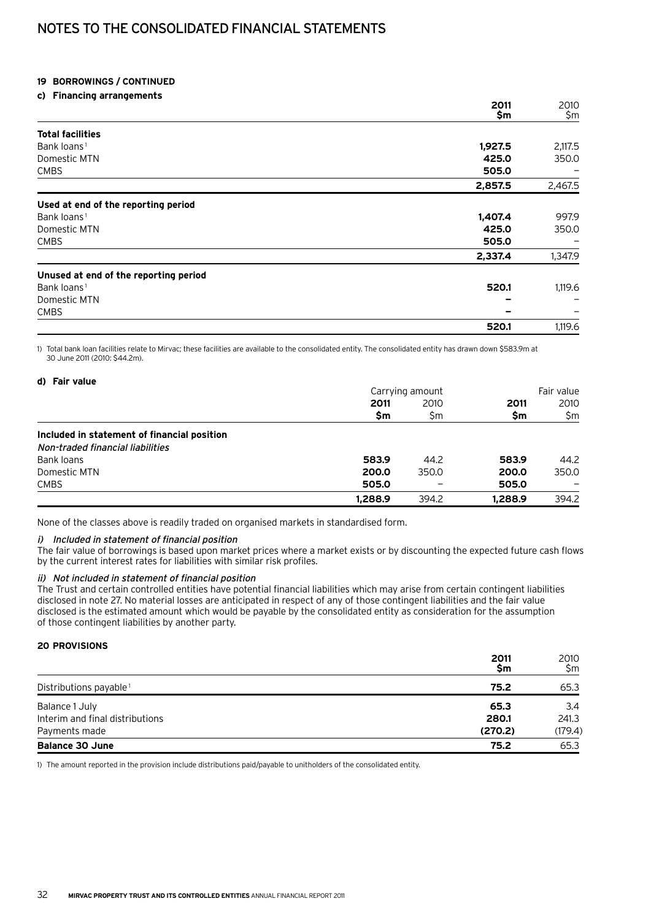# Notes to the consolidated financial statements

#### **19 Borrowings / continued**

#### **c) Financing arrangements**

|                                       | 2011    | 2010    |
|---------------------------------------|---------|---------|
|                                       | \$m     | \$m     |
| <b>Total facilities</b>               |         |         |
| Bank loans <sup>1</sup>               | 1,927.5 | 2,117.5 |
| Domestic MTN                          | 425.0   | 350.0   |
| <b>CMBS</b>                           | 505.0   |         |
|                                       | 2,857.5 | 2,467.5 |
| Used at end of the reporting period   |         |         |
| Bank loans <sup>1</sup>               | 1,407.4 | 997.9   |
| Domestic MTN                          | 425.0   | 350.0   |
| <b>CMBS</b>                           | 505.0   |         |
|                                       | 2,337.4 | 1,347.9 |
| Unused at end of the reporting period |         |         |
| Bank loans <sup>1</sup>               | 520.1   | 1,119.6 |
| Domestic MTN                          |         |         |
| <b>CMBS</b>                           |         |         |
|                                       | 520.1   | 1,119.6 |

1) Total bank loan facilities relate to Mirvac; these facilities are available to the consolidated entity. The consolidated entity has drawn down \$583.9m at 30 June 2011 (2010: \$44.2m).

| d) Fair value                               |         |                 |         |            |
|---------------------------------------------|---------|-----------------|---------|------------|
|                                             |         | Carrying amount |         | Fair value |
|                                             | 2011    | 2010            | 2011    | 2010       |
|                                             | \$m     | \$m             | \$m     | \$m        |
| Included in statement of financial position |         |                 |         |            |
| Non-traded financial liabilities            |         |                 |         |            |
| Bank loans                                  | 583.9   | 44.2            | 583.9   | 44.2       |
| Domestic MTN                                | 200.0   | 350.0           | 200.0   | 350.0      |
| <b>CMBS</b>                                 | 505.0   |                 | 505.0   |            |
|                                             | 1,288.9 | 394.2           | 1,288.9 | 394.2      |

None of the classes above is readily traded on organised markets in standardised form.

#### i) Included in statement of financial position

The fair value of borrowings is based upon market prices where a market exists or by discounting the expected future cash flows by the current interest rates for liabilities with similar risk profiles.

#### ii) Not included in statement of financial position

The Trust and certain controlled entities have potential financial liabilities which may arise from certain contingent liabilities disclosed in note 27. No material losses are anticipated in respect of any of those contingent liabilities and the fair value disclosed is the estimated amount which would be payable by the consolidated entity as consideration for the assumption of those contingent liabilities by another party.

#### **20 Provisions**

|                                    | 2011<br>Sm | 2010<br>\$m |
|------------------------------------|------------|-------------|
| Distributions payable <sup>1</sup> | 75.2       | 65.3        |
| Balance 1 July                     | 65.3       | 3.4         |
| Interim and final distributions    | 280.1      | 241.3       |
| Payments made                      | (270.2)    | (179.4)     |
| <b>Balance 30 June</b>             | 75.2       | 65.3        |

1) The amount reported in the provision include distributions paid/payable to unitholders of the consolidated entity.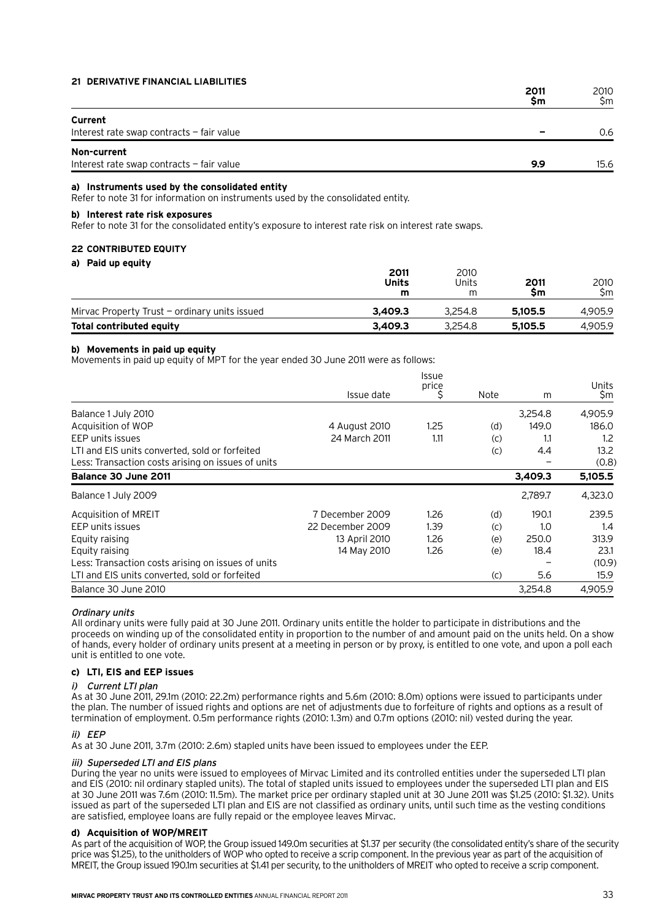#### **21 Derivative financial liabilities**

|                                           | \$m | 2010<br>\$m |
|-------------------------------------------|-----|-------------|
| Current                                   |     |             |
| Interest rate swap contracts - fair value |     | 0.6         |
| Non-current                               |     |             |
| Interest rate swap contracts - fair value | 9.9 | 15.6        |

#### **a) Instruments used by the consolidated entity**

Refer to note 31 for information on instruments used by the consolidated entity.

#### **b) Interest rate risk exposures**

Refer to note 31 for the consolidated entity's exposure to interest rate risk on interest rate swaps.

#### **22 Contributed equity**

#### **a) Paid up equity**

|                                               | 2011<br>Units<br>m | 2010<br>Units<br>m | 2011<br><b>Sm</b> | 2010<br>Sm. |
|-----------------------------------------------|--------------------|--------------------|-------------------|-------------|
| Mirvac Property Trust – ordinary units issued | 3.409.3            | 3.254.8            | 5.105.5           | 4.905.9     |
| Total contributed equity                      | 3.409.3            | 3.254.8            | 5.105.5           | 4.905.9     |

#### **b) Movements in paid up equity**

Movements in paid up equity of MPT for the year ended 30 June 2011 were as follows:

|                                                    | Issue date       | <b>Issue</b><br>price<br>S | Note | m       | Units<br>\$m |
|----------------------------------------------------|------------------|----------------------------|------|---------|--------------|
| Balance 1 July 2010                                |                  |                            |      | 3,254.8 | 4,905.9      |
| Acquisition of WOP                                 | 4 August 2010    | 1.25                       | (d)  | 149.0   | 186.0        |
| EEP units issues                                   | 24 March 2011    | 1.11                       | (C)  | 1.1     | 1.2          |
| LTI and EIS units converted, sold or forfeited     |                  |                            | (c)  | 4.4     | 13.2         |
| Less: Transaction costs arising on issues of units |                  |                            |      |         | (0.8)        |
| Balance 30 June 2011                               |                  |                            |      | 3,409.3 | 5,105.5      |
| Balance 1 July 2009                                |                  |                            |      | 2,789.7 | 4,323.0      |
| Acquisition of MREIT                               | 7 December 2009  | 1.26                       | (d)  | 190.1   | 239.5        |
| EEP units issues                                   | 22 December 2009 | 1.39                       | (C)  | 1.0     | 1.4          |
| Equity raising                                     | 13 April 2010    | 1.26                       | (e)  | 250.0   | 313.9        |
| Equity raising                                     | 14 May 2010      | 1.26                       | (e)  | 18.4    | 23.1         |
| Less: Transaction costs arising on issues of units |                  |                            |      |         | (10.9)       |
| LTI and EIS units converted, sold or forfeited     |                  |                            | (C)  | 5.6     | 15.9         |
| Balance 30 June 2010                               |                  |                            |      | 3,254.8 | 4.905.9      |

#### Ordinary units

All ordinary units were fully paid at 30 June 2011. Ordinary units entitle the holder to participate in distributions and the proceeds on winding up of the consolidated entity in proportion to the number of and amount paid on the units held. On a show of hands, every holder of ordinary units present at a meeting in person or by proxy, is entitled to one vote, and upon a poll each unit is entitled to one vote.

#### **c) LTI, EIS and EEP issues**

#### i) Current LTI plan

As at 30 June 2011, 29.1m (2010: 22.2m) performance rights and 5.6m (2010: 8.0m) options were issued to participants under the plan. The number of issued rights and options are net of adjustments due to forfeiture of rights and options as a result of termination of employment. 0.5m performance rights (2010: 1.3m) and 0.7m options (2010: nil) vested during the year.

#### ii) EEP

As at 30 June 2011, 3.7m (2010: 2.6m) stapled units have been issued to employees under the EEP.

#### iii) Superseded LTI and EIS plans

During the year no units were issued to employees of Mirvac Limited and its controlled entities under the superseded LTI plan and EIS (2010: nil ordinary stapled units). The total of stapled units issued to employees under the superseded LTI plan and EIS at 30 June 2011 was 7.6m (2010: 11.5m). The market price per ordinary stapled unit at 30 June 2011 was \$1.25 (2010: \$1.32). Units issued as part of the superseded LTI plan and EIS are not classified as ordinary units, until such time as the vesting conditions are satisfied, employee loans are fully repaid or the employee leaves Mirvac.

#### **d) Acquisition of WOP/MREIT**

As part of the acquisition of WOP, the Group issued 149.0m securities at \$1.37 per security (the consolidated entity's share of the security price was \$1.25), to the unitholders of WOP who opted to receive a scrip component. In the previous year as part of the acquisition of MREIT, the Group issued 190.1m securities at \$1.41 per security, to the unitholders of MREIT who opted to receive a scrip component.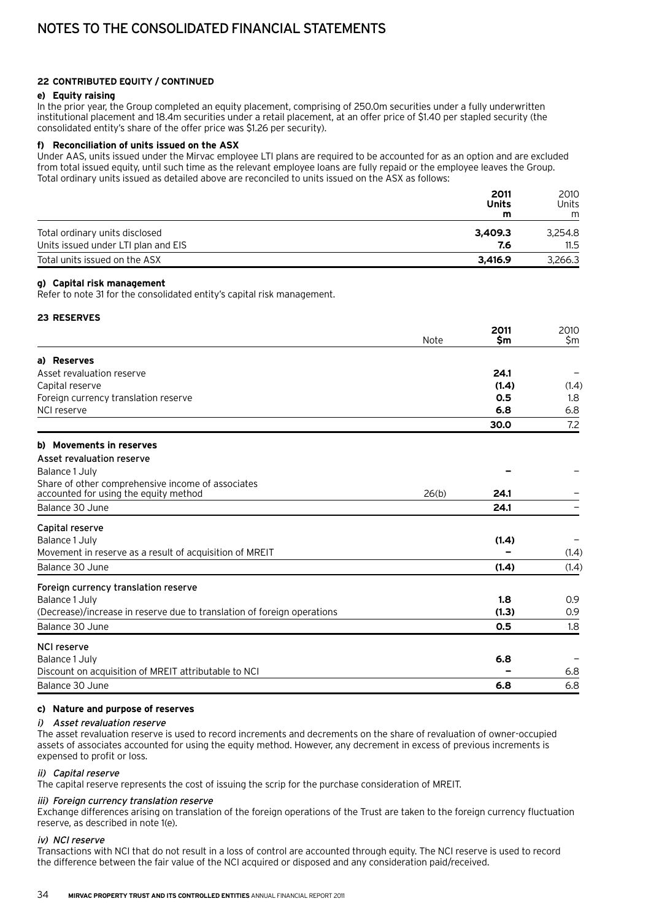#### **22 Contributed equity / continued**

#### **e) Equity raising**

In the prior year, the Group completed an equity placement, comprising of 250.0m securities under a fully underwritten institutional placement and 18.4m securities under a retail placement, at an offer price of \$1.40 per stapled security (the consolidated entity's share of the offer price was \$1.26 per security).

#### **f) Reconciliation of units issued on the ASX**

Under AAS, units issued under the Mirvac employee LTI plans are required to be accounted for as an option and are excluded from total issued equity, until such time as the relevant employee loans are fully repaid or the employee leaves the Group. Total ordinary units issued as detailed above are reconciled to units issued on the ASX as follows:

|                                     | 2011<br>Units<br>m | 2010<br><b>Units</b><br>m |
|-------------------------------------|--------------------|---------------------------|
| Total ordinary units disclosed      | 3.409.3            | 3.254.8                   |
| Units issued under LTI plan and EIS | 7.6                | 11.5                      |
| Total units issued on the ASX       | 3.416.9            | 3,266.3                   |

#### **g) Capital risk management**

Refer to note 31 for the consolidated entity's capital risk management.

#### **23 Reserves**

| Note                                                                    | \$m   |       |
|-------------------------------------------------------------------------|-------|-------|
|                                                                         |       | \$m   |
| a) Reserves                                                             |       |       |
| Asset revaluation reserve                                               | 24.1  |       |
| Capital reserve                                                         | (1.4) | (1.4) |
| Foreign currency translation reserve                                    | 0.5   | 1.8   |
| NCI reserve                                                             | 6.8   | 6.8   |
|                                                                         | 30.0  | 7.2   |
| b) Movements in reserves                                                |       |       |
| Asset revaluation reserve                                               |       |       |
| Balance 1 July                                                          |       |       |
| Share of other comprehensive income of associates                       |       |       |
| accounted for using the equity method<br>26(b)                          | 24.1  |       |
| Balance 30 June                                                         | 24.1  |       |
| Capital reserve                                                         |       |       |
| Balance 1 July                                                          | (1.4) |       |
| Movement in reserve as a result of acquisition of MREIT                 |       | (1.4) |
| Balance 30 June                                                         | (1.4) | (1.4) |
| Foreign currency translation reserve                                    |       |       |
| Balance 1 July                                                          | 1.8   | 0.9   |
| (Decrease)/increase in reserve due to translation of foreign operations | (1.3) | 0.9   |
| Balance 30 June                                                         | 0.5   | 1.8   |
| <b>NCI reserve</b>                                                      |       |       |
| Balance 1 July                                                          | 6.8   |       |
| Discount on acquisition of MREIT attributable to NCI                    |       | 6.8   |
| Balance 30 June                                                         | 6.8   | 6.8   |

#### **c) Nature and purpose of reserves**

#### i) Asset revaluation reserve

The asset revaluation reserve is used to record increments and decrements on the share of revaluation of owner-occupied assets of associates accounted for using the equity method. However, any decrement in excess of previous increments is expensed to profit or loss.

#### ii) Capital reserve

The capital reserve represents the cost of issuing the scrip for the purchase consideration of MREIT.

### iii) Foreign currency translation reserve

Exchange differences arising on translation of the foreign operations of the Trust are taken to the foreign currency fluctuation reserve, as described in note 1(e).

#### iv) NCI reserve

Transactions with NCI that do not result in a loss of control are accounted through equity. The NCI reserve is used to record the difference between the fair value of the NCI acquired or disposed and any consideration paid/received.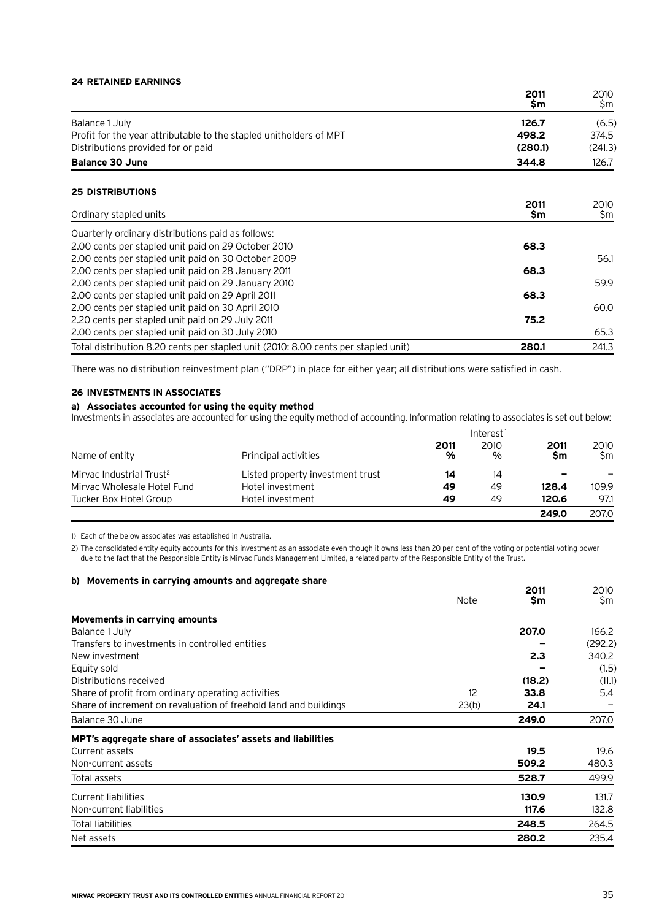#### **24 Retained earnings**

|                                                                                    | 2011<br><b>Sm</b> | 2010<br>\$m |
|------------------------------------------------------------------------------------|-------------------|-------------|
| Balance 1 July                                                                     | 126.7             | (6.5)       |
| Profit for the year attributable to the stapled unitholders of MPT                 | 498.2             | 374.5       |
| Distributions provided for or paid                                                 | (280.1)           | (241.3)     |
| <b>Balance 30 June</b>                                                             | 344.8             | 126.7       |
| <b>25 DISTRIBUTIONS</b>                                                            |                   |             |
| Ordinary stapled units                                                             | 2011<br>\$m       | 2010<br>\$m |
| Quarterly ordinary distributions paid as follows:                                  |                   |             |
| 2.00 cents per stapled unit paid on 29 October 2010                                | 68.3              |             |
| 2.00 cents per stapled unit paid on 30 October 2009                                |                   | 56.1        |
| 2.00 cents per stapled unit paid on 28 January 2011                                | 68.3              |             |
| 2.00 cents per stapled unit paid on 29 January 2010                                |                   | 59.9        |
| 2.00 cents per stapled unit paid on 29 April 2011                                  | 68.3              |             |
| 2.00 cents per stapled unit paid on 30 April 2010                                  |                   | 60.0        |
| 2.20 cents per stapled unit paid on 29 July 2011                                   | 75.2              |             |
| 2.00 cents per stapled unit paid on 30 July 2010                                   |                   | 65.3        |
| Total distribution 8.20 cents per stapled unit (2010: 8.00 cents per stapled unit) | 280.1             | 241.3       |

There was no distribution reinvestment plan ("DRP") in place for either year; all distributions were satisfied in cash.

#### **26 Investments in associates**

## **a) Associates accounted for using the equity method**

Investments in associates are accounted for using the equity method of accounting. Information relating to associates is set out below:

|                                      |                                  |           | Interest <sup>1</sup> |            |            |
|--------------------------------------|----------------------------------|-----------|-----------------------|------------|------------|
| Name of entity                       | Principal activities             | 2011<br>% | 2010<br>$\%$          | 2011<br>Sm | 2010<br>Sm |
| Mirvac Industrial Trust <sup>2</sup> | Listed property investment trust | 14        | 14                    |            |            |
| Mirvac Wholesale Hotel Fund          | Hotel investment                 | 49        | 49                    | 128.4      | 109.9      |
| Tucker Box Hotel Group               | Hotel investment                 | 49        | 49                    | 120.6      | 97.1       |
|                                      |                                  |           |                       | 249.0      | 207.0      |

1) Each of the below associates was established in Australia.

2) The consolidated entity equity accounts for this investment as an associate even though it owns less than 20 per cent of the voting or potential voting power due to the fact that the Responsible Entity is Mirvac Funds Management Limited, a related party of the Responsible Entity of the Trust.

#### **b) Movements in carrying amounts and aggregate share**

|                                                                  | <b>Note</b> | 2011<br>\$m | 2010<br>\$m |
|------------------------------------------------------------------|-------------|-------------|-------------|
|                                                                  |             |             |             |
| Movements in carrying amounts                                    |             |             |             |
| Balance 1 July                                                   |             | 207.0       | 166.2       |
| Transfers to investments in controlled entities                  |             |             | (292.2)     |
| New investment                                                   |             | 2.3         | 340.2       |
| Equity sold                                                      |             |             | (1.5)       |
| Distributions received                                           |             | (18.2)      | (11.1)      |
| Share of profit from ordinary operating activities               | 12          | 33.8        | 5.4         |
| Share of increment on revaluation of freehold land and buildings | 23(b)       | 24.1        |             |
| Balance 30 June                                                  |             | 249.0       | 207.0       |
| MPT's aggregate share of associates' assets and liabilities      |             |             |             |
| Current assets                                                   |             | 19.5        | 19.6        |
| Non-current assets                                               |             | 509.2       | 480.3       |
| Total assets                                                     |             | 528.7       | 499.9       |
| Current liabilities                                              |             | 130.9       | 131.7       |
| Non-current liabilities                                          |             | 117.6       | 132.8       |
| <b>Total liabilities</b>                                         |             | 248.5       | 264.5       |
| Net assets                                                       |             | 280.2       | 235.4       |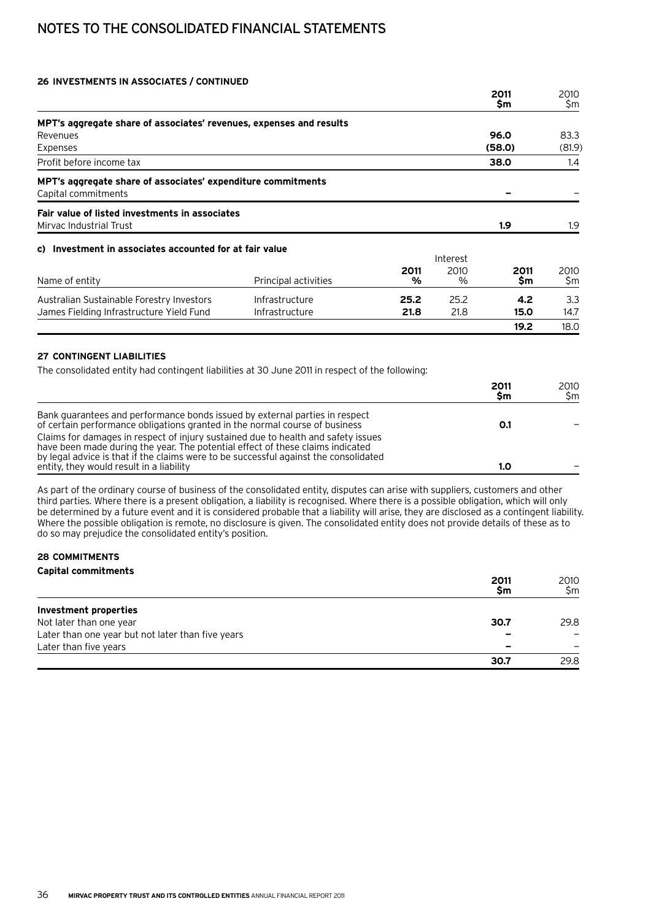# Notes to the consolidated financial statements

#### **26 Investments in associates / continued**

|                                                                                     |                      |           |              | 2011<br>\$m | 2010<br>\$m |
|-------------------------------------------------------------------------------------|----------------------|-----------|--------------|-------------|-------------|
| MPT's aggregate share of associates' revenues, expenses and results                 |                      |           |              |             |             |
| Revenues                                                                            |                      |           |              | 96.0        | 83.3        |
| Expenses                                                                            |                      |           |              | (58.0)      | (81.9)      |
| Profit before income tax                                                            |                      |           |              | 38.0        | 1.4         |
| MPT's aggregate share of associates' expenditure commitments<br>Capital commitments |                      |           |              |             |             |
| Fair value of listed investments in associates<br>Mirvac Industrial Trust           |                      |           |              | 1.9         | 1.9         |
| c) Investment in associates accounted for at fair value                             |                      |           | Interest     |             |             |
| Name of entity                                                                      | Principal activities | 2011<br>% | 2010<br>$\%$ | 2011<br>\$m | 2010<br>\$m |
| Australian Sustainable Forestry Investors                                           | Infrastructure       | 25.2      | 25.2         | 4.2         | 3.3         |

James Fielding Infrastructure Yield Fund Infrastructure **21.8** 21.8 **15.0** 14.7

**19.2** 18.0

#### **27 Contingent liabilities**

The consolidated entity had contingent liabilities at 30 June 2011 in respect of the following:

|                                                                                                                                                                                                                                                             | 2011<br>\$m | 2010<br>Sm. |
|-------------------------------------------------------------------------------------------------------------------------------------------------------------------------------------------------------------------------------------------------------------|-------------|-------------|
| Bank quarantees and performance bonds issued by external parties in respect<br>of certain performance obligations granted in the normal course of business                                                                                                  | O.1         |             |
| Claims for damages in respect of injury sustained due to health and safety issues<br>have been made during the year. The potential effect of these claims indicated<br>by legal advice is that if the claims were to be successful against the consolidated |             |             |
| entity, they would result in a liability                                                                                                                                                                                                                    | 1.0         |             |

As part of the ordinary course of business of the consolidated entity, disputes can arise with suppliers, customers and other third parties. Where there is a present obligation, a liability is recognised. Where there is a possible obligation, which will only be determined by a future event and it is considered probable that a liability will arise, they are disclosed as a contingent liability. Where the possible obligation is remote, no disclosure is given. The consolidated entity does not provide details of these as to do so may prejudice the consolidated entity's position.

#### **28 Commitments Capital commitments**

|                                                   | 2011<br>Sm               | 2010<br>\$m |
|---------------------------------------------------|--------------------------|-------------|
| Investment properties                             |                          |             |
| Not later than one year                           | 30.7                     | 29.8        |
| Later than one year but not later than five years | -                        |             |
| Later than five years                             | $\overline{\phantom{0}}$ |             |
|                                                   | 30.7                     | 29.8        |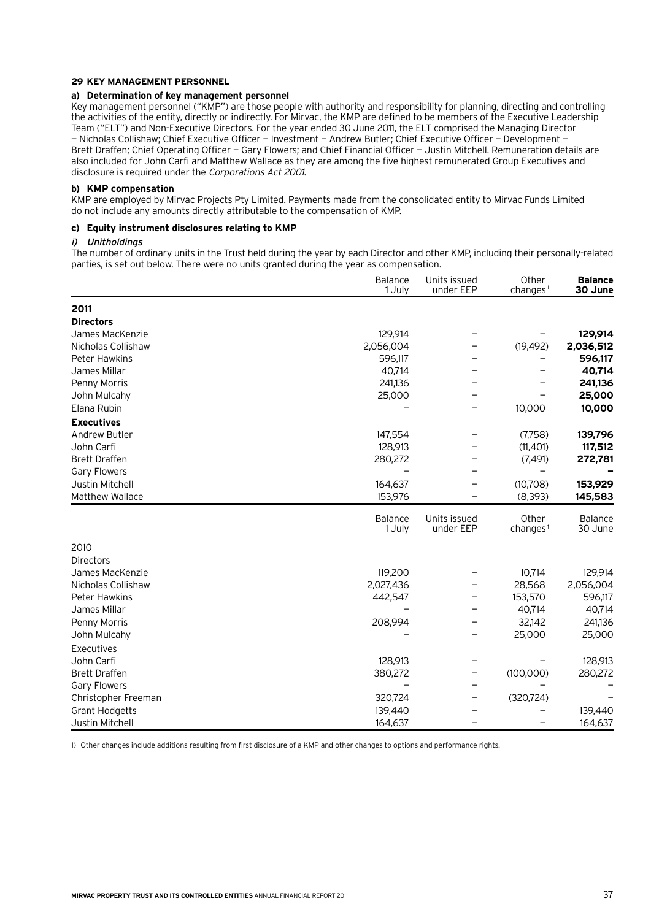#### **29 Key Management Personnel**

#### **a) Determination of key management personnel**

Key management personnel ("KMP") are those people with authority and responsibility for planning, directing and controlling the activities of the entity, directly or indirectly. For Mirvac, the KMP are defined to be members of the Executive Leadership Team ("ELT") and Non-Executive Directors. For the year ended 30 June 2011, the ELT comprised the Managing Director — Nicholas Collishaw; Chief Executive Officer — Investment — Andrew Butler; Chief Executive Officer — Development — Brett Draffen; Chief Operating Officer — Gary Flowers; and Chief Financial Officer — Justin Mitchell. Remuneration details are also included for John Carfi and Matthew Wallace as they are among the five highest remunerated Group Executives and disclosure is required under the Corporations Act 2001.

#### **b) KMP compensation**

KMP are employed by Mirvac Projects Pty Limited. Payments made from the consolidated entity to Mirvac Funds Limited do not include any amounts directly attributable to the compensation of KMP.

#### **c) Equity instrument disclosures relating to KMP**

#### i) Unitholdings

The number of ordinary units in the Trust held during the year by each Director and other KMP, including their personally-related parties, is set out below. There were no units granted during the year as compensation.

|                        | Balance<br>1 July | Units issued<br>under EEP | Other<br>changes <sup>1</sup> | <b>Balance</b><br>30 June |
|------------------------|-------------------|---------------------------|-------------------------------|---------------------------|
| 2011                   |                   |                           |                               |                           |
| <b>Directors</b>       |                   |                           |                               |                           |
| James MacKenzie        | 129,914           |                           |                               | 129,914                   |
| Nicholas Collishaw     | 2,056,004         |                           | (19, 492)                     | 2,036,512                 |
| <b>Peter Hawkins</b>   | 596,117           |                           |                               | 596,117                   |
| James Millar           | 40,714            |                           |                               | 40,714                    |
| Penny Morris           | 241,136           |                           |                               | 241,136                   |
| John Mulcahy           | 25,000            |                           |                               | 25,000                    |
| Elana Rubin            |                   |                           | 10,000                        | 10,000                    |
| <b>Executives</b>      |                   |                           |                               |                           |
| Andrew Butler          | 147,554           |                           | (7,758)                       | 139,796                   |
| John Carfi             | 128,913           |                           | (11, 401)                     | 117,512                   |
| <b>Brett Draffen</b>   | 280,272           |                           | (7, 491)                      | 272,781                   |
| <b>Gary Flowers</b>    |                   |                           |                               |                           |
| Justin Mitchell        | 164,637           |                           | (10,708)                      | 153,929                   |
| <b>Matthew Wallace</b> | 153,976           |                           | (8, 393)                      | 145,583                   |
|                        | Balance<br>1 July | Units issued<br>under EEP | Other<br>changes <sup>1</sup> | Balance<br>30 June        |
| 2010                   |                   |                           |                               |                           |
| Directors              |                   |                           |                               |                           |
| James MacKenzie        | 119,200           |                           | 10,714                        | 129,914                   |
| Nicholas Collishaw     | 2,027,436         |                           | 28,568                        | 2,056,004                 |
| <b>Peter Hawkins</b>   | 442,547           |                           | 153,570                       | 596,117                   |
| James Millar           |                   |                           | 40,714                        | 40,714                    |
| Penny Morris           | 208,994           |                           | 32,142                        | 241,136                   |
| John Mulcahy           |                   |                           | 25,000                        | 25,000                    |
| Executives             |                   |                           |                               |                           |
| John Carfi             | 128,913           |                           |                               | 128,913                   |
| <b>Brett Draffen</b>   | 380,272           | -                         | (100, 000)                    | 280,272                   |
| <b>Gary Flowers</b>    |                   |                           |                               |                           |
| Christopher Freeman    | 320,724           |                           | (320, 724)                    |                           |
| <b>Grant Hodgetts</b>  | 139,440           |                           |                               | 139,440                   |
| Justin Mitchell        | 164,637           |                           | $\qquad \qquad -$             | 164,637                   |

1) Other changes include additions resulting from first disclosure of a KMP and other changes to options and performance rights.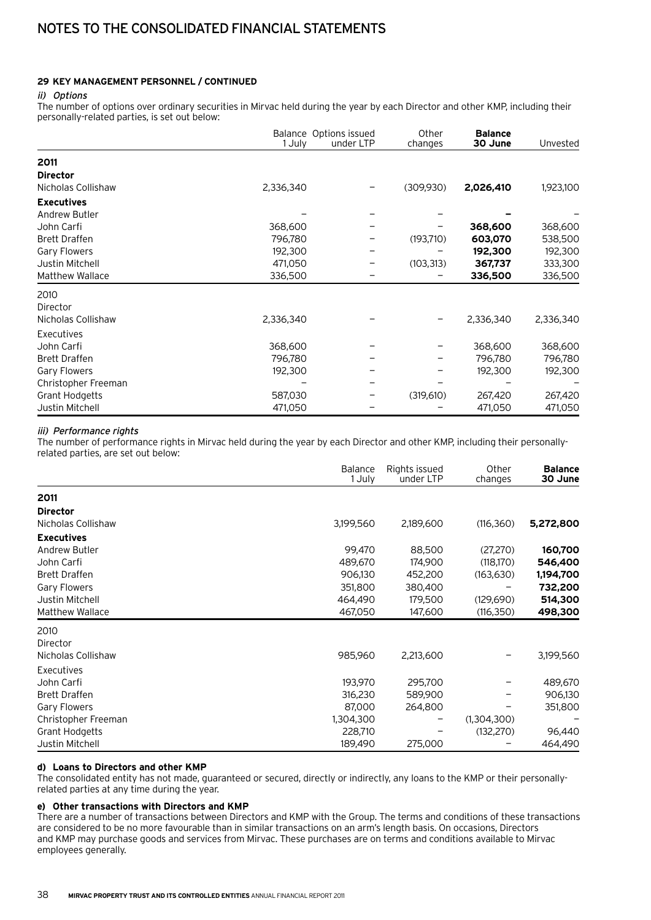#### **29 Key Management Personnel / continued**

#### ii) Options

The number of options over ordinary securities in Mirvac held during the year by each Director and other KMP, including their personally-related parties, is set out below:

|                        | Balance Options issued<br>1 July | under LTP | Other<br>changes | <b>Balance</b><br>30 June | Unvested  |
|------------------------|----------------------------------|-----------|------------------|---------------------------|-----------|
| 2011                   |                                  |           |                  |                           |           |
| <b>Director</b>        |                                  |           |                  |                           |           |
| Nicholas Collishaw     | 2,336,340                        |           | (309,930)        | 2,026,410                 | 1,923,100 |
| <b>Executives</b>      |                                  |           |                  |                           |           |
| Andrew Butler          |                                  |           |                  |                           |           |
| John Carfi             | 368,600                          |           |                  | 368,600                   | 368,600   |
| <b>Brett Draffen</b>   | 796,780                          |           | (193, 710)       | 603,070                   | 538,500   |
| <b>Gary Flowers</b>    | 192,300                          |           |                  | 192,300                   | 192,300   |
| Justin Mitchell        | 471,050                          |           | (103, 313)       | 367,737                   | 333,300   |
| <b>Matthew Wallace</b> | 336,500                          |           |                  | 336,500                   | 336,500   |
| 2010                   |                                  |           |                  |                           |           |
| Director               |                                  |           |                  |                           |           |
| Nicholas Collishaw     | 2,336,340                        |           |                  | 2,336,340                 | 2,336,340 |
| Executives             |                                  |           |                  |                           |           |
| John Carfi             | 368,600                          |           |                  | 368,600                   | 368,600   |
| <b>Brett Draffen</b>   | 796,780                          |           |                  | 796,780                   | 796,780   |
| <b>Gary Flowers</b>    | 192,300                          |           |                  | 192,300                   | 192,300   |
| Christopher Freeman    |                                  |           |                  |                           |           |
| <b>Grant Hodgetts</b>  | 587,030                          |           | (319, 610)       | 267,420                   | 267,420   |
| Justin Mitchell        | 471,050                          |           |                  | 471,050                   | 471,050   |

#### iii) Performance rights

The number of performance rights in Mirvac held during the year by each Director and other KMP, including their personallyrelated parties, are set out below:

|                        | <b>Balance</b><br>1 July | Rights issued<br>under LTP | Other<br>changes | <b>Balance</b><br>30 June |
|------------------------|--------------------------|----------------------------|------------------|---------------------------|
| 2011                   |                          |                            |                  |                           |
| <b>Director</b>        |                          |                            |                  |                           |
| Nicholas Collishaw     | 3,199,560                | 2,189,600                  | (116, 360)       | 5,272,800                 |
| <b>Executives</b>      |                          |                            |                  |                           |
| Andrew Butler          | 99,470                   | 88,500                     | (27,270)         | 160,700                   |
| John Carfi             | 489,670                  | 174,900                    | (118,170)        | 546,400                   |
| <b>Brett Draffen</b>   | 906,130                  | 452,200                    | (163, 630)       | 1,194,700                 |
| Gary Flowers           | 351,800                  | 380,400                    |                  | 732,200                   |
| Justin Mitchell        | 464,490                  | 179,500                    | (129,690)        | 514,300                   |
| <b>Matthew Wallace</b> | 467,050                  | 147,600                    | (116, 350)       | 498,300                   |
| 2010                   |                          |                            |                  |                           |
| Director               |                          |                            |                  |                           |
| Nicholas Collishaw     | 985,960                  | 2,213,600                  |                  | 3,199,560                 |
| Executives             |                          |                            |                  |                           |
| John Carfi             | 193,970                  | 295,700                    |                  | 489,670                   |
| <b>Brett Draffen</b>   | 316,230                  | 589,900                    |                  | 906,130                   |
| Gary Flowers           | 87,000                   | 264,800                    |                  | 351,800                   |
| Christopher Freeman    | 1,304,300                |                            | (1,304,300)      |                           |
| <b>Grant Hodgetts</b>  | 228,710                  |                            | (132, 270)       | 96,440                    |
| Justin Mitchell        | 189,490                  | 275,000                    |                  | 464,490                   |

#### **d) Loans to Directors and other KMP**

The consolidated entity has not made, guaranteed or secured, directly or indirectly, any loans to the KMP or their personallyrelated parties at any time during the year.

#### **e) Other transactions with Directors and KMP**

There are a number of transactions between Directors and KMP with the Group. The terms and conditions of these transactions are considered to be no more favourable than in similar transactions on an arm's length basis. On occasions, Directors and KMP may purchase goods and services from Mirvac. These purchases are on terms and conditions available to Mirvac employees generally.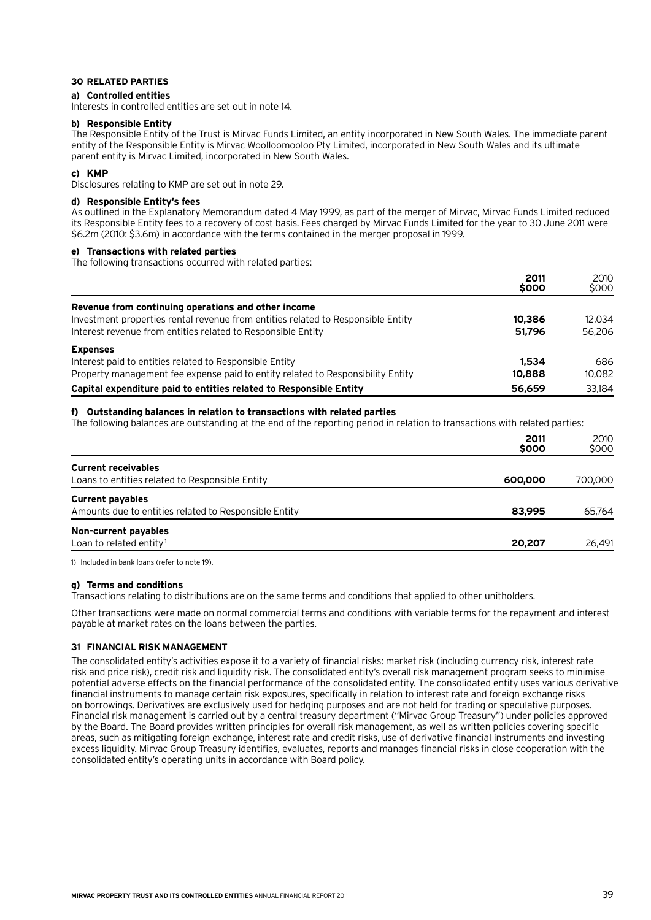#### **30 Related parties**

#### **a) Controlled entities**

Interests in controlled entities are set out in note 14.

#### **b) Responsible Entity**

The Responsible Entity of the Trust is Mirvac Funds Limited, an entity incorporated in New South Wales. The immediate parent entity of the Responsible Entity is Mirvac Woolloomooloo Pty Limited, incorporated in New South Wales and its ultimate parent entity is Mirvac Limited, incorporated in New South Wales.

#### **c) KMP**

Disclosures relating to KMP are set out in note 29.

#### **d) Responsible Entity's fees**

As outlined in the Explanatory Memorandum dated 4 May 1999, as part of the merger of Mirvac, Mirvac Funds Limited reduced its Responsible Entity fees to a recovery of cost basis. Fees charged by Mirvac Funds Limited for the year to 30 June 2011 were \$6.2m (2010: \$3.6m) in accordance with the terms contained in the merger proposal in 1999.

#### **e) Transactions with related parties**

The following transactions occurred with related parties:

|                                                                                  | 2011<br>\$000 | 2010<br>\$000 |
|----------------------------------------------------------------------------------|---------------|---------------|
| Revenue from continuing operations and other income                              |               |               |
| Investment properties rental revenue from entities related to Responsible Entity | 10,386        | 12.034        |
| Interest revenue from entities related to Responsible Entity                     | 51.796        | 56,206        |
| <b>Expenses</b>                                                                  |               |               |
| Interest paid to entities related to Responsible Entity                          | 1.534         | 686           |
| Property management fee expense paid to entity related to Responsibility Entity  | 10,888        | 10.082        |
| Capital expenditure paid to entities related to Responsible Entity               | 56,659        | 33.184        |

#### **f) Outstanding balances in relation to transactions with related parties**

The following balances are outstanding at the end of the reporting period in relation to transactions with related parties:

|                                                       | 2011<br>\$000 | 2010<br>\$000 |
|-------------------------------------------------------|---------------|---------------|
| <b>Current receivables</b>                            |               |               |
| Loans to entities related to Responsible Entity       | 600,000       | 700,000       |
| <b>Current payables</b>                               |               |               |
| Amounts due to entities related to Responsible Entity | 83,995        | 65.764        |
| Non-current payables                                  |               |               |
| Loan to related entity <sup>1</sup>                   | 20,207        | 26,491        |

1) Included in bank loans (refer to note 19).

#### **g) Terms and conditions**

Transactions relating to distributions are on the same terms and conditions that applied to other unitholders.

Other transactions were made on normal commercial terms and conditions with variable terms for the repayment and interest payable at market rates on the loans between the parties.

#### **31 Financial risk management**

The consolidated entity's activities expose it to a variety of financial risks: market risk (including currency risk, interest rate risk and price risk), credit risk and liquidity risk. The consolidated entity's overall risk management program seeks to minimise potential adverse effects on the financial performance of the consolidated entity. The consolidated entity uses various derivative financial instruments to manage certain risk exposures, specifically in relation to interest rate and foreign exchange risks on borrowings. Derivatives are exclusively used for hedging purposes and are not held for trading or speculative purposes. Financial risk management is carried out by a central treasury department ("Mirvac Group Treasury") under policies approved by the Board. The Board provides written principles for overall risk management, as well as written policies covering specific areas, such as mitigating foreign exchange, interest rate and credit risks, use of derivative financial instruments and investing excess liquidity. Mirvac Group Treasury identifies, evaluates, reports and manages financial risks in close cooperation with the consolidated entity's operating units in accordance with Board policy.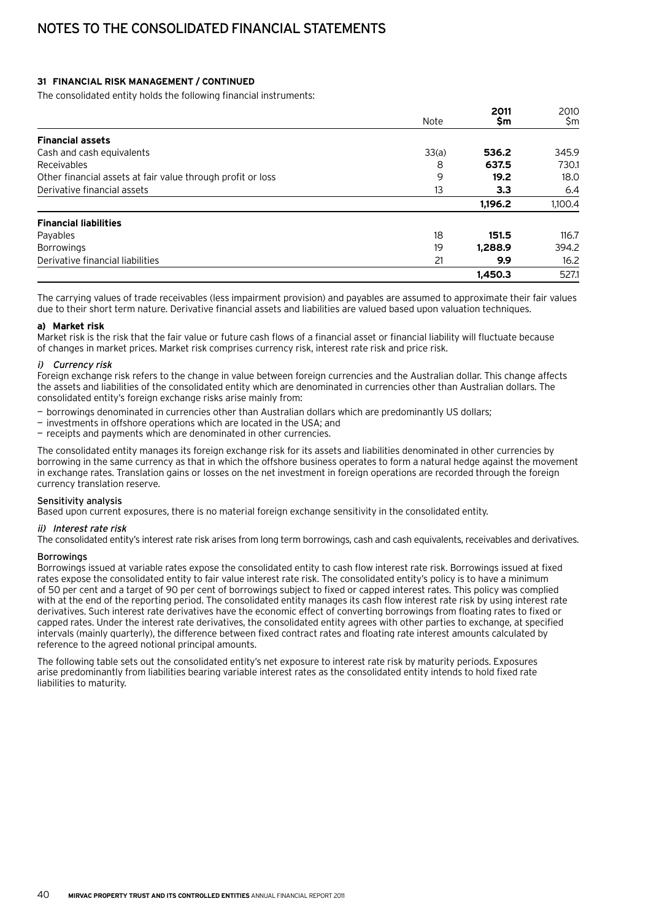# Notes to the consolidated financial statements

#### **31 Financial risk management / continued**

The consolidated entity holds the following financial instruments:

|                                                             |             | 2011    | 2010    |
|-------------------------------------------------------------|-------------|---------|---------|
|                                                             | <b>Note</b> | \$m     | \$m     |
| <b>Financial assets</b>                                     |             |         |         |
| Cash and cash equivalents                                   | 33(a)       | 536.2   | 345.9   |
| Receivables                                                 | 8           | 637.5   | 730.1   |
| Other financial assets at fair value through profit or loss | 9           | 19.2    | 18.0    |
| Derivative financial assets                                 | 13          | 3.3     | 6.4     |
|                                                             |             | 1,196.2 | 1,100.4 |
| <b>Financial liabilities</b>                                |             |         |         |
| Payables                                                    | 18          | 151.5   | 116.7   |
| <b>Borrowings</b>                                           | 19          | 1.288.9 | 394.2   |
| Derivative financial liabilities                            | 21          | 9.9     | 16.2    |
|                                                             |             | 1.450.3 | 527.1   |

The carrying values of trade receivables (less impairment provision) and payables are assumed to approximate their fair values due to their short term nature. Derivative financial assets and liabilities are valued based upon valuation techniques.

#### **a) Market risk**

Market risk is the risk that the fair value or future cash flows of a financial asset or financial liability will fluctuate because of changes in market prices. Market risk comprises currency risk, interest rate risk and price risk.

#### i) Currency risk

Foreign exchange risk refers to the change in value between foreign currencies and the Australian dollar. This change affects the assets and liabilities of the consolidated entity which are denominated in currencies other than Australian dollars. The consolidated entity's foreign exchange risks arise mainly from:

- borrowings denominated in currencies other than Australian dollars which are predominantly US dollars;
- investments in offshore operations which are located in the USA; and
- receipts and payments which are denominated in other currencies.

The consolidated entity manages its foreign exchange risk for its assets and liabilities denominated in other currencies by borrowing in the same currency as that in which the offshore business operates to form a natural hedge against the movement in exchange rates. Translation gains or losses on the net investment in foreign operations are recorded through the foreign currency translation reserve.

#### Sensitivity analysis

Based upon current exposures, there is no material foreign exchange sensitivity in the consolidated entity.

#### ii) Interest rate risk

The consolidated entity's interest rate risk arises from long term borrowings, cash and cash equivalents, receivables and derivatives.

#### **Borrowings**

Borrowings issued at variable rates expose the consolidated entity to cash flow interest rate risk. Borrowings issued at fixed rates expose the consolidated entity to fair value interest rate risk. The consolidated entity's policy is to have a minimum of 50 per cent and a target of 90 per cent of borrowings subject to fixed or capped interest rates. This policy was complied with at the end of the reporting period. The consolidated entity manages its cash flow interest rate risk by using interest rate derivatives. Such interest rate derivatives have the economic effect of converting borrowings from floating rates to fixed or capped rates. Under the interest rate derivatives, the consolidated entity agrees with other parties to exchange, at specified intervals (mainly quarterly), the difference between fixed contract rates and floating rate interest amounts calculated by reference to the agreed notional principal amounts.

The following table sets out the consolidated entity's net exposure to interest rate risk by maturity periods. Exposures arise predominantly from liabilities bearing variable interest rates as the consolidated entity intends to hold fixed rate liabilities to maturity.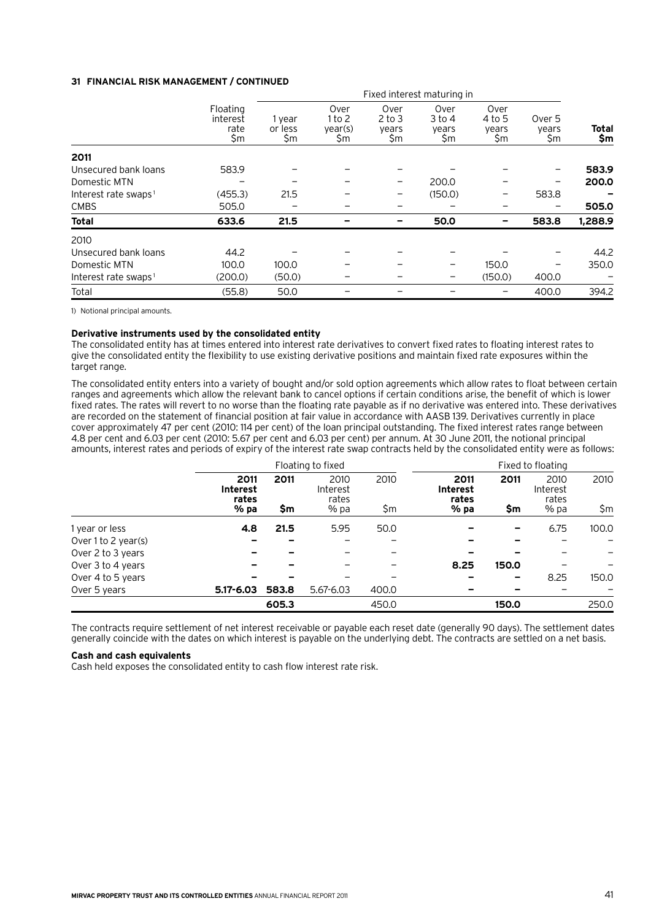#### **31 Financial risk management / continued**

|                                  | Fixed interest maturing in          |                          |                                  |                                    |                                |                                |                        |                     |
|----------------------------------|-------------------------------------|--------------------------|----------------------------------|------------------------------------|--------------------------------|--------------------------------|------------------------|---------------------|
|                                  | Floating<br>interest<br>rate<br>\$m | 1 year<br>or less<br>\$m | Over<br>1 to 2<br>year(s)<br>\$m | Over<br>$2$ to $3$<br>years<br>\$m | Over<br>3 to 4<br>years<br>\$m | Over<br>4 to 5<br>years<br>\$m | Over 5<br>years<br>\$m | <b>Total</b><br>\$m |
| 2011                             |                                     |                          |                                  |                                    |                                |                                |                        |                     |
| Unsecured bank loans             | 583.9                               |                          |                                  |                                    |                                |                                |                        | 583.9               |
| Domestic MTN                     |                                     |                          |                                  |                                    | 200.0                          |                                |                        | 200.0               |
| Interest rate swaps <sup>1</sup> | (455.3)                             | 21.5                     |                                  |                                    | (150.0)                        | -                              | 583.8                  |                     |
| <b>CMBS</b>                      | 505.0                               |                          |                                  |                                    |                                |                                |                        | 505.0               |
| <b>Total</b>                     | 633.6                               | 21.5                     |                                  |                                    | 50.0                           |                                | 583.8                  | 1,288.9             |
| 2010                             |                                     |                          |                                  |                                    |                                |                                |                        |                     |
| Unsecured bank loans             | 44.2                                |                          |                                  |                                    |                                |                                |                        | 44.2                |
| Domestic MTN                     | 100.0                               | 100.0                    |                                  |                                    | -                              | 150.0                          |                        | 350.0               |
| Interest rate swaps <sup>1</sup> | (200.0)                             | (50.0)                   |                                  |                                    | -                              | (150.0)                        | 400.0                  |                     |
| Total                            | (55.8)                              | 50.0                     |                                  |                                    |                                |                                | 400.0                  | 394.2               |

1) Notional principal amounts.

#### **Derivative instruments used by the consolidated entity**

The consolidated entity has at times entered into interest rate derivatives to convert fixed rates to floating interest rates to give the consolidated entity the flexibility to use existing derivative positions and maintain fixed rate exposures within the target range.

The consolidated entity enters into a variety of bought and/or sold option agreements which allow rates to float between certain ranges and agreements which allow the relevant bank to cancel options if certain conditions arise, the benefit of which is lower fixed rates. The rates will revert to no worse than the floating rate payable as if no derivative was entered into. These derivatives are recorded on the statement of financial position at fair value in accordance with AASB 139. Derivatives currently in place cover approximately 47 per cent (2010: 114 per cent) of the loan principal outstanding. The fixed interest rates range between 4.8 per cent and 6.03 per cent (2010: 5.67 per cent and 6.03 per cent) per annum. At 30 June 2011, the notional principal amounts, interest rates and periods of expiry of the interest rate swap contracts held by the consolidated entity were as follows:

|                     |                                  | Floating to fixed |                           |       |                                  |       | Fixed to floating         |       |
|---------------------|----------------------------------|-------------------|---------------------------|-------|----------------------------------|-------|---------------------------|-------|
|                     | 2011<br><b>Interest</b><br>rates | 2011              | 2010<br>Interest<br>rates | 2010  | 2011<br><b>Interest</b><br>rates | 2011  | 2010<br>Interest<br>rates | 2010  |
|                     | % pa                             | \$m               | % pa                      | \$m   | $%$ pa                           | \$m   | % pa                      | \$m   |
| 1 year or less      | 4.8                              | 21.5              | 5.95                      | 50.0  |                                  | -     | 6.75                      | 100.0 |
| Over 1 to 2 year(s) |                                  |                   |                           |       |                                  |       |                           |       |
| Over 2 to 3 years   |                                  |                   |                           |       |                                  |       |                           |       |
| Over 3 to 4 years   |                                  |                   |                           |       | 8.25                             | 150.0 |                           |       |
| Over 4 to 5 years   |                                  |                   |                           |       |                                  | -     | 8.25                      | 150.0 |
| Over 5 years        | $5.17 - 6.03$                    | 583.8             | $5.67 - 6.03$             | 400.0 |                                  |       |                           |       |
|                     |                                  | 605.3             |                           | 450.0 |                                  | 150.0 |                           | 250.0 |

The contracts require settlement of net interest receivable or payable each reset date (generally 90 days). The settlement dates generally coincide with the dates on which interest is payable on the underlying debt. The contracts are settled on a net basis.

#### **Cash and cash equivalents**

Cash held exposes the consolidated entity to cash flow interest rate risk.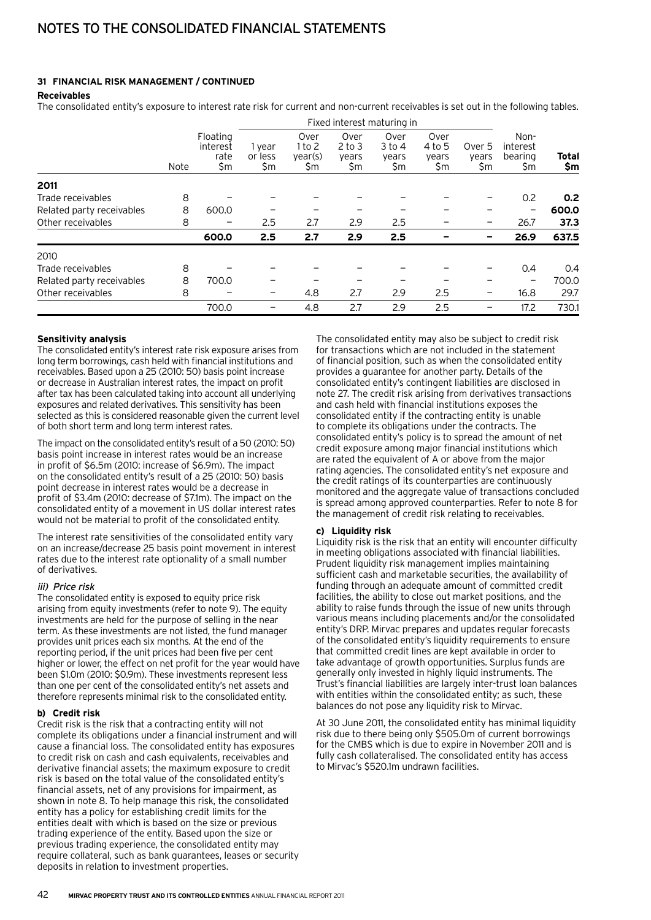#### **31 Financial risk management / continued**

#### **Receivables**

The consolidated entity's exposure to interest rate risk for current and non-current receivables is set out in the following tables.

|                           | Fixed interest maturing in |                                     |                          |                                  |                                    |                                  |                                |                        |                                   |                  |
|---------------------------|----------------------------|-------------------------------------|--------------------------|----------------------------------|------------------------------------|----------------------------------|--------------------------------|------------------------|-----------------------------------|------------------|
|                           | Note                       | Floating<br>interest<br>rate<br>\$m | 1 year<br>or less<br>\$m | Over<br>1 to 2<br>year(s)<br>\$m | Over<br>$2$ to $3$<br>years<br>\$m | Over<br>$3$ to 4<br>years<br>\$m | Over<br>4 to 5<br>years<br>\$m | Over 5<br>years<br>\$m | Non-<br>interest<br>bearing<br>Şm | Total<br>\$m     |
| 2011                      |                            |                                     |                          |                                  |                                    |                                  |                                |                        |                                   |                  |
| Trade receivables         | 8                          |                                     |                          |                                  |                                    |                                  |                                |                        | 0.2                               | 0.2 <sub>0</sub> |
| Related party receivables | 8                          | 600.0                               |                          |                                  |                                    |                                  |                                |                        | $\overline{\phantom{0}}$          | 600.0            |
| Other receivables         | 8                          |                                     | 2.5                      | 2.7                              | 2.9                                | 2.5                              |                                |                        | 26.7                              | 37.3             |
|                           |                            | 600.0                               | 2.5                      | 2.7                              | 2.9                                | 2.5                              |                                |                        | 26.9                              | 637.5            |
| 2010                      |                            |                                     |                          |                                  |                                    |                                  |                                |                        |                                   |                  |
| Trade receivables         | 8                          |                                     |                          |                                  |                                    |                                  |                                |                        | 0.4                               | 0.4              |
| Related party receivables | 8                          | 700.0                               |                          |                                  |                                    |                                  |                                |                        | -                                 | 700.0            |
| Other receivables         | 8                          |                                     | -                        | 4.8                              | 2.7                                | 2.9                              | 2.5                            | -                      | 16.8                              | 29.7             |
|                           |                            | 700.0                               |                          | 4.8                              | 2.7                                | 2.9                              | 2.5                            |                        | 17.2                              | 730.1            |

#### **Sensitivity analysis**

The consolidated entity's interest rate risk exposure arises from long term borrowings, cash held with financial institutions and receivables. Based upon a 25 (2010: 50) basis point increase or decrease in Australian interest rates, the impact on profit after tax has been calculated taking into account all underlying exposures and related derivatives. This sensitivity has been selected as this is considered reasonable given the current level of both short term and long term interest rates.

The impact on the consolidated entity's result of a 50 (2010: 50) basis point increase in interest rates would be an increase in profit of \$6.5m (2010: increase of \$6.9m). The impact on the consolidated entity's result of a 25 (2010: 50) basis point decrease in interest rates would be a decrease in profit of \$3.4m (2010: decrease of \$7.1m). The impact on the consolidated entity of a movement in US dollar interest rates would not be material to profit of the consolidated entity.

The interest rate sensitivities of the consolidated entity vary on an increase/decrease 25 basis point movement in interest rates due to the interest rate optionality of a small number of derivatives.

#### iii) Price risk

The consolidated entity is exposed to equity price risk arising from equity investments (refer to note 9). The equity investments are held for the purpose of selling in the near term. As these investments are not listed, the fund manager provides unit prices each six months. At the end of the reporting period, if the unit prices had been five per cent higher or lower, the effect on net profit for the year would have been \$1.0m (2010: \$0.9m). These investments represent less than one per cent of the consolidated entity's net assets and therefore represents minimal risk to the consolidated entity.

#### **b) Credit risk**

Credit risk is the risk that a contracting entity will not complete its obligations under a financial instrument and will cause a financial loss. The consolidated entity has exposures to credit risk on cash and cash equivalents, receivables and derivative financial assets; the maximum exposure to credit risk is based on the total value of the consolidated entity's financial assets, net of any provisions for impairment, as shown in note 8. To help manage this risk, the consolidated entity has a policy for establishing credit limits for the entities dealt with which is based on the size or previous trading experience of the entity. Based upon the size or previous trading experience, the consolidated entity may require collateral, such as bank guarantees, leases or security deposits in relation to investment properties.

The consolidated entity may also be subject to credit risk for transactions which are not included in the statement of financial position, such as when the consolidated entity provides a guarantee for another party. Details of the consolidated entity's contingent liabilities are disclosed in note 27. The credit risk arising from derivatives transactions and cash held with financial institutions exposes the consolidated entity if the contracting entity is unable to complete its obligations under the contracts. The consolidated entity's policy is to spread the amount of net credit exposure among major financial institutions which are rated the equivalent of A or above from the major rating agencies. The consolidated entity's net exposure and the credit ratings of its counterparties are continuously monitored and the aggregate value of transactions concluded is spread among approved counterparties. Refer to note 8 for the management of credit risk relating to receivables.

#### **c) Liquidity risk**

Liquidity risk is the risk that an entity will encounter difficulty in meeting obligations associated with financial liabilities. Prudent liquidity risk management implies maintaining sufficient cash and marketable securities, the availability of funding through an adequate amount of committed credit facilities, the ability to close out market positions, and the ability to raise funds through the issue of new units through various means including placements and/or the consolidated entity's DRP. Mirvac prepares and updates regular forecasts of the consolidated entity's liquidity requirements to ensure that committed credit lines are kept available in order to take advantage of growth opportunities. Surplus funds are generally only invested in highly liquid instruments. The Trust's financial liabilities are largely inter-trust loan balances with entities within the consolidated entity; as such, these balances do not pose any liquidity risk to Mirvac.

At 30 June 2011, the consolidated entity has minimal liquidity risk due to there being only \$505.0m of current borrowings for the CMBS which is due to expire in November 2011 and is fully cash collateralised. The consolidated entity has access to Mirvac's \$520.1m undrawn facilities.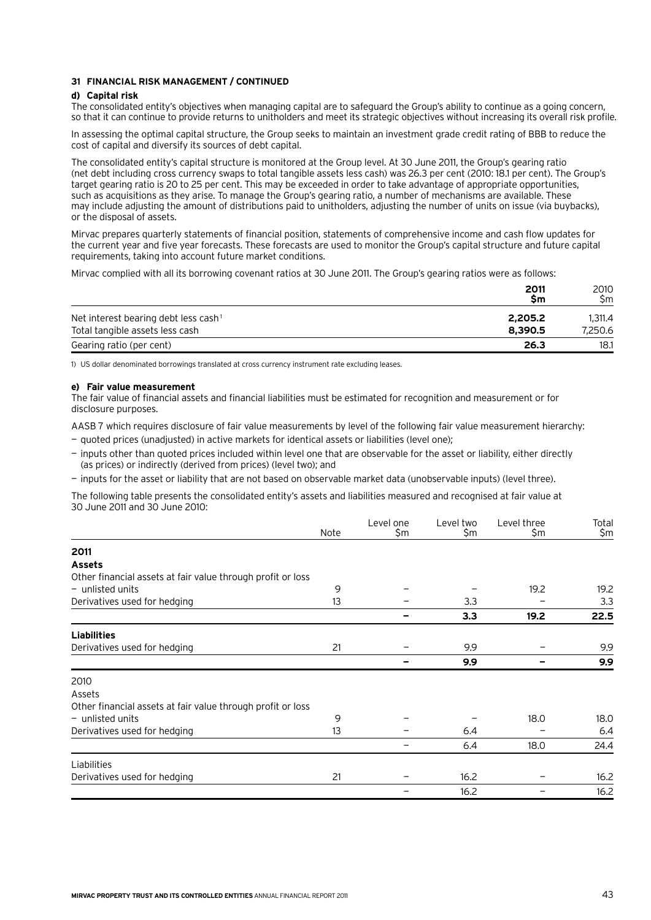#### **31 Financial risk management / continued**

#### **d) Capital risk**

The consolidated entity's objectives when managing capital are to safeguard the Group's ability to continue as a going concern, so that it can continue to provide returns to unitholders and meet its strategic objectives without increasing its overall risk profile.

In assessing the optimal capital structure, the Group seeks to maintain an investment grade credit rating of BBB to reduce the cost of capital and diversify its sources of debt capital.

The consolidated entity's capital structure is monitored at the Group level. At 30 June 2011, the Group's gearing ratio (net debt including cross currency swaps to total tangible assets less cash) was 26.3 per cent (2010: 18.1 per cent). The Group's target gearing ratio is 20 to 25 per cent. This may be exceeded in order to take advantage of appropriate opportunities, such as acquisitions as they arise. To manage the Group's gearing ratio, a number of mechanisms are available. These may include adjusting the amount of distributions paid to unitholders, adjusting the number of units on issue (via buybacks), or the disposal of assets.

Mirvac prepares quarterly statements of financial position, statements of comprehensive income and cash flow updates for the current year and five year forecasts. These forecasts are used to monitor the Group's capital structure and future capital requirements, taking into account future market conditions.

Mirvac complied with all its borrowing covenant ratios at 30 June 2011. The Group's gearing ratios were as follows:

|                                                  | 2011<br><b>Sm</b> | 2010<br>Sm |
|--------------------------------------------------|-------------------|------------|
| Net interest bearing debt less cash <sup>1</sup> | 2,205.2           | 1.311.4    |
| Total tangible assets less cash                  | 8.390.5           | 7.250.6    |
| Gearing ratio (per cent)                         | 26.3              | 18.1       |

1) US dollar denominated borrowings translated at cross currency instrument rate excluding leases.

#### **e) Fair value measurement**

The fair value of financial assets and financial liabilities must be estimated for recognition and measurement or for disclosure purposes.

AASB 7 which requires disclosure of fair value measurements by level of the following fair value measurement hierarchy:

- quoted prices (unadjusted) in active markets for identical assets or liabilities (level one);
- inputs other than quoted prices included within level one that are observable for the asset or liability, either directly (as prices) or indirectly (derived from prices) (level two); and
- inputs for the asset or liability that are not based on observable market data (unobservable inputs) (level three).

The following table presents the consolidated entity's assets and liabilities measured and recognised at fair value at 30 June 2011 and 30 June 2010:

|                                                             | Note | Level one<br>\$m | Level two<br>\$m | Level three<br>\$m | Total<br>\$m |
|-------------------------------------------------------------|------|------------------|------------------|--------------------|--------------|
| 2011                                                        |      |                  |                  |                    |              |
| <b>Assets</b>                                               |      |                  |                  |                    |              |
| Other financial assets at fair value through profit or loss |      |                  |                  |                    |              |
| $-$ unlisted units                                          | 9    |                  |                  | 19.2               | 19.2         |
| Derivatives used for hedging                                | 13   |                  | 3.3              |                    | 3.3          |
|                                                             |      |                  | 3.3              | 19.2               | 22.5         |
| <b>Liabilities</b>                                          |      |                  |                  |                    |              |
| Derivatives used for hedging                                | 21   |                  | 9.9              |                    | 9.9          |
|                                                             |      |                  | 9.9              |                    | 9.9          |
| 2010                                                        |      |                  |                  |                    |              |
| Assets                                                      |      |                  |                  |                    |              |
| Other financial assets at fair value through profit or loss |      |                  |                  |                    |              |
| $-$ unlisted units                                          | 9    |                  |                  | 18.0               | 18.0         |
| Derivatives used for hedging                                | 13   |                  | 6.4              |                    | 6.4          |
|                                                             |      |                  | 6.4              | 18.0               | 24.4         |
| Liabilities                                                 |      |                  |                  |                    |              |
| Derivatives used for hedging                                | 21   |                  | 16.2             |                    | 16.2         |
|                                                             |      |                  | 16.2             |                    | 16.2         |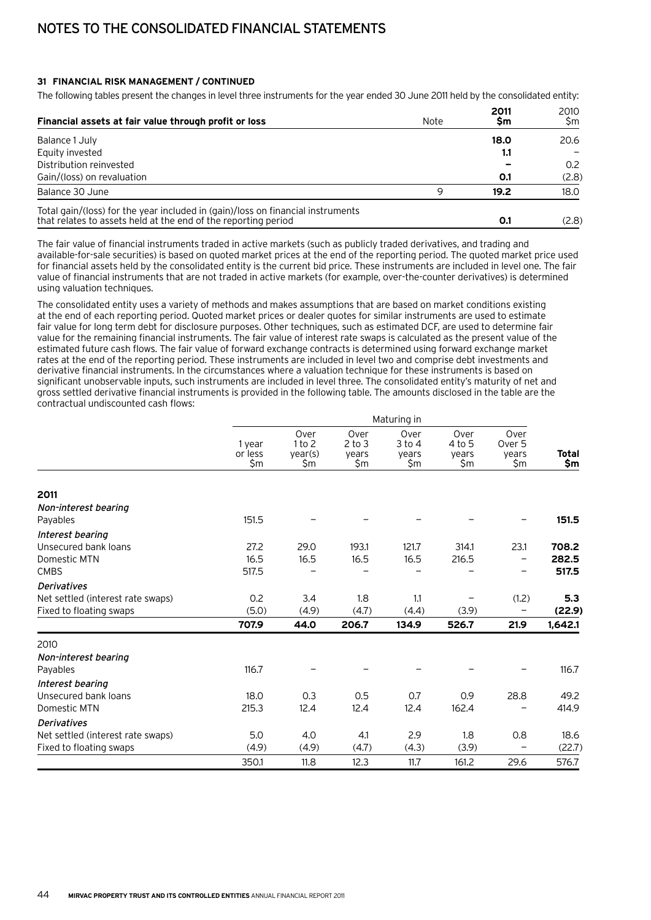# Notes to the consolidated financial statements

#### **31 Financial risk management / continued**

The following tables present the changes in level three instruments for the year ended 30 June 2011 held by the consolidated entity:

| Financial assets at fair value through profit or loss                                                                                             | Note     | 2011<br>Sm | 2010<br>Sm |
|---------------------------------------------------------------------------------------------------------------------------------------------------|----------|------------|------------|
| Balance 1 July                                                                                                                                    |          | 18.0       | 20.6       |
| Equity invested                                                                                                                                   |          | 1.1        |            |
| Distribution reinvested                                                                                                                           |          |            | 0.2        |
| Gain/(loss) on revaluation                                                                                                                        |          | 0.1        | (2.8)      |
| Balance 30 June                                                                                                                                   | $\Omega$ | 19.2       | 18.0       |
| Total gain/(loss) for the year included in (gain)/loss on financial instruments<br>that relates to assets held at the end of the reporting period |          | 0.1        | (2.8)      |

The fair value of financial instruments traded in active markets (such as publicly traded derivatives, and trading and available-for-sale securities) is based on quoted market prices at the end of the reporting period. The quoted market price used for financial assets held by the consolidated entity is the current bid price. These instruments are included in level one. The fair value of financial instruments that are not traded in active markets (for example, over-the-counter derivatives) is determined using valuation techniques.

The consolidated entity uses a variety of methods and makes assumptions that are based on market conditions existing at the end of each reporting period. Quoted market prices or dealer quotes for similar instruments are used to estimate fair value for long term debt for disclosure purposes. Other techniques, such as estimated DCF, are used to determine fair value for the remaining financial instruments. The fair value of interest rate swaps is calculated as the present value of the estimated future cash flows. The fair value of forward exchange contracts is determined using forward exchange market rates at the end of the reporting period. These instruments are included in level two and comprise debt investments and derivative financial instruments. In the circumstances where a valuation technique for these instruments is based on significant unobservable inputs, such instruments are included in level three. The consolidated entity's maturity of net and gross settled derivative financial instruments is provided in the following table. The amounts disclosed in the table are the contractual undiscounted cash flows:

|                                   |                          |                                  |                                    | Maturing in                        |                                |                                |              |
|-----------------------------------|--------------------------|----------------------------------|------------------------------------|------------------------------------|--------------------------------|--------------------------------|--------------|
|                                   | 1 year<br>or less<br>\$m | Over<br>1 to 2<br>year(s)<br>\$m | Over<br>$2$ to $3$<br>years<br>\$m | Over<br>$3$ to $4$<br>years<br>\$m | Over<br>4 to 5<br>years<br>\$m | Over<br>Over 5<br>years<br>\$m | Total<br>\$m |
|                                   |                          |                                  |                                    |                                    |                                |                                |              |
| 2011                              |                          |                                  |                                    |                                    |                                |                                |              |
| Non-interest bearing              |                          |                                  |                                    |                                    |                                |                                |              |
| Payables                          | 151.5                    |                                  |                                    |                                    |                                |                                | 151.5        |
| Interest bearing                  |                          |                                  |                                    |                                    |                                |                                |              |
| Unsecured bank loans              | 27.2                     | 29.0                             | 193.1                              | 121.7                              | 314.1                          | 23.1                           | 708.2        |
| Domestic MTN                      | 16.5                     | 16.5                             | 16.5                               | 16.5                               | 216.5                          | $\overline{\phantom{0}}$       | 282.5        |
| <b>CMBS</b>                       | 517.5                    |                                  |                                    |                                    |                                |                                | 517.5        |
| <b>Derivatives</b>                |                          |                                  |                                    |                                    |                                |                                |              |
| Net settled (interest rate swaps) | 0.2                      | 3.4                              | 1.8                                | 1.1                                |                                | (1.2)                          | 5.3          |
| Fixed to floating swaps           | (5.0)                    | (4.9)                            | (4.7)                              | (4.4)                              | (3.9)                          | $\qquad \qquad -$              | (22.9)       |
|                                   | 707.9                    | 44.0                             | 206.7                              | 134.9                              | 526.7                          | 21.9                           | 1,642.1      |
| 2010                              |                          |                                  |                                    |                                    |                                |                                |              |
| Non-interest bearing              |                          |                                  |                                    |                                    |                                |                                |              |
| Payables                          | 116.7                    |                                  |                                    |                                    |                                |                                | 116.7        |
| Interest bearing                  |                          |                                  |                                    |                                    |                                |                                |              |
| Unsecured bank loans              | 18.0                     | 0.3                              | 0.5                                | 0.7                                | 0.9                            | 28.8                           | 49.2         |
| Domestic MTN                      | 215.3                    | 12.4                             | 12.4                               | 12.4                               | 162.4                          |                                | 414.9        |
| <b>Derivatives</b>                |                          |                                  |                                    |                                    |                                |                                |              |
| Net settled (interest rate swaps) | 5.0                      | 4.0                              | 4.1                                | 2.9                                | 1.8                            | 0.8                            | 18.6         |
| Fixed to floating swaps           | (4.9)                    | (4.9)                            | (4.7)                              | (4.3)                              | (3.9)                          |                                | (22.7)       |
|                                   | 350.1                    | 11.8                             | 12.3                               | 11.7                               | 161.2                          | 29.6                           | 576.7        |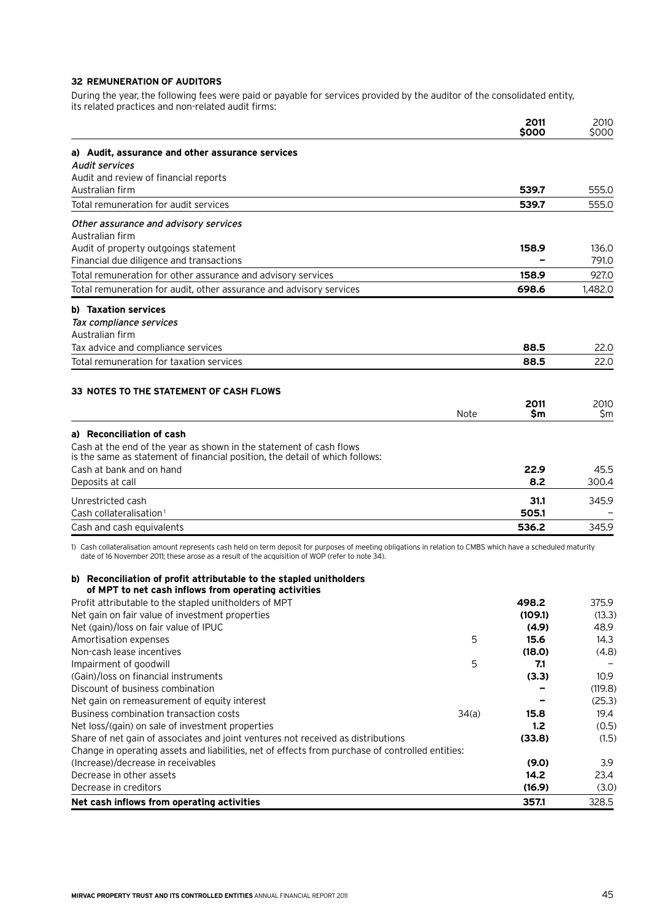#### **32 Remuneration of auditors**

During the year, the following fees were paid or payable for services provided by the auditor of the consolidated entity, its related practices and non-related audit firms:

|                                                                                                                                                     |             | 2011<br>\$000 | 2010<br>\$000 |
|-----------------------------------------------------------------------------------------------------------------------------------------------------|-------------|---------------|---------------|
| a) Audit, assurance and other assurance services                                                                                                    |             |               |               |
| <b>Audit services</b>                                                                                                                               |             |               |               |
| Audit and review of financial reports                                                                                                               |             |               |               |
| Australian firm                                                                                                                                     |             | 539.7         | 555.0         |
| Total remuneration for audit services                                                                                                               |             | 539.7         | 555.0         |
| Other assurance and advisory services                                                                                                               |             |               |               |
| Australian firm                                                                                                                                     |             |               |               |
| Audit of property outgoings statement                                                                                                               |             | 158.9         | 136.0         |
| Financial due diligence and transactions                                                                                                            |             |               | 791.0         |
| Total remuneration for other assurance and advisory services                                                                                        |             | 158.9         | 927.0         |
| Total remuneration for audit, other assurance and advisory services                                                                                 |             | 698.6         | 1.482.0       |
| b) Taxation services                                                                                                                                |             |               |               |
| Tax compliance services                                                                                                                             |             |               |               |
| Australian firm                                                                                                                                     |             |               |               |
| Tax advice and compliance services                                                                                                                  |             | 88.5          | 22.0          |
| Total remuneration for taxation services                                                                                                            |             | 88.5          | 22.0          |
|                                                                                                                                                     |             |               |               |
| 33 NOTES TO THE STATEMENT OF CASH FLOWS                                                                                                             |             |               |               |
|                                                                                                                                                     | <b>Note</b> | 2011<br>\$m   | 2010<br>\$m   |
| a) Reconciliation of cash                                                                                                                           |             |               |               |
| Cash at the end of the year as shown in the statement of cash flows<br>is the same as statement of financial position, the detail of which follows: |             |               |               |
| Cash at bank and on hand                                                                                                                            |             | 22.9          | 45.5          |
| Deposits at call                                                                                                                                    |             | 8.2           | 300.4         |
| Unrestricted cash                                                                                                                                   |             | 31.1          | 345.9         |
| Cash collateralisation <sup>1</sup>                                                                                                                 |             | 505.1         |               |
| Cash and cash equivalents                                                                                                                           |             | 536.2         | 345.9         |

1) Cash collateralisation amount represents cash held on term deposit for purposes of meeting obligations in relation to CMBS which have a scheduled maturity date of 16 November 2011; these arose as a result of the acquisition of WOP (refer to note 34).

#### **b) Reconciliation of profit attributable to the stapled unitholders of MPT to net cash inflows from operating activities**

| Net cash inflows from operating activities                                                       |       | 357.1   | 328.5             |
|--------------------------------------------------------------------------------------------------|-------|---------|-------------------|
| Decrease in creditors                                                                            |       | (16.9)  | (3.0)             |
| Decrease in other assets                                                                         |       | 14.2    | 23.4              |
| (Increase)/decrease in receivables                                                               |       | (9.0)   | 3.9               |
| Change in operating assets and liabilities, net of effects from purchase of controlled entities: |       |         |                   |
| Share of net gain of associates and joint ventures not received as distributions                 |       | (33.8)  | (1.5)             |
| Net loss/(gain) on sale of investment properties                                                 |       | 1.2     | (0.5)             |
| Business combination transaction costs                                                           | 34(a) | 15.8    | 19.4              |
| Net gain on remeasurement of equity interest                                                     |       |         | (25.3)            |
| Discount of business combination                                                                 |       |         | (119.8)           |
| (Gain)/loss on financial instruments                                                             |       | (3.3)   | 10.9 <sup>°</sup> |
| Impairment of goodwill                                                                           | 5     | 7.1     |                   |
| Non-cash lease incentives                                                                        |       | (18.0)  | (4.8)             |
| Amortisation expenses                                                                            | 5     | 15.6    | 14.3              |
| Net (gain)/loss on fair value of IPUC                                                            |       | (4.9)   | 48.9              |
| Net gain on fair value of investment properties                                                  |       | (109.1) | (13.3)            |
| Profit attributable to the stapled unitholders of MPT                                            |       | 498.2   | 375.9             |
|                                                                                                  |       |         |                   |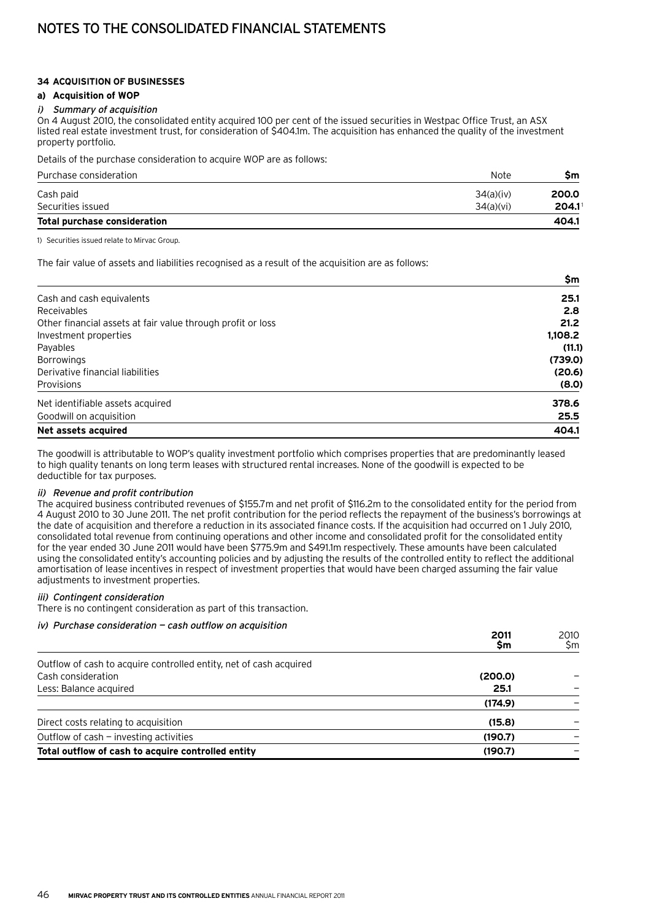# Notes to the consolidated financial statements

#### **34 Acquisition of businesses**

#### **a) Acquisition of WOP**

#### i) Summary of acquisition

On 4 August 2010, the consolidated entity acquired 100 per cent of the issued securities in Westpac Office Trust, an ASX listed real estate investment trust, for consideration of \$404.1m. The acquisition has enhanced the quality of the investment property portfolio.

Details of the purchase consideration to acquire WOP are as follows:

| Purchase consideration              | Note      | Sm                   |
|-------------------------------------|-----------|----------------------|
| Cash paid                           | 34(a)(iv) | 200.0                |
| Securities issued                   | 34(a)(vi) | $204.1$ <sup>1</sup> |
| <b>Total purchase consideration</b> |           | 404.1                |

1) Securities issued relate to Mirvac Group.

The fair value of assets and liabilities recognised as a result of the acquisition are as follows:

|                                                             | \$m     |
|-------------------------------------------------------------|---------|
| Cash and cash equivalents                                   | 25.1    |
| Receivables                                                 | 2.8     |
| Other financial assets at fair value through profit or loss | 21.2    |
| Investment properties                                       | 1,108.2 |
| Payables                                                    | (11.1)  |
| <b>Borrowings</b>                                           | (739.0) |
| Derivative financial liabilities                            | (20.6)  |
| Provisions                                                  | (8.0)   |
| Net identifiable assets acquired                            | 378.6   |
| Goodwill on acquisition                                     | 25.5    |
| Net assets acquired                                         | 404.1   |

The goodwill is attributable to WOP's quality investment portfolio which comprises properties that are predominantly leased to high quality tenants on long term leases with structured rental increases. None of the goodwill is expected to be deductible for tax purposes.

#### ii) Revenue and profit contribution

The acquired business contributed revenues of \$155.7m and net profit of \$116.2m to the consolidated entity for the period from 4 August 2010 to 30 June 2011. The net profit contribution for the period reflects the repayment of the business's borrowings at the date of acquisition and therefore a reduction in its associated finance costs. If the acquisition had occurred on 1 July 2010, consolidated total revenue from continuing operations and other income and consolidated profit for the consolidated entity for the year ended 30 June 2011 would have been \$775.9m and \$491.1m respectively. These amounts have been calculated using the consolidated entity's accounting policies and by adjusting the results of the controlled entity to reflect the additional amortisation of lease incentives in respect of investment properties that would have been charged assuming the fair value adjustments to investment properties.

#### iii) Contingent consideration

There is no contingent consideration as part of this transaction.

#### iv) Purchase consideration — cash outflow on acquisition

|                                                                    | 2011<br>Şm | 2010<br>\$m |
|--------------------------------------------------------------------|------------|-------------|
| Outflow of cash to acquire controlled entity, net of cash acquired |            |             |
| Cash consideration                                                 | (200.0)    |             |
| Less: Balance acquired                                             | 25.1       |             |
|                                                                    | (174.9)    |             |
| Direct costs relating to acquisition                               | (15.8)     |             |
| Outflow of $cash$ - investing activities                           | (190.7)    |             |
| Total outflow of cash to acquire controlled entity                 | (190.7)    |             |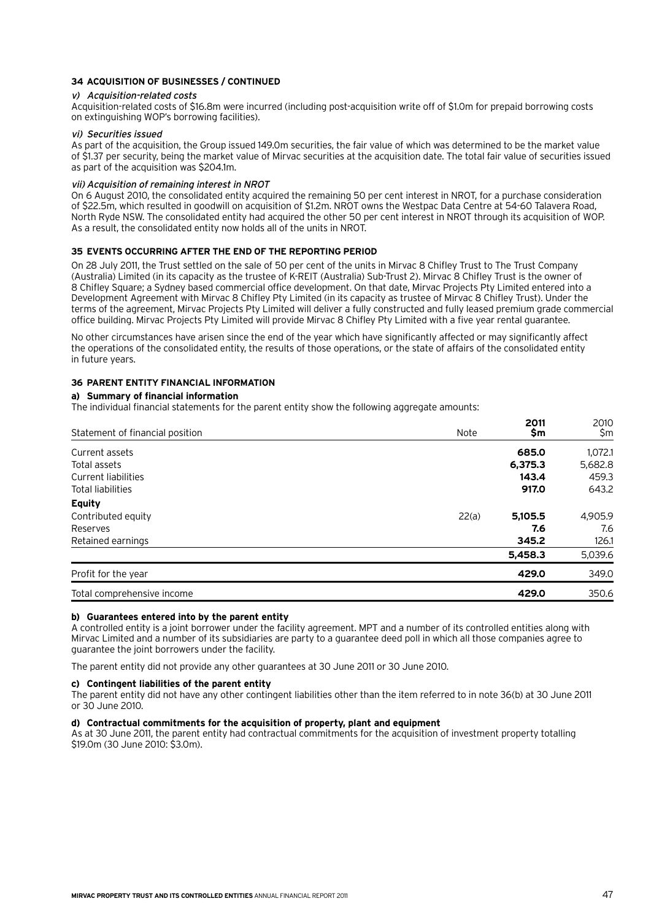#### **34 Acquisition of businesses / continued**

#### v) Acquisition-related costs

Acquisition-related costs of \$16.8m were incurred (including post-acquisition write off of \$1.0m for prepaid borrowing costs on extinguishing WOP's borrowing facilities).

#### vi) Securities issued

As part of the acquisition, the Group issued 149.0m securities, the fair value of which was determined to be the market value of \$1.37 per security, being the market value of Mirvac securities at the acquisition date. The total fair value of securities issued as part of the acquisition was \$204.1m.

#### vii) Acquisition of remaining interest in NROT

On 6 August 2010, the consolidated entity acquired the remaining 50 per cent interest in NROT, for a purchase consideration of \$22.5m, which resulted in goodwill on acquisition of \$1.2m. NROT owns the Westpac Data Centre at 54-60 Talavera Road, North Ryde NSW. The consolidated entity had acquired the other 50 per cent interest in NROT through its acquisition of WOP. As a result, the consolidated entity now holds all of the units in NROT.

#### **35 Events occurring after the end of the reporting period**

On 28 July 2011, the Trust settled on the sale of 50 per cent of the units in Mirvac 8 Chifley Trust to The Trust Company (Australia) Limited (in its capacity as the trustee of K-REIT (Australia) Sub-Trust 2). Mirvac 8 Chifley Trust is the owner of 8 Chifley Square; a Sydney based commercial office development. On that date, Mirvac Projects Pty Limited entered into a Development Agreement with Mirvac 8 Chifley Pty Limited (in its capacity as trustee of Mirvac 8 Chifley Trust). Under the terms of the agreement, Mirvac Projects Pty Limited will deliver a fully constructed and fully leased premium grade commercial office building. Mirvac Projects Pty Limited will provide Mirvac 8 Chifley Pty Limited with a five year rental guarantee.

No other circumstances have arisen since the end of the year which have significantly affected or may significantly affect the operations of the consolidated entity, the results of those operations, or the state of affairs of the consolidated entity in future years.

#### **36 Parent entity financial information**

#### **a) Summary of financial information**

The individual financial statements for the parent entity show the following aggregate amounts:

| Statement of financial position | Note  | 2011<br>\$m | 2010<br>\$m |
|---------------------------------|-------|-------------|-------------|
| Current assets                  |       | 685.0       | 1,072.1     |
| Total assets                    |       | 6,375.3     | 5,682.8     |
| Current liabilities             |       | 143.4       | 459.3       |
| Total liabilities               |       | 917.0       | 643.2       |
| <b>Equity</b>                   |       |             |             |
| Contributed equity              | 22(a) | 5,105.5     | 4,905.9     |
| Reserves                        |       | 7.6         | 7.6         |
| Retained earnings               |       | 345.2       | 126.1       |
|                                 |       | 5,458.3     | 5,039.6     |
| Profit for the year             |       | 429.0       | 349.0       |
| Total comprehensive income      |       | 429.0       | 350.6       |

#### **b) Guarantees entered into by the parent entity**

A controlled entity is a joint borrower under the facility agreement. MPT and a number of its controlled entities along with Mirvac Limited and a number of its subsidiaries are party to a guarantee deed poll in which all those companies agree to guarantee the joint borrowers under the facility.

The parent entity did not provide any other guarantees at 30 June 2011 or 30 June 2010.

#### **c) Contingent liabilities of the parent entity**

The parent entity did not have any other contingent liabilities other than the item referred to in note 36(b) at 30 June 2011 or 30 June 2010.

#### **d) Contractual commitments for the acquisition of property, plant and equipment**

As at 30 June 2011, the parent entity had contractual commitments for the acquisition of investment property totalling \$19.0m (30 June 2010: \$3.0m).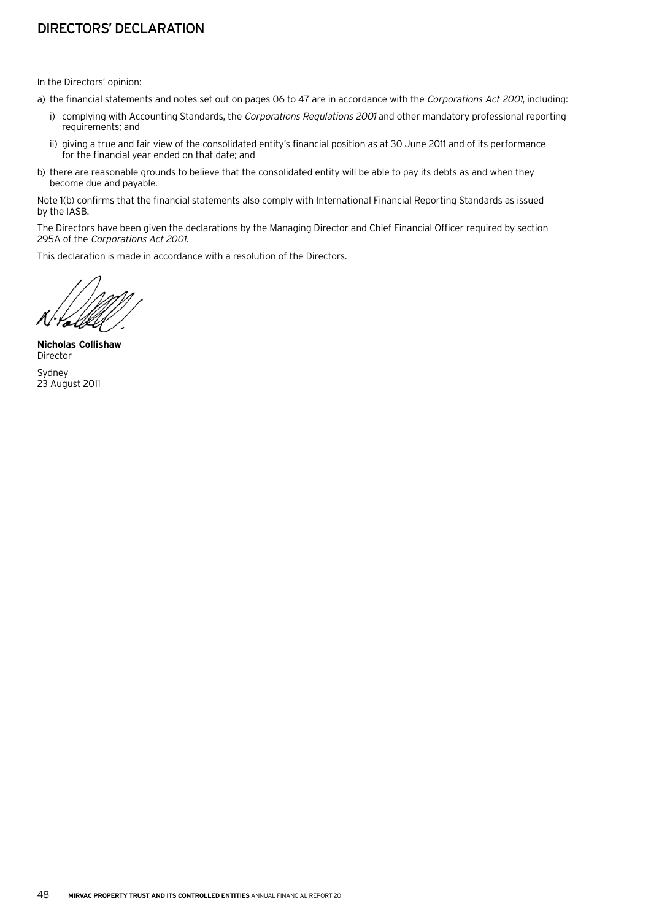# Directors' declaration

In the Directors' opinion:

- a) the financial statements and notes set out on pages 06 to 47 are in accordance with the Corporations Act 2001, including:
	- i) complying with Accounting Standards, the Corporations Regulations 2001 and other mandatory professional reporting requirements; and
	- ii) giving a true and fair view of the consolidated entity's financial position as at 30 June 2011 and of its performance for the financial year ended on that date; and
- b) there are reasonable grounds to believe that the consolidated entity will be able to pay its debts as and when they become due and payable.

Note 1(b) confirms that the financial statements also comply with International Financial Reporting Standards as issued by the IASB.

The Directors have been given the declarations by the Managing Director and Chief Financial Officer required by section 295A of the Corporations Act 2001.

This declaration is made in accordance with a resolution of the Directors.

**Nicholas Collishaw** Director Sydney 23 August 2011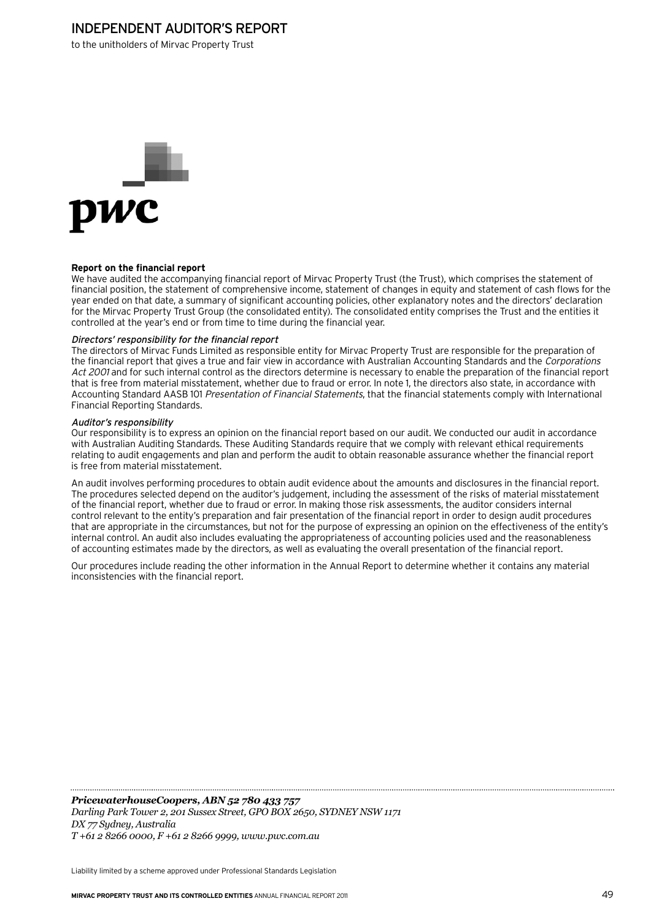## Independent auditor's report

to the unitholders of Mirvac Property Trust



#### **Report on the financial report**

We have audited the accompanying financial report of Mirvac Property Trust (the Trust), which comprises the statement of financial position, the statement of comprehensive income, statement of changes in equity and statement of cash flows for the year ended on that date, a summary of significant accounting policies, other explanatory notes and the directors' declaration for the Mirvac Property Trust Group (the consolidated entity). The consolidated entity comprises the Trust and the entities it controlled at the year's end or from time to time during the financial year.

#### Directors' responsibility for the financial report

The directors of Mirvac Funds Limited as responsible entity for Mirvac Property Trust are responsible for the preparation of the financial report that gives a true and fair view in accordance with Australian Accounting Standards and the Corporations Act 2001 and for such internal control as the directors determine is necessary to enable the preparation of the financial report that is free from material misstatement, whether due to fraud or error. In note 1, the directors also state, in accordance with Accounting Standard AASB 101 Presentation of Financial Statements, that the financial statements comply with International Financial Reporting Standards.

#### Auditor's responsibility

Our responsibility is to express an opinion on the financial report based on our audit. We conducted our audit in accordance with Australian Auditing Standards. These Auditing Standards require that we comply with relevant ethical requirements relating to audit engagements and plan and perform the audit to obtain reasonable assurance whether the financial report is free from material misstatement.

An audit involves performing procedures to obtain audit evidence about the amounts and disclosures in the financial report. The procedures selected depend on the auditor's judgement, including the assessment of the risks of material misstatement of the financial report, whether due to fraud or error. In making those risk assessments, the auditor considers internal control relevant to the entity's preparation and fair presentation of the financial report in order to design audit procedures that are appropriate in the circumstances, but not for the purpose of expressing an opinion on the effectiveness of the entity's internal control. An audit also includes evaluating the appropriateness of accounting policies used and the reasonableness of accounting estimates made by the directors, as well as evaluating the overall presentation of the financial report.

Our procedures include reading the other information in the Annual Report to determine whether it contains any material inconsistencies with the financial report.

*PricewaterhouseCoopers, ABN 52 780 433 757 Darling Park Tower 2, 201 Sussex Street, GPO BOX 2650, SYDNEY NSW 1171 DX 77 Sydney, Australia T +61 2 8266 0000, F +61 2 8266 9999, www.pwc.com.au*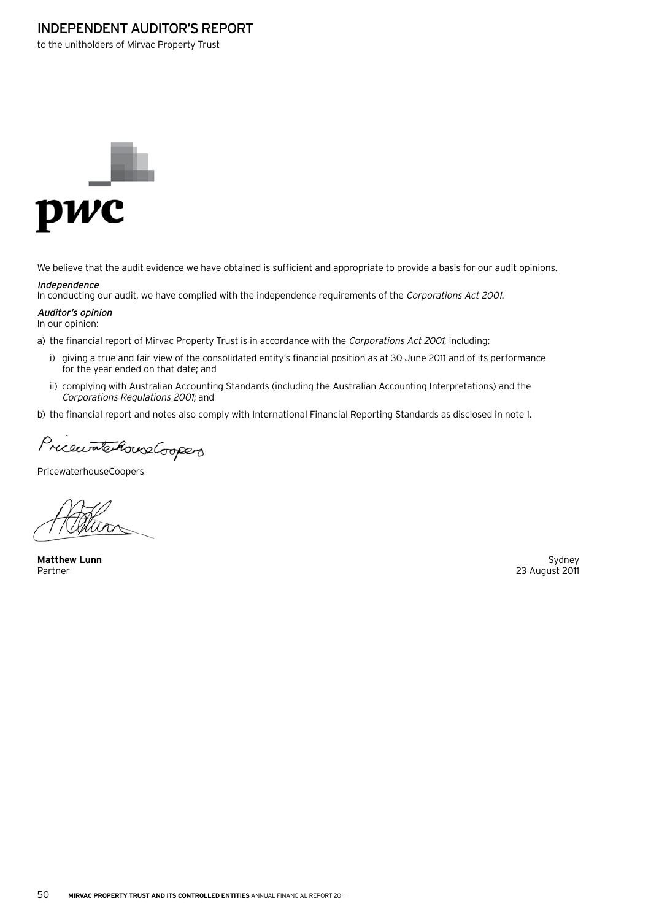## Independent auditor's report

to the unitholders of Mirvac Property Trust



We believe that the audit evidence we have obtained is sufficient and appropriate to provide a basis for our audit opinions.

#### Independence

In conducting our audit, we have complied with the independence requirements of the Corporations Act 2001.

Auditor's opinion In our opinion:

- a) the financial report of Mirvac Property Trust is in accordance with the Corporations Act 2001, including:
	- i) giving a true and fair view of the consolidated entity's financial position as at 30 June 2011 and of its performance for the year ended on that date; and
	- ii) complying with Australian Accounting Standards (including the Australian Accounting Interpretations) and the Corporations Regulations 2001; and

b) the financial report and notes also comply with International Financial Reporting Standards as disclosed in note 1.

PricewatchouseCoopers

PricewaterhouseCoopers

**Matthew Lunn** Sydney

23 August 2011